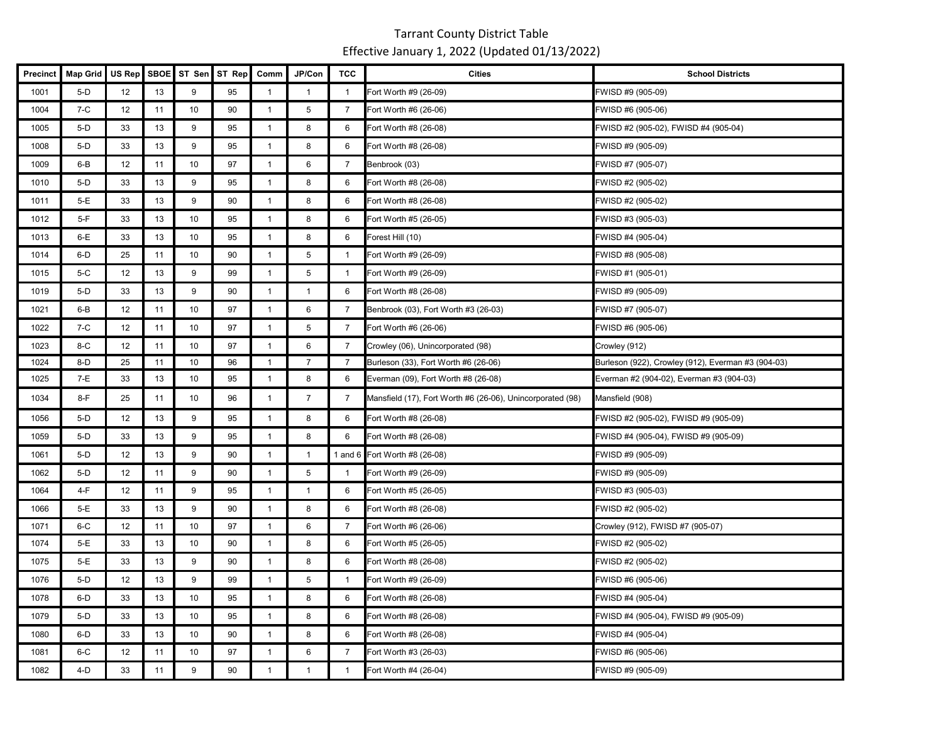| <b>Precinct</b> | <b>Map Grid</b> | US Rep | <b>SBOE</b> | ST Sen | ST Rep | Comm           | JP/Con         | <b>TCC</b>     | <b>Cities</b>                                              | <b>School Districts</b>                            |
|-----------------|-----------------|--------|-------------|--------|--------|----------------|----------------|----------------|------------------------------------------------------------|----------------------------------------------------|
| 1001            | $5-D$           | 12     | 13          | 9      | 95     | $\mathbf{1}$   | $\mathbf{1}$   |                | Fort Worth #9 (26-09)                                      | FWISD #9 (905-09)                                  |
| 1004            | $7-C$           | 12     | 11          | 10     | 90     | $\mathbf{1}$   | 5              | 7              | Fort Worth #6 (26-06)                                      | FWISD #6 (905-06)                                  |
| 1005            | $5-D$           | 33     | 13          | 9      | 95     | $\mathbf{1}$   | 8              | 6              | Fort Worth #8 (26-08)                                      | FWISD #2 (905-02), FWISD #4 (905-04)               |
| 1008            | $5-D$           | 33     | 13          | 9      | 95     | $\mathbf{1}$   | 8              | 6              | Fort Worth #8 (26-08)                                      | FWISD #9 (905-09)                                  |
| 1009            | $6 - B$         | 12     | 11          | 10     | 97     | $\mathbf{1}$   | 6              | $\overline{7}$ | Benbrook (03)                                              | FWISD #7 (905-07)                                  |
| 1010            | $5-D$           | 33     | 13          | 9      | 95     | $\mathbf{1}$   | 8              | 6              | Fort Worth #8 (26-08)                                      | FWISD #2 (905-02)                                  |
| 1011            | $5-E$           | 33     | 13          | 9      | 90     | $\mathbf{1}$   | 8              | 6              | Fort Worth #8 (26-08)                                      | FWISD #2 (905-02)                                  |
| 1012            | $5-F$           | 33     | 13          | 10     | 95     | $\mathbf{1}$   | 8              | 6              | Fort Worth #5 (26-05)                                      | FWISD #3 (905-03)                                  |
| 1013            | $6-E$           | 33     | 13          | 10     | 95     | $\mathbf{1}$   | 8              | 6              | Forest Hill (10)                                           | WISD #4 (905-04)                                   |
| 1014            | 6-D             | 25     | 11          | 10     | 90     | $\mathbf{1}$   | $\sqrt{5}$     | $\mathbf{1}$   | Fort Worth #9 (26-09)                                      | FWISD #8 (905-08)                                  |
| 1015            | $5-C$           | 12     | 13          | 9      | 99     | $\mathbf{1}$   | $\overline{5}$ | $\mathbf{1}$   | Fort Worth #9 (26-09)                                      | FWISD #1 (905-01)                                  |
| 1019            | $5-D$           | 33     | 13          | 9      | 90     | $\mathbf{1}$   | $\overline{1}$ | 6              | Fort Worth #8 (26-08)                                      | FWISD #9 (905-09)                                  |
| 1021            | 6-B             | 12     | 11          | 10     | 97     | $\mathbf{1}$   | 6              | $\overline{7}$ | Benbrook (03), Fort Worth #3 (26-03)                       | FWISD #7 (905-07)                                  |
| 1022            | $7-C$           | 12     | 11          | 10     | 97     | $\mathbf{1}$   | 5              | $\overline{7}$ | Fort Worth #6 (26-06)                                      | FWISD #6 (905-06)                                  |
| 1023            | $8-C$           | 12     | 11          | 10     | 97     | $\mathbf{1}$   | 6              | $\overline{7}$ | Crowley (06), Unincorporated (98)                          | Crowley (912)                                      |
| 1024            | $8-D$           | 25     | 11          | 10     | 96     | $\mathbf{1}$   | $\overline{7}$ | 7              | Burleson (33), Fort Worth #6 (26-06)                       | Burleson (922), Crowley (912), Everman #3 (904-03) |
| 1025            | 7-E             | 33     | 13          | 10     | 95     | $\mathbf{1}$   | 8              | 6              | Everman (09), Fort Worth #8 (26-08)                        | Everman #2 (904-02), Everman #3 (904-03)           |
| 1034            | 8-F             | 25     | 11          | 10     | 96     | $\mathbf{1}$   | $\overline{7}$ | $\overline{7}$ | Mansfield (17), Fort Worth #6 (26-06), Unincorporated (98) | Mansfield (908)                                    |
| 1056            | $5-D$           | 12     | 13          | 9      | 95     | $\mathbf{1}$   | 8              | 6              | Fort Worth #8 (26-08)                                      | FWISD #2 (905-02), FWISD #9 (905-09)               |
| 1059            | $5-D$           | 33     | 13          | 9      | 95     | $\mathbf{1}$   | 8              | 6              | Fort Worth #8 (26-08)                                      | FWISD #4 (905-04), FWISD #9 (905-09)               |
| 1061            | $5-D$           | 12     | 13          | 9      | 90     | $\mathbf{1}$   | $\mathbf{1}$   |                | 1 and 6 Fort Worth #8 (26-08)                              | WISD #9 (905-09)                                   |
| 1062            | $5-D$           | 12     | 11          | 9      | 90     | $\overline{1}$ | 5              | $\mathbf{1}$   | Fort Worth #9 (26-09)                                      | FWISD #9 (905-09)                                  |
| 1064            | $4-F$           | 12     | 11          | 9      | 95     | $\mathbf{1}$   | $\overline{1}$ | 6              | Fort Worth #5 (26-05)                                      | FWISD #3 (905-03)                                  |
| 1066            | $5-E$           | 33     | 13          | 9      | 90     | $\mathbf{1}$   | 8              | 6              | Fort Worth #8 (26-08)                                      | FWISD #2 (905-02)                                  |
| 1071            | $6-C$           | 12     | 11          | 10     | 97     | $\overline{1}$ | 6              | $\overline{7}$ | Fort Worth #6 (26-06)                                      | Crowley (912), FWISD #7 (905-07)                   |
| 1074            | 5-E             | 33     | 13          | 10     | 90     | $\mathbf{1}$   | 8              | 6              | Fort Worth #5 (26-05)                                      | FWISD #2 (905-02)                                  |
| 1075            | $5-E$           | 33     | 13          | 9      | 90     | $\mathbf{1}$   | 8              | 6              | Fort Worth #8 (26-08)                                      | FWISD #2 (905-02)                                  |
| 1076            | $5-D$           | 12     | 13          | 9      | 99     | $\mathbf{1}$   | 5              | $\mathbf{1}$   | Fort Worth #9 (26-09)                                      | FWISD #6 (905-06)                                  |
| 1078            | $6-D$           | 33     | 13          | 10     | 95     | $\mathbf{1}$   | 8              | 6              | Fort Worth #8 (26-08)                                      | FWISD #4 (905-04)                                  |
| 1079            | $5-D$           | 33     | 13          | 10     | 95     | $\mathbf{1}$   | 8              | 6              | Fort Worth #8 (26-08)                                      | FWISD #4 (905-04), FWISD #9 (905-09)               |
| 1080            | $6-D$           | 33     | 13          | 10     | 90     | $\mathbf{1}$   | 8              | 6              | Fort Worth #8 (26-08)                                      | WISD #4 (905-04)                                   |
| 1081            | $6-C$           | 12     | 11          | 10     | 97     | $\mathbf{1}$   | 6              | $\overline{7}$ | Fort Worth #3 (26-03)                                      | WISD #6 (905-06)                                   |
| 1082            | 4-D             | 33     | 11          | 9      | 90     | $\mathbf{1}$   | $\mathbf{1}$   | $\mathbf{1}$   | Fort Worth #4 (26-04)                                      | FWISD #9 (905-09)                                  |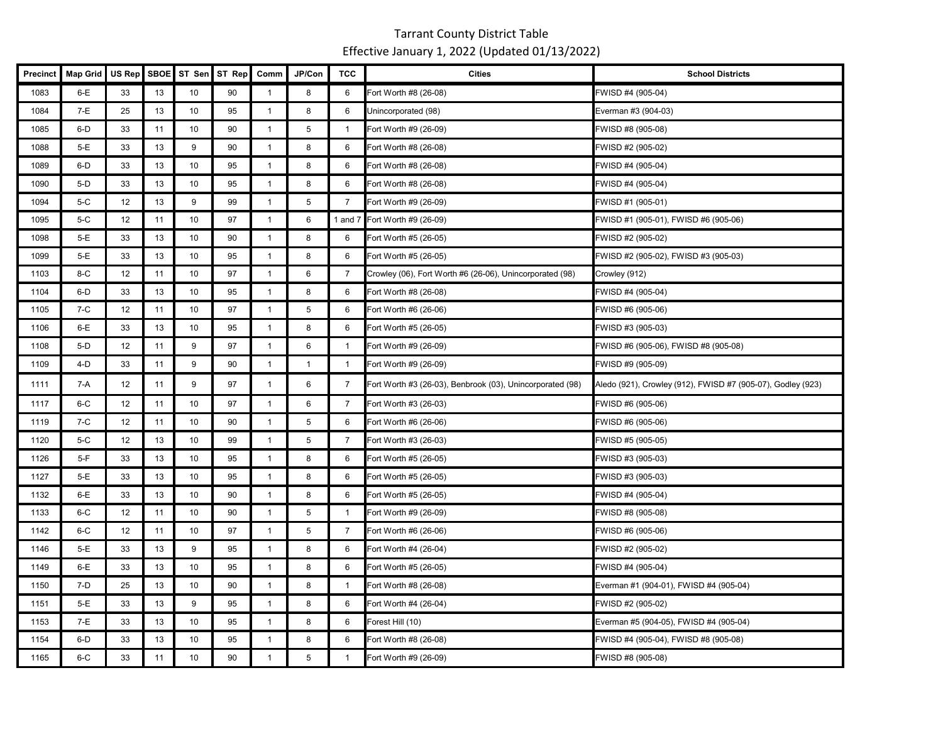| <b>Precinct</b> | <b>Map Grid</b> | US Rep | <b>SBOE</b> | ST Sen          | ST Rep | Comm           | JP/Con       | <b>TCC</b>     | <b>Cities</b>                                             | <b>School Districts</b>                                     |
|-----------------|-----------------|--------|-------------|-----------------|--------|----------------|--------------|----------------|-----------------------------------------------------------|-------------------------------------------------------------|
| 1083            | $6-E$           | 33     | 13          | 10              | 90     | $\mathbf{1}$   | 8            | 6              | Fort Worth #8 (26-08)                                     | FWISD #4 (905-04)                                           |
| 1084            | $7-E$           | 25     | 13          | 10              | 95     | $\mathbf{1}$   | 8            | 6              | Unincorporated (98)                                       | Everman #3 (904-03)                                         |
| 1085            | $6-D$           | 33     | 11          | 10              | 90     | $\mathbf{1}$   | 5            | $\mathbf{1}$   | Fort Worth #9 (26-09)                                     | FWISD #8 (905-08)                                           |
| 1088            | $5-E$           | 33     | 13          | 9               | 90     | $\mathbf{1}$   | 8            | 6              | Fort Worth #8 (26-08)                                     | FWISD #2 (905-02)                                           |
| 1089            | $6-D$           | 33     | 13          | 10              | 95     | $\mathbf{1}$   | 8            | 6              | Fort Worth #8 (26-08)                                     | FWISD #4 (905-04)                                           |
| 1090            | $5-D$           | 33     | 13          | 10              | 95     | $\mathbf{1}$   | 8            | 6              | Fort Worth #8 (26-08)                                     | FWISD #4 (905-04)                                           |
| 1094            | $5-C$           | 12     | 13          | 9               | 99     | $\mathbf{1}$   | 5            | $\overline{7}$ | Fort Worth #9 (26-09)                                     | FWISD #1 (905-01)                                           |
| 1095            | $5-C$           | 12     | 11          | 10              | 97     | $\mathbf{1}$   | 6            | 1 and $7$      | Fort Worth #9 (26-09)                                     | FWISD #1 (905-01), FWISD #6 (905-06)                        |
| 1098            | 5-E             | 33     | 13          | 10              | 90     | $\overline{1}$ | 8            | 6              | Fort Worth #5 (26-05)                                     | FWISD #2 (905-02)                                           |
| 1099            | $5-E$           | 33     | 13          | 10              | 95     | $\mathbf{1}$   | 8            | 6              | Fort Worth #5 (26-05)                                     | FWISD #2 (905-02), FWISD #3 (905-03)                        |
| 1103            | $8-C$           | 12     | 11          | 10              | 97     | $\mathbf{1}$   | 6            | 7              | Crowley (06), Fort Worth #6 (26-06), Unincorporated (98)  | Crowley (912)                                               |
| 1104            | $6-D$           | 33     | 13          | 10              | 95     | $\mathbf{1}$   | 8            | 6              | Fort Worth #8 (26-08)                                     | FWISD #4 (905-04)                                           |
| 1105            | 7-C             | 12     | 11          | 10              | 97     | $\mathbf{1}$   | $\sqrt{5}$   | 6              | Fort Worth #6 (26-06)                                     | FWISD #6 (905-06)                                           |
| 1106            | $6-E$           | 33     | 13          | 10              | 95     | $\mathbf{1}$   | 8            | 6              | Fort Worth #5 (26-05)                                     | FWISD #3 (905-03)                                           |
| 1108            | $5-D$           | 12     | 11          | 9               | 97     | $\mathbf{1}$   | 6            | $\mathbf{1}$   | Fort Worth #9 (26-09)                                     | FWISD #6 (905-06), FWISD #8 (905-08)                        |
| 1109            | $4-D$           | 33     | 11          | 9               | 90     | $\mathbf{1}$   | $\mathbf{1}$ | $\overline{1}$ | Fort Worth #9 (26-09)                                     | FWISD #9 (905-09)                                           |
| 1111            | 7-A             | 12     | 11          | 9               | 97     | $\overline{1}$ | 6            | $\overline{7}$ | Fort Worth #3 (26-03), Benbrook (03), Unincorporated (98) | Aledo (921), Crowley (912), FWISD #7 (905-07), Godley (923) |
| 1117            | $6-C$           | 12     | 11          | 10              | 97     | $\overline{1}$ | 6            | $\overline{7}$ | Fort Worth #3 (26-03)                                     | FWISD #6 (905-06)                                           |
| 1119            | 7-C             | 12     | 11          | 10              | 90     | $\mathbf{1}$   | $\,$ 5 $\,$  | 6              | Fort Worth #6 (26-06)                                     | FWISD #6 (905-06)                                           |
| 1120            | $5-C$           | 12     | 13          | 10              | 99     | $\mathbf{1}$   | 5            | $\overline{7}$ | Fort Worth #3 (26-03)                                     | FWISD #5 (905-05)                                           |
| 1126            | $5-F$           | 33     | 13          | 10              | 95     | $\overline{1}$ | 8            | 6              | Fort Worth #5 (26-05)                                     | FWISD #3 (905-03)                                           |
| 1127            | $5-E$           | 33     | 13          | 10              | 95     | $\mathbf{1}$   | 8            | 6              | Fort Worth #5 (26-05)                                     | FWISD #3 (905-03)                                           |
| 1132            | $6-E$           | 33     | 13          | 10              | 90     | $\mathbf{1}$   | 8            | 6              | Fort Worth #5 (26-05)                                     | FWISD #4 (905-04)                                           |
| 1133            | $6-C$           | 12     | 11          | 10 <sup>°</sup> | 90     | $\mathbf{1}$   | 5            | $\mathbf{1}$   | Fort Worth #9 (26-09)                                     | FWISD #8 (905-08)                                           |
| 1142            | $6-C$           | 12     | 11          | 10              | 97     | $\mathbf{1}$   | 5            | $\overline{7}$ | Fort Worth #6 (26-06)                                     | FWISD #6 (905-06)                                           |
| 1146            | $5-E$           | 33     | 13          | 9               | 95     | $\mathbf{1}$   | 8            | 6              | Fort Worth #4 (26-04)                                     | FWISD #2 (905-02)                                           |
| 1149            | $6-E$           | 33     | 13          | 10              | 95     | $\mathbf{1}$   | 8            | 6              | Fort Worth #5 (26-05)                                     | FWISD #4 (905-04)                                           |
| 1150            | 7-D             | 25     | 13          | 10              | 90     | $\mathbf{1}$   | 8            | $\mathbf{1}$   | Fort Worth #8 (26-08)                                     | Everman #1 (904-01), FWISD #4 (905-04)                      |
| 1151            | $5-E$           | 33     | 13          | 9               | 95     | $\mathbf{1}$   | 8            | 6              | Fort Worth #4 (26-04)                                     | FWISD #2 (905-02)                                           |
| 1153            | $7-E$           | 33     | 13          | 10              | 95     | $\overline{1}$ | 8            | 6              | Forest Hill (10)                                          | Everman #5 (904-05), FWISD #4 (905-04)                      |
| 1154            | 6-D             | 33     | 13          | 10              | 95     | $\mathbf{1}$   | 8            | 6              | Fort Worth #8 (26-08)                                     | FWISD #4 (905-04), FWISD #8 (905-08)                        |
| 1165            | 6-C             | 33     | 11          | 10              | 90     | $\mathbf{1}$   | 5            | $\mathbf{1}$   | Fort Worth #9 (26-09)                                     | FWISD #8 (905-08)                                           |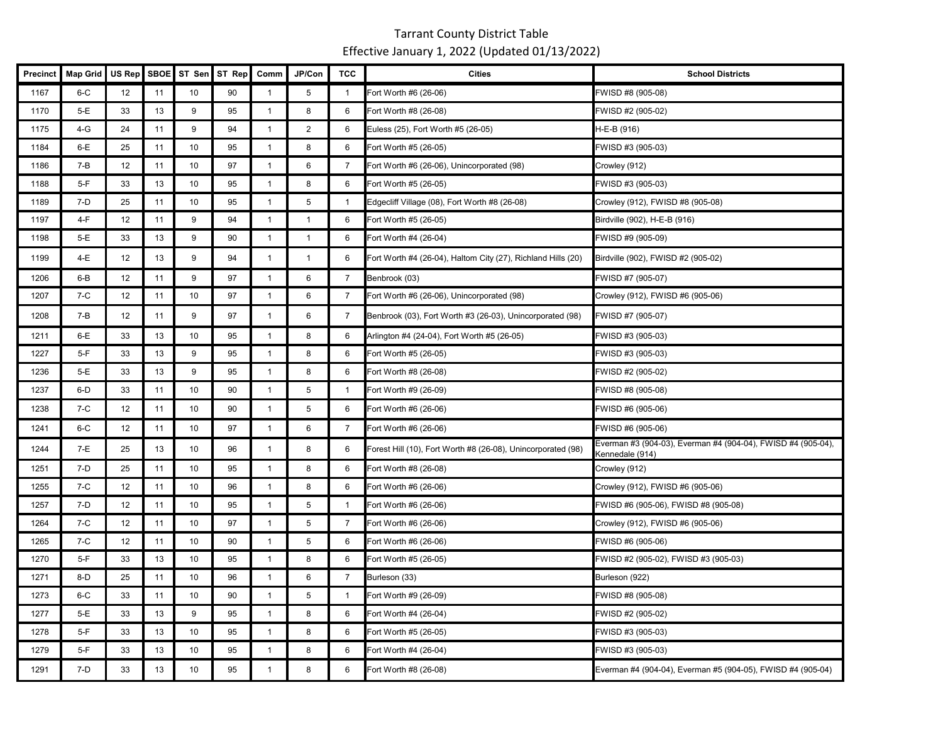| <b>Precinct</b> | <b>Map Grid</b> | US Rep | <b>SBOE</b> | ST Sen | ST Rep | Comm           | JP/Con         | <b>TCC</b>     | <b>Cities</b>                                                | <b>School Districts</b>                                                         |
|-----------------|-----------------|--------|-------------|--------|--------|----------------|----------------|----------------|--------------------------------------------------------------|---------------------------------------------------------------------------------|
| 1167            | $6-C$           | 12     | 11          | 10     | 90     | $\mathbf{1}$   | 5              | $\mathbf{1}$   | Fort Worth #6 (26-06)                                        | FWISD #8 (905-08)                                                               |
| 1170            | $5-E$           | 33     | 13          | 9      | 95     | $\mathbf{1}$   | 8              | 6              | Fort Worth #8 (26-08)                                        | FWISD #2 (905-02)                                                               |
| 1175            | $4-G$           | 24     | 11          | 9      | 94     | $\overline{1}$ | $\overline{2}$ | 6              | Euless (25), Fort Worth #5 (26-05)                           | H-E-B (916)                                                                     |
| 1184            | $6-E$           | 25     | 11          | 10     | 95     | $\mathbf{1}$   | 8              | 6              | Fort Worth #5 (26-05)                                        | FWISD #3 (905-03)                                                               |
| 1186            | $7 - B$         | 12     | 11          | 10     | 97     | $\mathbf{1}$   | 6              | $\overline{7}$ | Fort Worth #6 (26-06), Unincorporated (98)                   | Crowley (912)                                                                   |
| 1188            | $5-F$           | 33     | 13          | 10     | 95     | $\mathbf{1}$   | 8              | 6              | Fort Worth #5 (26-05)                                        | FWISD #3 (905-03)                                                               |
| 1189            | $7-D$           | 25     | 11          | 10     | 95     | $\mathbf{1}$   | 5              | $\mathbf{1}$   | Edgecliff Village (08), Fort Worth #8 (26-08)                | Crowley (912), FWISD #8 (905-08)                                                |
| 1197            | 4-F             | 12     | 11          | 9      | 94     | $\mathbf{1}$   | $\mathbf{1}$   | 6              | Fort Worth #5 (26-05)                                        | Birdville (902), H-E-B (916)                                                    |
| 1198            | $5-E$           | 33     | 13          | 9      | 90     | $\mathbf{1}$   | $\mathbf{1}$   | 6              | Fort Worth #4 (26-04)                                        | FWISD #9 (905-09)                                                               |
| 1199            | 4-E             | 12     | 13          | 9      | 94     | $\mathbf{1}$   | $\mathbf{1}$   | 6              | Fort Worth #4 (26-04), Haltom City (27), Richland Hills (20) | Birdville (902), FWISD #2 (905-02)                                              |
| 1206            | 6-B             | 12     | 11          | 9      | 97     | $\overline{1}$ | 6              | $\overline{7}$ | Benbrook (03)                                                | FWISD #7 (905-07)                                                               |
| 1207            | $7-C$           | 12     | 11          | 10     | 97     | $\mathbf{1}$   | 6              | $\overline{7}$ | Fort Worth #6 (26-06), Unincorporated (98)                   | Crowley (912), FWISD #6 (905-06)                                                |
| 1208            | $7 - B$         | 12     | 11          | 9      | 97     | $\mathbf{1}$   | 6              | $\overline{7}$ | Benbrook (03), Fort Worth #3 (26-03), Unincorporated (98)    | FWISD #7 (905-07)                                                               |
| 1211            | $6-E$           | 33     | 13          | 10     | 95     | $\mathbf{1}$   | 8              | 6              | Arlington #4 (24-04), Fort Worth #5 (26-05)                  | FWISD #3 (905-03)                                                               |
| 1227            | $5-F$           | 33     | 13          | 9      | 95     | $\mathbf{1}$   | 8              | 6              | Fort Worth #5 (26-05)                                        | FWISD #3 (905-03)                                                               |
| 1236            | 5-E             | 33     | 13          | 9      | 95     | $\overline{1}$ | 8              | 6              | Fort Worth #8 (26-08)                                        | FWISD #2 (905-02)                                                               |
| 1237            | 6-D             | 33     | 11          | 10     | 90     | $\mathbf{1}$   | 5              | $\mathbf{1}$   | Fort Worth #9 (26-09)                                        | FWISD #8 (905-08)                                                               |
| 1238            | $7-C$           | 12     | 11          | 10     | 90     | $\mathbf{1}$   | 5              | 6              | Fort Worth #6 (26-06)                                        | FWISD #6 (905-06)                                                               |
| 1241            | $6-C$           | 12     | 11          | 10     | 97     | $\overline{1}$ | 6              | $\overline{7}$ | Fort Worth #6 (26-06)                                        | FWISD #6 (905-06)                                                               |
| 1244            | 7-E             | 25     | 13          | 10     | 96     | $\mathbf{1}$   | 8              | 6              | Forest Hill (10), Fort Worth #8 (26-08), Unincorporated (98) | Everman #3 (904-03), Everman #4 (904-04), FWISD #4 (905-04),<br>Kennedale (914) |
| 1251            | $7-D$           | 25     | 11          | 10     | 95     | $\mathbf{1}$   | 8              | 6              | Fort Worth #8 (26-08)                                        | Crowley (912)                                                                   |
| 1255            | $7-C$           | 12     | 11          | 10     | 96     | $\mathbf{1}$   | 8              | 6              | Fort Worth #6 (26-06)                                        | Crowley (912), FWISD #6 (905-06)                                                |
| 1257            | 7-D             | 12     | 11          | 10     | 95     | $\mathbf{1}$   | 5              | -1             | Fort Worth #6 (26-06)                                        | FWISD #6 (905-06), FWISD #8 (905-08)                                            |
| 1264            | $7-C$           | 12     | 11          | 10     | 97     | $\mathbf{1}$   | 5              | $\overline{7}$ | Fort Worth #6 (26-06)                                        | Crowley (912), FWISD #6 (905-06)                                                |
| 1265            | 7-C             | 12     | 11          | 10     | 90     | $\mathbf{1}$   | 5              | 6              | Fort Worth #6 (26-06)                                        | FWISD #6 (905-06)                                                               |
| 1270            | $5-F$           | 33     | 13          | 10     | 95     | $\mathbf{1}$   | 8              | 6              | Fort Worth #5 (26-05)                                        | FWISD #2 (905-02), FWISD #3 (905-03)                                            |
| 1271            | $8-D$           | 25     | 11          | 10     | 96     | $\overline{1}$ | 6              | 7              | Burleson (33)                                                | Burleson (922)                                                                  |
| 1273            | $6-C$           | 33     | 11          | 10     | 90     | $\mathbf{1}$   | 5              | $\mathbf{1}$   | Fort Worth #9 (26-09)                                        | FWISD #8 (905-08)                                                               |
| 1277            | $5-E$           | 33     | 13          | 9      | 95     | $\mathbf{1}$   | 8              | 6              | Fort Worth #4 (26-04)                                        | FWISD #2 (905-02)                                                               |
| 1278            | $5-F$           | 33     | 13          | 10     | 95     | $\mathbf{1}$   | 8              | 6              | Fort Worth #5 (26-05)                                        | FWISD #3 (905-03)                                                               |
| 1279            | $5-F$           | 33     | 13          | 10     | 95     | $\mathbf{1}$   | 8              | 6              | Fort Worth #4 (26-04)                                        | FWISD #3 (905-03)                                                               |
| 1291            | 7-D             | 33     | 13          | 10     | 95     | $\mathbf{1}$   | 8              | 6              | Fort Worth #8 (26-08)                                        | Everman #4 (904-04), Everman #5 (904-05), FWISD #4 (905-04)                     |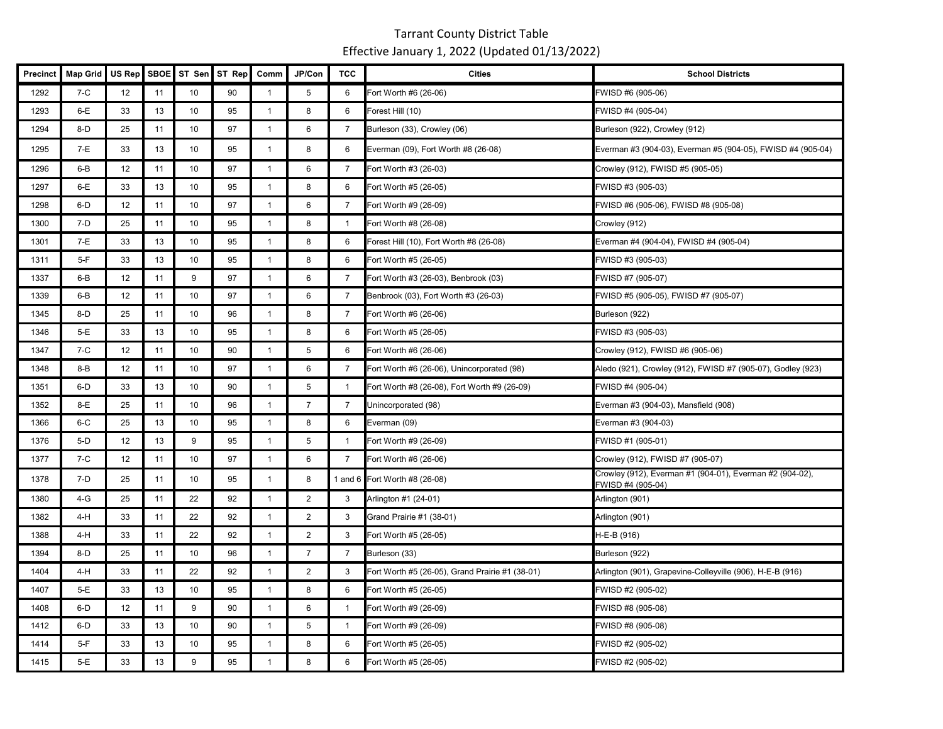| <b>Precinct</b> | <b>Map Grid</b> | US Rep | <b>SBOE</b> | ST Sen | ST Rep | Comm           | JP/Con         | <b>TCC</b>     | <b>Cities</b>                                   | <b>School Districts</b>                                                       |
|-----------------|-----------------|--------|-------------|--------|--------|----------------|----------------|----------------|-------------------------------------------------|-------------------------------------------------------------------------------|
| 1292            | $7-C$           | 12     | 11          | 10     | 90     | $\mathbf{1}$   | 5              | 6              | Fort Worth #6 (26-06)                           | FWISD #6 (905-06)                                                             |
| 1293            | $6-E$           | 33     | 13          | 10     | 95     | $\mathbf{1}$   | 8              | 6              | Forest Hill (10)                                | FWISD #4 (905-04)                                                             |
| 1294            | $8-D$           | 25     | 11          | 10     | 97     | $\mathbf{1}$   | 6              | $\overline{7}$ | Burleson (33), Crowley (06)                     | Burleson (922), Crowley (912)                                                 |
| 1295            | $7-E$           | 33     | 13          | 10     | 95     | $\mathbf{1}$   | 8              | 6              | Everman (09), Fort Worth #8 (26-08)             | Everman #3 (904-03), Everman #5 (904-05), FWISD #4 (905-04)                   |
| 1296            | $6 - B$         | 12     | 11          | 10     | 97     | $\mathbf{1}$   | 6              | 7              | Fort Worth #3 (26-03)                           | Crowley (912), FWISD #5 (905-05)                                              |
| 1297            | $6-E$           | 33     | 13          | 10     | 95     | $\mathbf{1}$   | 8              | 6              | Fort Worth #5 (26-05)                           | FWISD #3 (905-03)                                                             |
| 1298            | $6-D$           | 12     | 11          | 10     | 97     | $\mathbf{1}$   | 6              | 7              | Fort Worth #9 (26-09)                           | FWISD #6 (905-06), FWISD #8 (905-08)                                          |
| 1300            | 7-D             | 25     | 11          | 10     | 95     | $\mathbf{1}$   | 8              | $\mathbf{1}$   | Fort Worth #8 (26-08)                           | Crowley (912)                                                                 |
| 1301            | $7-E$           | 33     | 13          | 10     | 95     | $\overline{1}$ | 8              | 6              | Forest Hill (10), Fort Worth #8 (26-08)         | Everman #4 (904-04), FWISD #4 (905-04)                                        |
| 1311            | $5-F$           | 33     | 13          | 10     | 95     | $\mathbf{1}$   | 8              | 6              | Fort Worth #5 (26-05)                           | FWISD #3 (905-03)                                                             |
| 1337            | $6 - B$         | 12     | 11          | 9      | 97     | $\mathbf{1}$   | 6              | $\overline{7}$ | Fort Worth #3 (26-03), Benbrook (03)            | FWISD #7 (905-07)                                                             |
| 1339            | $6 - B$         | 12     | 11          | 10     | 97     | $\overline{1}$ | 6              | $\overline{7}$ | Benbrook (03), Fort Worth #3 (26-03)            | FWISD #5 (905-05), FWISD #7 (905-07)                                          |
| 1345            | $8-D$           | 25     | 11          | 10     | 96     | $\overline{1}$ | 8              | $\overline{7}$ | Fort Worth #6 (26-06)                           | Burleson (922)                                                                |
| 1346            | $5-E$           | 33     | 13          | 10     | 95     | $\mathbf{1}$   | 8              | 6              | Fort Worth #5 (26-05)                           | FWISD #3 (905-03)                                                             |
| 1347            | $7-C$           | 12     | 11          | 10     | 90     | $\mathbf{1}$   | 5              | 6              | Fort Worth #6 (26-06)                           | Crowley (912), FWISD #6 (905-06)                                              |
| 1348            | 8-B             | 12     | 11          | 10     | 97     | $\mathbf{1}$   | 6              | $\overline{7}$ | Fort Worth #6 (26-06), Unincorporated (98)      | Aledo (921), Crowley (912), FWISD #7 (905-07), Godley (923)                   |
| 1351            | 6-D             | 33     | 13          | 10     | 90     | $\mathbf{1}$   | 5              | $\mathbf{1}$   | Fort Worth #8 (26-08), Fort Worth #9 (26-09)    | FWISD #4 (905-04)                                                             |
| 1352            | $8-E$           | 25     | 11          | 10     | 96     | $\mathbf{1}$   | $\overline{7}$ | $\overline{7}$ | Unincorporated (98)                             | Everman #3 (904-03), Mansfield (908)                                          |
| 1366            | $6-C$           | 25     | 13          | 10     | 95     | $\mathbf{1}$   | 8              | 6              | Everman (09)                                    | Everman #3 (904-03)                                                           |
| 1376            | $5-D$           | 12     | 13          | 9      | 95     | $\mathbf{1}$   | $\sqrt{5}$     | $\mathbf{1}$   | Fort Worth #9 (26-09)                           | FWISD #1 (905-01)                                                             |
| 1377            | $7-C$           | 12     | 11          | 10     | 97     | $\mathbf{1}$   | 6              | $\overline{7}$ | Fort Worth #6 (26-06)                           | Crowley (912), FWISD #7 (905-07)                                              |
| 1378            | $7-D$           | 25     | 11          | 10     | 95     | $\mathbf{1}$   | 8              |                | 1 and 6 Fort Worth #8 (26-08)                   | Crowley (912), Everman #1 (904-01), Everman #2 (904-02),<br>FWISD #4 (905-04) |
| 1380            | $4-G$           | 25     | 11          | 22     | 92     | $\mathbf{1}$   | $\overline{2}$ | 3              | Arlington #1 (24-01)                            | Arlington (901)                                                               |
| 1382            | 4-H             | 33     | 11          | 22     | 92     | $\overline{1}$ | $\overline{2}$ | 3              | Grand Prairie #1 (38-01)                        | Arlington (901)                                                               |
| 1388            | 4-H             | 33     | 11          | 22     | 92     | $\mathbf{1}$   | 2              | 3              | Fort Worth #5 (26-05)                           | H-E-B (916)                                                                   |
| 1394            | 8-D             | 25     | 11          | 10     | 96     | $\mathbf{1}$   | $\overline{7}$ | $\overline{7}$ | Burleson (33)                                   | Burleson (922)                                                                |
| 1404            | 4-H             | 33     | 11          | 22     | 92     | $\mathbf{1}$   | $\overline{2}$ | 3              | Fort Worth #5 (26-05), Grand Prairie #1 (38-01) | Arlington (901), Grapevine-Colleyville (906), H-E-B (916)                     |
| 1407            | $5-E$           | 33     | 13          | 10     | 95     | $\mathbf{1}$   | 8              | 6              | Fort Worth #5 (26-05)                           | FWISD #2 (905-02)                                                             |
| 1408            | 6-D             | 12     | 11          | 9      | 90     | $\mathbf{1}$   | 6              | $\mathbf{1}$   | Fort Worth #9 (26-09)                           | FWISD #8 (905-08)                                                             |
| 1412            | $6-D$           | 33     | 13          | 10     | 90     | $\mathbf{1}$   | $\sqrt{5}$     | $\mathbf{1}$   | Fort Worth #9 (26-09)                           | FWISD #8 (905-08)                                                             |
| 1414            | $5-F$           | 33     | 13          | 10     | 95     | $\mathbf{1}$   | 8              | 6              | Fort Worth #5 (26-05)                           | FWISD #2 (905-02)                                                             |
| 1415            | $5-E$           | 33     | 13          | 9      | 95     | $\mathbf{1}$   | 8              | 6              | Fort Worth #5 (26-05)                           | FWISD #2 (905-02)                                                             |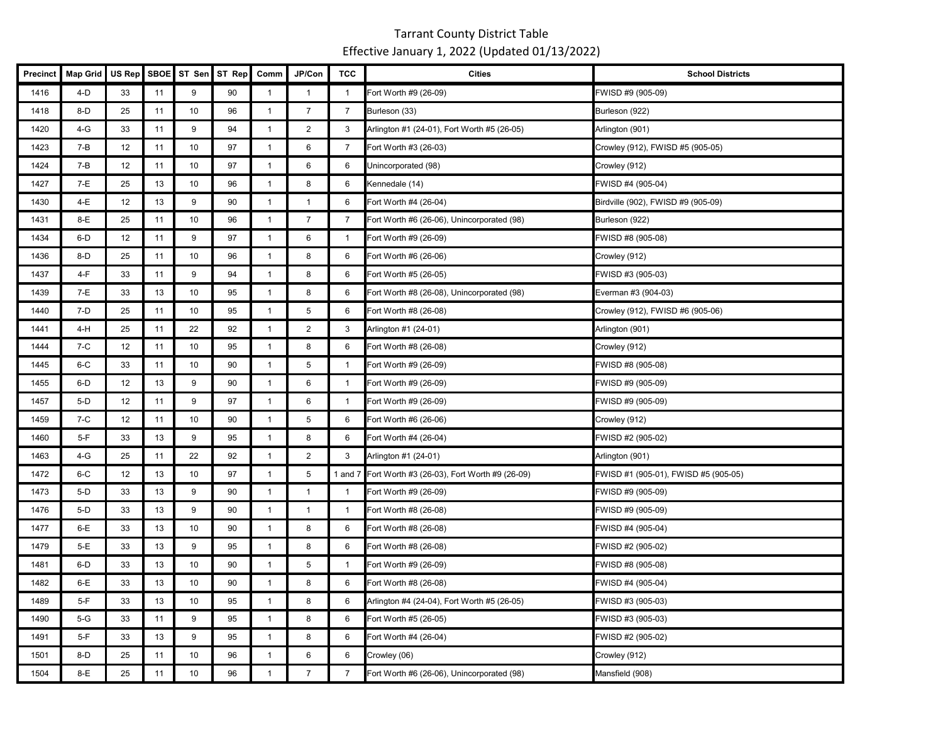| Precinct | <b>Map Grid</b> | US Rep | SBOE | ST Sen          | ST Rep | Comm           | JP/Con         | <b>TCC</b>     | <b>Cities</b>                                        | <b>School Districts</b>              |
|----------|-----------------|--------|------|-----------------|--------|----------------|----------------|----------------|------------------------------------------------------|--------------------------------------|
| 1416     | 4-D             | 33     | 11   | 9               | 90     | $\mathbf{1}$   | $\mathbf{1}$   |                | Fort Worth #9 (26-09)                                | FWISD #9 (905-09)                    |
| 1418     | $8-D$           | 25     | 11   | 10              | 96     | $\mathbf{1}$   | $\overline{7}$ | $\overline{7}$ | Burleson (33)                                        | Burleson (922)                       |
| 1420     | 4-G             | 33     | 11   | 9               | 94     | $\overline{1}$ | $\overline{2}$ | 3              | Arlington #1 (24-01), Fort Worth #5 (26-05)          | Arlington (901)                      |
| 1423     | 7-B             | 12     | 11   | 10 <sup>°</sup> | 97     | $\overline{1}$ | 6              | $\overline{7}$ | Fort Worth #3 (26-03)                                | Crowley (912), FWISD #5 (905-05)     |
| 1424     | 7-B             | 12     | 11   | 10 <sup>°</sup> | 97     | $\mathbf{1}$   | 6              | 6              | Unincorporated (98)                                  | Crowley (912)                        |
| 1427     | 7-E             | 25     | 13   | 10              | 96     | $\overline{1}$ | 8              | 6              | Kennedale (14)                                       | FWISD #4 (905-04)                    |
| 1430     | 4-E             | 12     | 13   | 9               | 90     | $\overline{1}$ | $\overline{1}$ | 6              | Fort Worth #4 (26-04)                                | Birdville (902), FWISD #9 (905-09)   |
| 1431     | 8-E             | 25     | 11   | 10              | 96     | $\mathbf{1}$   | $\overline{7}$ | $\overline{7}$ | Fort Worth #6 (26-06), Unincorporated (98)           | Burleson (922)                       |
| 1434     | $6-D$           | 12     | 11   | 9               | 97     | $\mathbf{1}$   | 6              | $\mathbf{1}$   | Fort Worth #9 (26-09)                                | FWISD #8 (905-08)                    |
| 1436     | $8-D$           | 25     | 11   | 10              | 96     | $\mathbf{1}$   | 8              | 6              | Fort Worth #6 (26-06)                                | Crowley (912)                        |
| 1437     | 4-F             | 33     | 11   | 9               | 94     | $\mathbf{1}$   | 8              | 6              | Fort Worth #5 (26-05)                                | FWISD #3 (905-03)                    |
| 1439     | 7-E             | 33     | 13   | 10 <sup>°</sup> | 95     | $\mathbf{1}$   | 8              | 6              | Fort Worth #8 (26-08), Unincorporated (98)           | Everman #3 (904-03)                  |
| 1440     | 7-D             | 25     | 11   | 10              | 95     | $\mathbf{1}$   | 5              | 6              | Fort Worth #8 (26-08)                                | Crowley (912), FWISD #6 (905-06)     |
| 1441     | 4-H             | 25     | 11   | 22              | 92     | $\mathbf{1}$   | $\overline{2}$ | 3              | Arlington #1 (24-01)                                 | Arlington (901)                      |
| 1444     | 7-C             | 12     | 11   | 10              | 95     | $\mathbf{1}$   | 8              | 6              | Fort Worth #8 (26-08)                                | Crowley (912)                        |
| 1445     | $6-C$           | 33     | 11   | 10              | 90     | $\overline{1}$ | 5              | $\mathbf{1}$   | Fort Worth #9 (26-09)                                | FWISD #8 (905-08)                    |
| 1455     | $6-D$           | 12     | 13   | 9               | 90     | $\overline{1}$ | 6              | $\mathbf{1}$   | Fort Worth #9 (26-09)                                | FWISD #9 (905-09)                    |
| 1457     | 5-D             | 12     | 11   | 9               | 97     | $\mathbf{1}$   | 6              | $\overline{1}$ | Fort Worth #9 (26-09)                                | FWISD #9 (905-09)                    |
| 1459     | 7-C             | 12     | 11   | 10              | 90     | $\mathbf{1}$   | 5              | 6              | Fort Worth #6 (26-06)                                | Crowley (912)                        |
| 1460     | $5-F$           | 33     | 13   | 9               | 95     | $\overline{1}$ | 8              | 6              | Fort Worth #4 (26-04)                                | FWISD #2 (905-02)                    |
| 1463     | 4-G             | 25     | 11   | 22              | 92     | $\mathbf{1}$   | $\overline{2}$ | 3              | Arlington #1 (24-01)                                 | Arlington (901)                      |
| 1472     | $6-C$           | 12     | 13   | 10              | 97     | $\mathbf{1}$   | 5              |                | 1 and 7 Fort Worth #3 (26-03), Fort Worth #9 (26-09) | FWISD #1 (905-01), FWISD #5 (905-05) |
| 1473     | $5-D$           | 33     | 13   | 9               | 90     | $\mathbf{1}$   | $\mathbf{1}$   | $\mathbf{1}$   | Fort Worth #9 (26-09)                                | FWISD #9 (905-09)                    |
| 1476     | 5-D             | 33     | 13   | 9               | 90     | $\mathbf{1}$   | $\mathbf{1}$   | 1              | Fort Worth #8 (26-08)                                | FWISD #9 (905-09)                    |
| 1477     | 6-E             | 33     | 13   | 10 <sup>°</sup> | 90     | $\mathbf{1}$   | 8              | 6              | Fort Worth #8 (26-08)                                | FWISD #4 (905-04)                    |
| 1479     | 5-E             | 33     | 13   | 9               | 95     | $\mathbf{1}$   | 8              | 6              | Fort Worth #8 (26-08)                                | FWISD #2 (905-02)                    |
| 1481     | $6-D$           | 33     | 13   | 10              | 90     | $\overline{1}$ | 5              | $\mathbf{1}$   | Fort Worth #9 (26-09)                                | FWISD #8 (905-08)                    |
| 1482     | 6-E             | 33     | 13   | 10              | 90     | $\mathbf{1}$   | 8              | 6              | Fort Worth #8 (26-08)                                | FWISD #4 (905-04)                    |
| 1489     | $5-F$           | 33     | 13   | 10 <sup>°</sup> | 95     | $\mathbf{1}$   | 8              | 6              | Arlington #4 (24-04), Fort Worth #5 (26-05)          | FWISD #3 (905-03)                    |
| 1490     | $5-G$           | 33     | 11   | 9               | 95     | $\mathbf{1}$   | 8              | 6              | Fort Worth #5 (26-05)                                | FWISD #3 (905-03)                    |
| 1491     | $5-F$           | 33     | 13   | 9               | 95     | $\mathbf{1}$   | 8              | 6              | Fort Worth #4 (26-04)                                | FWISD #2 (905-02)                    |
| 1501     | 8-D             | 25     | 11   | 10 <sup>°</sup> | 96     | $\mathbf{1}$   | 6              | 6              | Crowley (06)                                         | Crowley (912)                        |
| 1504     | 8-E             | 25     | 11   | 10              | 96     | $\mathbf{1}$   | $\overline{7}$ | $\overline{7}$ | Fort Worth #6 (26-06), Unincorporated (98)           | Mansfield (908)                      |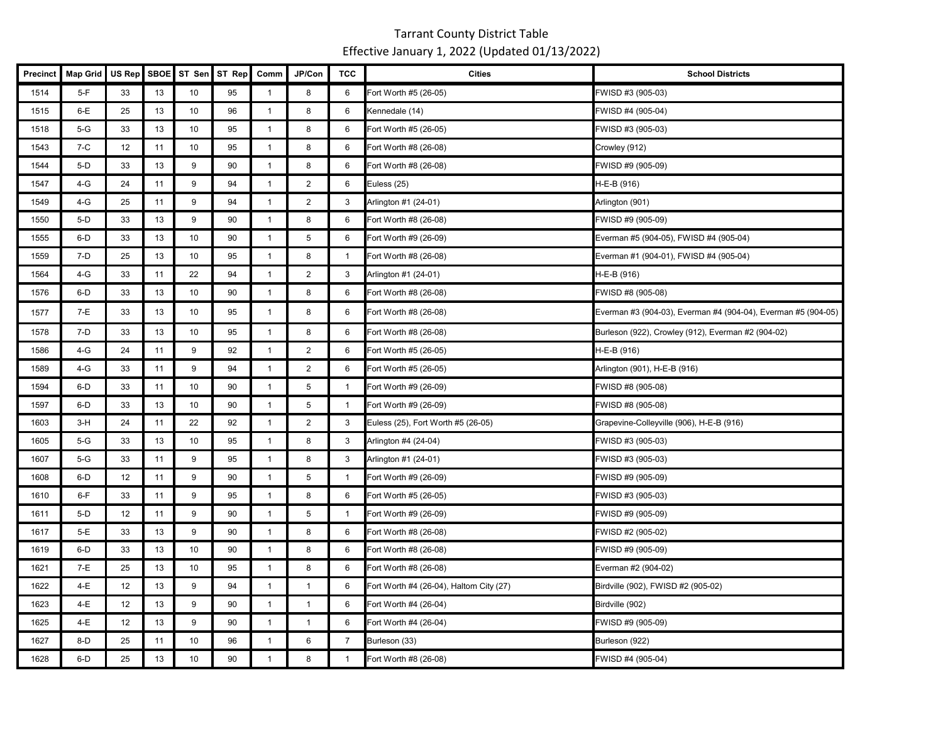| <b>Precinct</b> | <b>Map Grid</b> | US Rep | <b>SBOE</b> | ST Sen | ST Rep | Comm           | JP/Con           | <b>TCC</b>     | <b>Cities</b>                           | <b>School Districts</b>                                       |
|-----------------|-----------------|--------|-------------|--------|--------|----------------|------------------|----------------|-----------------------------------------|---------------------------------------------------------------|
| 1514            | $5-F$           | 33     | 13          | 10     | 95     | $\mathbf{1}$   | 8                | 6              | Fort Worth #5 (26-05)                   | FWISD #3 (905-03)                                             |
| 1515            | $6-E$           | 25     | 13          | 10     | 96     | $\mathbf{1}$   | 8                | 6              | Kennedale (14)                          | FWISD #4 (905-04)                                             |
| 1518            | $5-G$           | 33     | 13          | 10     | 95     | $\mathbf{1}$   | 8                | 6              | Fort Worth #5 (26-05)                   | FWISD #3 (905-03)                                             |
| 1543            | $7-C$           | 12     | 11          | 10     | 95     | $\mathbf{1}$   | 8                | 6              | Fort Worth #8 (26-08)                   | Crowley (912)                                                 |
| 1544            | $5-D$           | 33     | 13          | 9      | 90     | $\mathbf{1}$   | 8                | 6              | Fort Worth #8 (26-08)                   | FWISD #9 (905-09)                                             |
| 1547            | $4-G$           | 24     | 11          | 9      | 94     | $\mathbf{1}$   | $\overline{2}$   | 6              | Euless (25)                             | H-E-B (916)                                                   |
| 1549            | 4-G             | 25     | 11          | 9      | 94     | $\overline{1}$ | $\overline{2}$   | 3              | Arlington #1 (24-01)                    | Arlington (901)                                               |
| 1550            | $5-D$           | 33     | 13          | 9      | 90     | $\mathbf{1}$   | 8                | 6              | Fort Worth #8 (26-08)                   | FWISD #9 (905-09)                                             |
| 1555            | $6-D$           | 33     | 13          | 10     | 90     | $\overline{1}$ | 5                | 6              | Fort Worth #9 (26-09)                   | Everman #5 (904-05), FWISD #4 (905-04)                        |
| 1559            | $7-D$           | 25     | 13          | 10     | 95     | $\overline{1}$ | 8                | $\mathbf{1}$   | Fort Worth #8 (26-08)                   | Everman #1 (904-01), FWISD #4 (905-04)                        |
| 1564            | $4-G$           | 33     | 11          | 22     | 94     | $\overline{1}$ | $\overline{2}$   | 3              | Arlington #1 (24-01)                    | H-E-B (916)                                                   |
| 1576            | 6-D             | 33     | 13          | 10     | 90     | $\mathbf{1}$   | 8                | 6              | Fort Worth #8 (26-08)                   | FWISD #8 (905-08)                                             |
| 1577            | $7-E$           | 33     | 13          | 10     | 95     | $\mathbf{1}$   | 8                | 6              | Fort Worth #8 (26-08)                   | Everman #3 (904-03), Everman #4 (904-04), Everman #5 (904-05) |
| 1578            | $7-D$           | 33     | 13          | 10     | 95     | $\mathbf{1}$   | 8                | 6              | Fort Worth #8 (26-08)                   | Burleson (922), Crowley (912), Everman #2 (904-02)            |
| 1586            | $4-G$           | 24     | 11          | 9      | 92     | $\mathbf{1}$   | $\overline{2}$   | 6              | Fort Worth #5 (26-05)                   | H-E-B (916)                                                   |
| 1589            | 4-G             | 33     | 11          | 9      | 94     | $\mathbf{1}$   | $\overline{2}$   | 6              | Fort Worth #5 (26-05)                   | Arlington (901), H-E-B (916)                                  |
| 1594            | 6-D             | 33     | 11          | 10     | 90     | $\mathbf{1}$   | 5                | $\mathbf{1}$   | Fort Worth #9 (26-09)                   | FWISD #8 (905-08)                                             |
| 1597            | $6-D$           | 33     | 13          | 10     | 90     | $\overline{1}$ | $\,$ 5 $\,$      | $\overline{1}$ | Fort Worth #9 (26-09)                   | FWISD #8 (905-08)                                             |
| 1603            | $3-H$           | 24     | 11          | 22     | 92     | $\mathbf{1}$   | $\boldsymbol{2}$ | 3              | Euless (25), Fort Worth #5 (26-05)      | Grapevine-Colleyville (906), H-E-B (916)                      |
| 1605            | $5-G$           | 33     | 13          | 10     | 95     | $\mathbf{1}$   | 8                | 3              | Arlington #4 (24-04)                    | FWISD #3 (905-03)                                             |
| 1607            | $5-G$           | 33     | 11          | 9      | 95     | $\mathbf{1}$   | 8                | 3              | Arlington #1 (24-01)                    | FWISD #3 (905-03)                                             |
| 1608            | 6-D             | 12     | 11          | 9      | 90     | $\overline{1}$ | 5                | $\overline{1}$ | Fort Worth #9 (26-09)                   | FWISD #9 (905-09)                                             |
| 1610            | $6-F$           | 33     | 11          | 9      | 95     | $\mathbf{1}$   | 8                | 6              | Fort Worth #5 (26-05)                   | FWISD #3 (905-03)                                             |
| 1611            | $5-D$           | 12     | 11          | 9      | 90     | $\mathbf{1}$   | 5                | $\overline{1}$ | Fort Worth #9 (26-09)                   | FWISD #9 (905-09)                                             |
| 1617            | 5-E             | 33     | 13          | 9      | 90     | $\mathbf{1}$   | 8                | 6              | Fort Worth #8 (26-08)                   | FWISD #2 (905-02)                                             |
| 1619            | 6-D             | 33     | 13          | 10     | 90     | $\overline{1}$ | 8                | 6              | Fort Worth #8 (26-08)                   | FWISD #9 (905-09)                                             |
| 1621            | 7-E             | 25     | 13          | 10     | 95     | $\mathbf{1}$   | 8                | 6              | Fort Worth #8 (26-08)                   | Everman #2 (904-02)                                           |
| 1622            | 4-E             | 12     | 13          | 9      | 94     | $\mathbf{1}$   | $\mathbf{1}$     | 6              | Fort Worth #4 (26-04), Haltom City (27) | Birdville (902), FWISD #2 (905-02)                            |
| 1623            | 4-E             | 12     | 13          | 9      | 90     | $\mathbf{1}$   | $\mathbf{1}$     | 6              | Fort Worth #4 (26-04)                   | Birdville (902)                                               |
| 1625            | 4-E             | 12     | 13          | 9      | 90     | $\mathbf{1}$   | $\mathbf{1}$     | 6              | Fort Worth #4 (26-04)                   | FWISD #9 (905-09)                                             |
| 1627            | $8-D$           | 25     | 11          | 10     | 96     | $\mathbf{1}$   | 6                | 7              | Burleson (33)                           | Burleson (922)                                                |
| 1628            | $6-D$           | 25     | 13          | 10     | 90     | $\overline{1}$ | 8                | $\mathbf{1}$   | Fort Worth #8 (26-08)                   | FWISD #4 (905-04)                                             |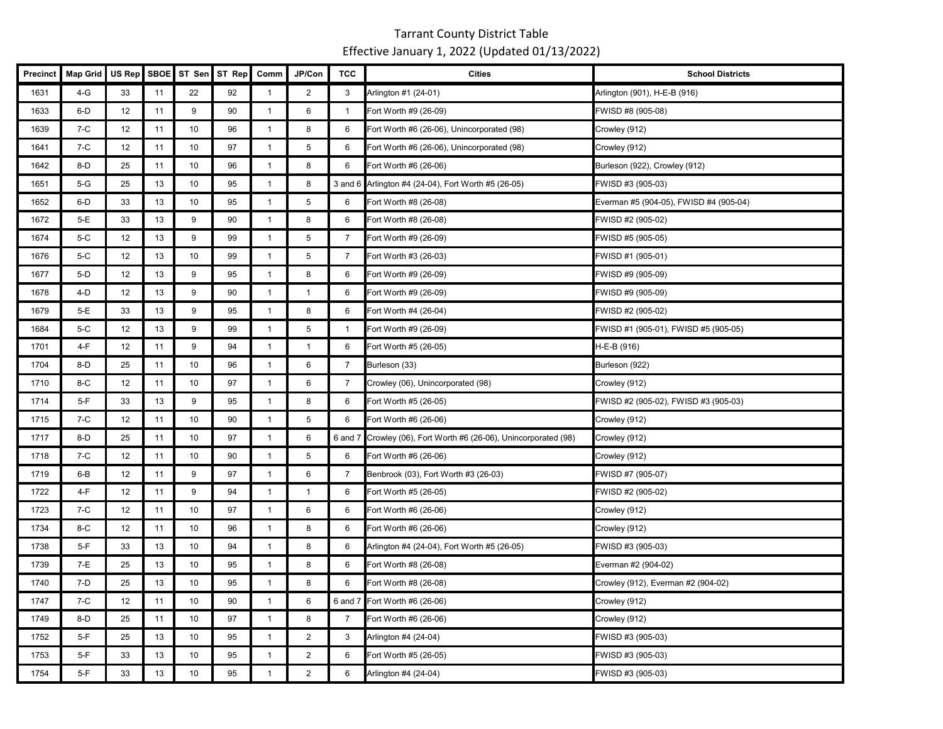| <b>Precinct</b> | <b>Map Grid</b> | US Rep | <b>SBOE</b> | ST Sen | ST Rep | Comm           | JP/Con         | <b>TCC</b>     | <b>Cities</b>                                            | <b>School Districts</b>                |
|-----------------|-----------------|--------|-------------|--------|--------|----------------|----------------|----------------|----------------------------------------------------------|----------------------------------------|
| 1631            | 4-G             | 33     | 11          | 22     | 92     | $\mathbf{1}$   | $\overline{2}$ | 3              | Arlington #1 (24-01)                                     | Arlington (901), H-E-B (916)           |
| 1633            | 6-D             | 12     | 11          | 9      | 90     | $\mathbf{1}$   | 6              | $\mathbf{1}$   | Fort Worth #9 (26-09)                                    | FWISD #8 (905-08)                      |
| 1639            | $7-C$           | 12     | 11          | 10     | 96     | $\overline{1}$ | 8              | 6              | Fort Worth #6 (26-06), Unincorporated (98)               | Crowley (912)                          |
| 1641            | $7-C$           | 12     | 11          | 10     | 97     | $\overline{1}$ | 5              | 6              | Fort Worth #6 (26-06), Unincorporated (98)               | Crowley (912)                          |
| 1642            | $8-D$           | 25     | 11          | 10     | 96     | $\mathbf{1}$   | 8              | 6              | Fort Worth #6 (26-06)                                    | Burleson (922), Crowley (912)          |
| 1651            | $5-G$           | 25     | 13          | 10     | 95     | $\mathbf{1}$   | 8              |                | 3 and 6 Arlington #4 (24-04), Fort Worth #5 (26-05)      | FWISD #3 (905-03)                      |
| 1652            | $6-D$           | 33     | 13          | 10     | 95     | $\overline{1}$ | 5              | 6              | Fort Worth #8 (26-08)                                    | Everman #5 (904-05), FWISD #4 (905-04) |
| 1672            | $5-E$           | 33     | 13          | 9      | 90     | $\mathbf{1}$   | 8              | 6              | Fort Worth #8 (26-08)                                    | FWISD #2 (905-02)                      |
| 1674            | $5-C$           | 12     | 13          | 9      | 99     | $\overline{1}$ | 5              | $\overline{7}$ | Fort Worth #9 (26-09)                                    | FWISD #5 (905-05)                      |
| 1676            | $5-C$           | 12     | 13          | 10     | 99     | $\mathbf{1}$   | $\,$ 5 $\,$    | $\overline{7}$ | Fort Worth #3 (26-03)                                    | FWISD #1 (905-01)                      |
| 1677            | $5-D$           | 12     | 13          | 9      | 95     | $\mathbf{1}$   | 8              | 6              | Fort Worth #9 (26-09)                                    | FWISD #9 (905-09)                      |
| 1678            | $4-D$           | 12     | 13          | 9      | 90     | $\mathbf{1}$   | $\mathbf{1}$   | 6              | Fort Worth #9 (26-09)                                    | FWISD #9 (905-09)                      |
| 1679            | 5-E             | 33     | 13          | 9      | 95     | $\mathbf{1}$   | 8              | 6              | Fort Worth #4 (26-04)                                    | FWISD #2 (905-02)                      |
| 1684            | $5-C$           | 12     | 13          | 9      | 99     | $\mathbf{1}$   | 5              | $\mathbf{1}$   | Fort Worth #9 (26-09)                                    | FWISD #1 (905-01), FWISD #5 (905-05)   |
| 1701            | 4-F             | 12     | 11          | 9      | 94     | $\mathbf{1}$   | $\mathbf{1}$   | 6              | Fort Worth #5 (26-05)                                    | H-E-B (916)                            |
| 1704            | $8-D$           | 25     | 11          | 10     | 96     | $\mathbf{1}$   | 6              | $\overline{7}$ | Burleson (33)                                            | Burleson (922)                         |
| 1710            | $8-C$           | 12     | 11          | 10     | 97     | $\mathbf{1}$   | 6              | $\overline{7}$ | Crowley (06), Unincorporated (98)                        | Crowley (912)                          |
| 1714            | $5-F$           | 33     | 13          | 9      | 95     | $\mathbf{1}$   | 8              | 6              | Fort Worth #5 (26-05)                                    | FWISD #2 (905-02), FWISD #3 (905-03)   |
| 1715            | $7-C$           | 12     | 11          | 10     | 90     | $\overline{1}$ | 5              | 6              | Fort Worth #6 (26-06)                                    | Crowley (912)                          |
| 1717            | $8-D$           | 25     | 11          | 10     | 97     | $\overline{1}$ | 6              | $6$ and $7$    | Crowley (06), Fort Worth #6 (26-06), Unincorporated (98) | Crowley (912)                          |
| 1718            | $7-C$           | 12     | 11          | 10     | 90     | $\mathbf{1}$   | $\overline{5}$ | 6              | Fort Worth #6 (26-06)                                    | Crowley (912)                          |
| 1719            | $6 - B$         | 12     | 11          | 9      | 97     | $\mathbf{1}$   | 6              | $\overline{7}$ | Benbrook (03), Fort Worth #3 (26-03)                     | FWISD #7 (905-07)                      |
| 1722            | 4-F             | 12     | 11          | 9      | 94     | $\mathbf{1}$   | $\mathbf{1}$   | 6              | Fort Worth #5 (26-05)                                    | FWISD #2 (905-02)                      |
| 1723            | $7-C$           | 12     | 11          | 10     | 97     | $\overline{1}$ | 6              | 6              | Fort Worth #6 (26-06)                                    | Crowley (912)                          |
| 1734            | $8-C$           | 12     | 11          | 10     | 96     | $\overline{1}$ | 8              | 6              | Fort Worth #6 (26-06)                                    | Crowley (912)                          |
| 1738            | $5-F$           | 33     | 13          | 10     | 94     | $\mathbf{1}$   | 8              | 6              | Arlington #4 (24-04), Fort Worth #5 (26-05)              | FWISD #3 (905-03)                      |
| 1739            | 7-E             | 25     | 13          | 10     | 95     | $\mathbf{1}$   | 8              | 6              | Fort Worth #8 (26-08)                                    | Everman #2 (904-02)                    |
| 1740            | 7-D             | 25     | 13          | 10     | 95     | $\overline{1}$ | 8              | 6              | Fort Worth #8 (26-08)                                    | Crowley (912), Everman #2 (904-02)     |
| 1747            | $7-C$           | 12     | 11          | 10     | 90     | $\mathbf{1}$   | 6              |                | 6 and 7 Fort Worth #6 (26-06)                            | Crowley (912)                          |
| 1749            | $8-D$           | 25     | 11          | 10     | 97     | $\overline{1}$ | 8              | $\overline{7}$ | Fort Worth #6 (26-06)                                    | Crowley (912)                          |
| 1752            | $5-F$           | 25     | 13          | 10     | 95     | $\overline{1}$ | 2              | 3              | Arlington #4 (24-04)                                     | FWISD #3 (905-03)                      |
| 1753            | $5-F$           | 33     | 13          | 10     | 95     | $\mathbf{1}$   | 2              | 6              | Fort Worth #5 (26-05)                                    | FWISD #3 (905-03)                      |
| 1754            | $5-F$           | 33     | 13          | 10     | 95     | $\mathbf{1}$   | 2              | 6              | Arlington #4 (24-04)                                     | FWISD #3 (905-03)                      |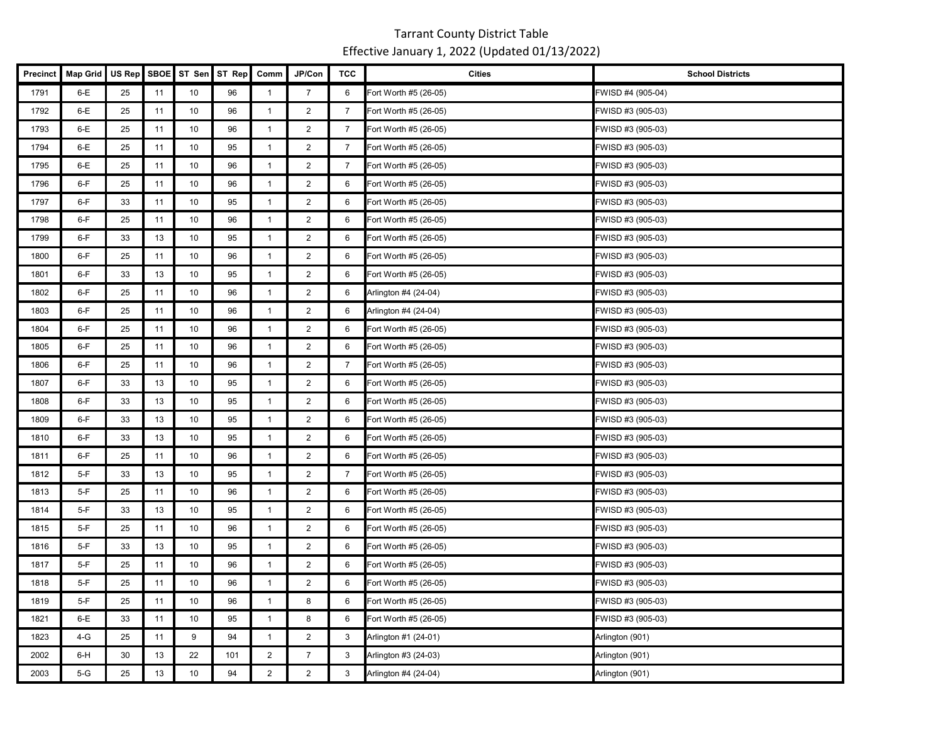| Precinct | <b>Map Grid</b> | US Rep | <b>SBOE</b> | ST Sen | ST Rep | Comm           | JP/Con         | <b>TCC</b>     | <b>Cities</b>         | <b>School Districts</b> |
|----------|-----------------|--------|-------------|--------|--------|----------------|----------------|----------------|-----------------------|-------------------------|
| 1791     | $6-E$           | 25     | 11          | 10     | 96     | $\mathbf{1}$   | $\overline{7}$ | 6              | Fort Worth #5 (26-05) | FWISD #4 (905-04)       |
| 1792     | $6-E$           | 25     | 11          | 10     | 96     | $\mathbf{1}$   | 2              | $\overline{7}$ | Fort Worth #5 (26-05) | FWISD #3 (905-03)       |
| 1793     | $6-E$           | 25     | 11          | 10     | 96     | $\mathbf{1}$   | 2              | $\overline{7}$ | Fort Worth #5 (26-05) | FWISD #3 (905-03)       |
| 1794     | $6-E$           | 25     | 11          | 10     | 95     | $\mathbf{1}$   | $\overline{2}$ | $\overline{7}$ | Fort Worth #5 (26-05) | FWISD #3 (905-03)       |
| 1795     | $6-E$           | 25     | 11          | 10     | 96     | $\mathbf{1}$   | $\overline{2}$ | $\overline{7}$ | Fort Worth #5 (26-05) | FWISD #3 (905-03)       |
| 1796     | $6-F$           | 25     | 11          | 10     | 96     | $\mathbf{1}$   | $\overline{2}$ | 6              | Fort Worth #5 (26-05) | FWISD #3 (905-03)       |
| 1797     | $6-F$           | 33     | 11          | 10     | 95     | $\mathbf{1}$   | $\overline{2}$ | 6              | Fort Worth #5 (26-05) | FWISD #3 (905-03)       |
| 1798     | $6-F$           | 25     | 11          | 10     | 96     | $\mathbf{1}$   | $\overline{2}$ | 6              | Fort Worth #5 (26-05) | FWISD #3 (905-03)       |
| 1799     | $6-F$           | 33     | 13          | 10     | 95     | $\mathbf{1}$   | $\overline{2}$ | 6              | Fort Worth #5 (26-05) | FWISD #3 (905-03)       |
| 1800     | $6-F$           | 25     | 11          | 10     | 96     | $\mathbf{1}$   | $\overline{2}$ | 6              | Fort Worth #5 (26-05) | FWISD #3 (905-03)       |
| 1801     | 6-F             | 33     | 13          | 10     | 95     | $\mathbf{1}$   | $\overline{2}$ | 6              | Fort Worth #5 (26-05) | FWISD #3 (905-03)       |
| 1802     | 6-F             | 25     | 11          | 10     | 96     | $\mathbf{1}$   | $\overline{2}$ | 6              | Arlington #4 (24-04)  | FWISD #3 (905-03)       |
| 1803     | $6-F$           | 25     | 11          | 10     | 96     | $\mathbf{1}$   | $\overline{2}$ | 6              | Arlington #4 (24-04)  | FWISD #3 (905-03)       |
| 1804     | $6-F$           | 25     | 11          | 10     | 96     | $\overline{1}$ | $\overline{2}$ | 6              | Fort Worth #5 (26-05) | FWISD #3 (905-03)       |
| 1805     | 6-F             | 25     | 11          | 10     | 96     | $\mathbf{1}$   | 2              | 6              | Fort Worth #5 (26-05) | FWISD #3 (905-03)       |
| 1806     | $6-F$           | 25     | 11          | 10     | 96     | $\mathbf{1}$   | $\overline{2}$ | $\overline{7}$ | Fort Worth #5 (26-05) | FWISD #3 (905-03)       |
| 1807     | $6-F$           | 33     | 13          | 10     | 95     | $\mathbf{1}$   | $\overline{2}$ | 6              | Fort Worth #5 (26-05) | FWISD #3 (905-03)       |
| 1808     | $6-F$           | 33     | 13          | 10     | 95     | $\mathbf{1}$   | $\overline{2}$ | 6              | Fort Worth #5 (26-05) | FWISD #3 (905-03)       |
| 1809     | 6-F             | 33     | 13          | 10     | 95     | $\mathbf{1}$   | $\overline{2}$ | 6              | Fort Worth #5 (26-05) | FWISD #3 (905-03)       |
| 1810     | $6-F$           | 33     | 13          | 10     | 95     | $\mathbf{1}$   | $\overline{2}$ | 6              | Fort Worth #5 (26-05) | FWISD #3 (905-03)       |
| 1811     | 6-F             | 25     | 11          | 10     | 96     | $\mathbf{1}$   | $\overline{2}$ | 6              | Fort Worth #5 (26-05) | FWISD #3 (905-03)       |
| 1812     | $5-F$           | 33     | 13          | 10     | 95     | $\mathbf{1}$   | $\overline{2}$ | $\overline{7}$ | Fort Worth #5 (26-05) | FWISD #3 (905-03)       |
| 1813     | $5-F$           | 25     | 11          | 10     | 96     | $\mathbf{1}$   | $\overline{2}$ | 6              | Fort Worth #5 (26-05) | FWISD #3 (905-03)       |
| 1814     | $5-F$           | 33     | 13          | 10     | 95     | $\mathbf{1}$   | 2              | 6              | Fort Worth #5 (26-05) | FWISD #3 (905-03)       |
| 1815     | $5-F$           | 25     | 11          | 10     | 96     | $\mathbf{1}$   | $\overline{2}$ | 6              | Fort Worth #5 (26-05) | FWISD #3 (905-03)       |
| 1816     | $5-F$           | 33     | 13          | 10     | 95     | $\mathbf{1}$   | $\overline{2}$ | 6              | Fort Worth #5 (26-05) | FWISD #3 (905-03)       |
| 1817     | $5-F$           | 25     | 11          | 10     | 96     | $\mathbf{1}$   | $\overline{2}$ | 6              | Fort Worth #5 (26-05) | FWISD #3 (905-03)       |
| 1818     | $5-F$           | 25     | 11          | 10     | 96     | $\mathbf{1}$   | $\overline{2}$ | 6              | Fort Worth #5 (26-05) | FWISD #3 (905-03)       |
| 1819     | $5-F$           | 25     | 11          | 10     | 96     | $\mathbf{1}$   | 8              | 6              | Fort Worth #5 (26-05) | FWISD #3 (905-03)       |
| 1821     | $6-E$           | 33     | 11          | 10     | 95     | $\mathbf{1}$   | 8              | 6              | Fort Worth #5 (26-05) | FWISD #3 (905-03)       |
| 1823     | 4-G             | 25     | 11          | 9      | 94     | $\mathbf{1}$   | $\overline{2}$ | 3              | Arlington #1 (24-01)  | Arlington (901)         |
| 2002     | $6-H$           | 30     | 13          | 22     | 101    | $\overline{2}$ | $\overline{7}$ | 3              | Arlington #3 (24-03)  | Arlington (901)         |
| 2003     | $5-G$           | 25     | 13          | 10     | 94     | $\overline{2}$ | 2              | 3              | Arlington #4 (24-04)  | Arlington (901)         |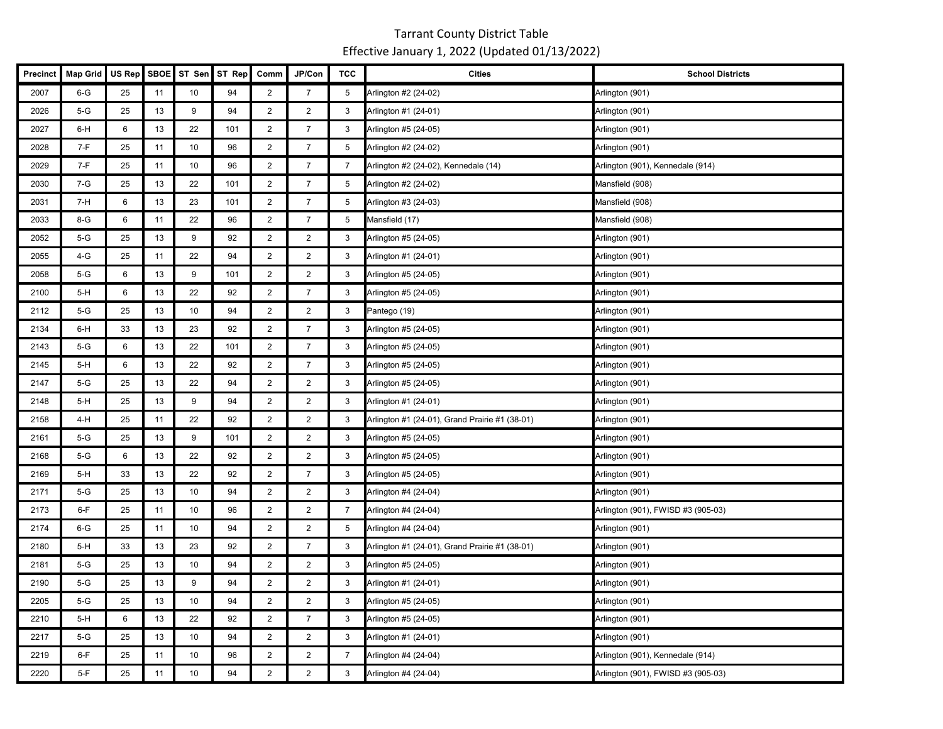| Precinct | <b>Map Grid</b> | US Rep | <b>SBOE</b> | ST Sen | ST Rep | Comm                    | JP/Con         | <b>TCC</b>     | <b>Cities</b>                                  | <b>School Districts</b>            |
|----------|-----------------|--------|-------------|--------|--------|-------------------------|----------------|----------------|------------------------------------------------|------------------------------------|
| 2007     | $6 - G$         | 25     | 11          | 10     | 94     | $\overline{2}$          | $\overline{7}$ | 5              | Arlington #2 (24-02)                           | Arlington (901)                    |
| 2026     | $5-G$           | 25     | 13          | 9      | 94     | $\overline{2}$          | $\overline{2}$ | 3              | Arlington #1 (24-01)                           | Arlington (901)                    |
| 2027     | 6-H             | 6      | 13          | 22     | 101    | $\overline{2}$          | $\overline{7}$ | 3              | Arlington #5 (24-05)                           | Arlington (901)                    |
| 2028     | 7-F             | 25     | 11          | 10     | 96     | $\overline{2}$          | $\overline{7}$ | 5              | Arlington #2 (24-02)                           | Arlington (901)                    |
| 2029     | 7-F             | 25     | 11          | 10     | 96     | $\overline{2}$          | $\overline{7}$ | $\overline{7}$ | Arlington #2 (24-02), Kennedale (14)           | Arlington (901), Kennedale (914)   |
| 2030     | $7-G$           | 25     | 13          | 22     | 101    | $\overline{2}$          | $\overline{7}$ | 5              | Arlington #2 (24-02)                           | Mansfield (908)                    |
| 2031     | $7-H$           | 6      | 13          | 23     | 101    | $\overline{2}$          | $\overline{7}$ | 5              | Arlington #3 (24-03)                           | Mansfield (908)                    |
| 2033     | $8-G$           | 6      | 11          | 22     | 96     | $\overline{2}$          | $\overline{7}$ | 5              | Mansfield (17)                                 | Mansfield (908)                    |
| 2052     | $5-G$           | 25     | 13          | 9      | 92     | $\overline{2}$          | $\overline{2}$ | 3              | Arlington #5 (24-05)                           | Arlington (901)                    |
| 2055     | 4-G             | 25     | 11          | 22     | 94     | $\overline{2}$          | $\overline{2}$ | 3              | Arlington #1 (24-01)                           | Arlington (901)                    |
| 2058     | $5-G$           | 6      | 13          | 9      | 101    | $\overline{2}$          | $\overline{2}$ | 3              | Arlington #5 (24-05)                           | Arlington (901)                    |
| 2100     | $5-H$           | 6      | 13          | 22     | 92     | $\overline{2}$          | $\overline{7}$ | 3              | Arlington #5 (24-05)                           | Arlington (901)                    |
| 2112     | $5-G$           | 25     | 13          | 10     | 94     | 2                       | 2              | 3              | Pantego (19)                                   | Arlington (901)                    |
| 2134     | 6-H             | 33     | 13          | 23     | 92     | $\overline{2}$          | $\overline{7}$ | 3              | Arlington #5 (24-05)                           | Arlington (901)                    |
| 2143     | $5-G$           | 6      | 13          | 22     | 101    | $\overline{2}$          | $\overline{7}$ | 3              | Arlington #5 (24-05)                           | Arlington (901)                    |
| 2145     | 5-H             | 6      | 13          | 22     | 92     | $\overline{\mathbf{c}}$ | $\overline{7}$ | 3              | Arlington #5 (24-05)                           | Arlington (901)                    |
| 2147     | $5-G$           | 25     | 13          | 22     | 94     | $\overline{2}$          | $\overline{2}$ | 3              | Arlington #5 (24-05)                           | Arlington (901)                    |
| 2148     | $5-H$           | 25     | 13          | 9      | 94     | $\overline{2}$          | $\overline{2}$ | 3              | Arlington #1 (24-01)                           | Arlington (901)                    |
| 2158     | 4-H             | 25     | 11          | 22     | 92     | $\overline{2}$          | $\overline{2}$ | 3              | Arlington #1 (24-01), Grand Prairie #1 (38-01) | Arlington (901)                    |
| 2161     | $5-G$           | 25     | 13          | 9      | 101    | $\overline{2}$          | $\overline{2}$ | 3              | Arlington #5 (24-05)                           | Arlington (901)                    |
| 2168     | $5-G$           | 6      | 13          | 22     | 92     | $\overline{\mathbf{c}}$ | $\overline{2}$ | 3              | Arlington #5 (24-05)                           | Arlington (901)                    |
| 2169     | $5-H$           | 33     | 13          | 22     | 92     | $\overline{2}$          | $\overline{7}$ | 3              | Arlington #5 (24-05)                           | Arlington (901)                    |
| 2171     | $5-G$           | 25     | 13          | 10     | 94     | $\overline{2}$          | $\overline{2}$ | 3              | Arlington #4 (24-04)                           | Arlington (901)                    |
| 2173     | $6-F$           | 25     | 11          | 10     | 96     | $\overline{2}$          | $\overline{2}$ | $\overline{7}$ | Arlington #4 (24-04)                           | Arlington (901), FWISD #3 (905-03) |
| 2174     | $6-G$           | 25     | 11          | 10     | 94     | $\overline{2}$          | $\overline{2}$ | 5              | Arlington #4 (24-04)                           | Arlington (901)                    |
| 2180     | $5-H$           | 33     | 13          | 23     | 92     | $\overline{2}$          | $\overline{7}$ | 3              | Arlington #1 (24-01), Grand Prairie #1 (38-01) | Arlington (901)                    |
| 2181     | $5-G$           | 25     | 13          | 10     | 94     | $\overline{c}$          | $\overline{c}$ | 3              | Arlington #5 (24-05)                           | Arlington (901)                    |
| 2190     | $5-G$           | 25     | 13          | 9      | 94     | $\overline{2}$          | $\overline{2}$ | 3              | Arlington #1 (24-01)                           | Arlington (901)                    |
| 2205     | $5-G$           | 25     | 13          | 10     | 94     | $\overline{2}$          | $\overline{2}$ | 3              | Arlington #5 (24-05)                           | Arlington (901)                    |
| 2210     | $5-H$           | 6      | 13          | 22     | 92     | $\overline{2}$          | $\overline{7}$ | 3              | Arlington #5 (24-05)                           | Arlington (901)                    |
| 2217     | 5-G             | 25     | 13          | 10     | 94     | $\overline{2}$          | $\overline{2}$ | 3              | Arlington #1 (24-01)                           | Arlington (901)                    |
| 2219     | $6-F$           | 25     | 11          | 10     | 96     | $\overline{2}$          | $\overline{2}$ | $\overline{7}$ | Arlington #4 (24-04)                           | Arlington (901), Kennedale (914)   |
| 2220     | $5-F$           | 25     | 11          | 10     | 94     | $\overline{2}$          | 2              | 3              | Arlington #4 (24-04)                           | Arlington (901), FWISD #3 (905-03) |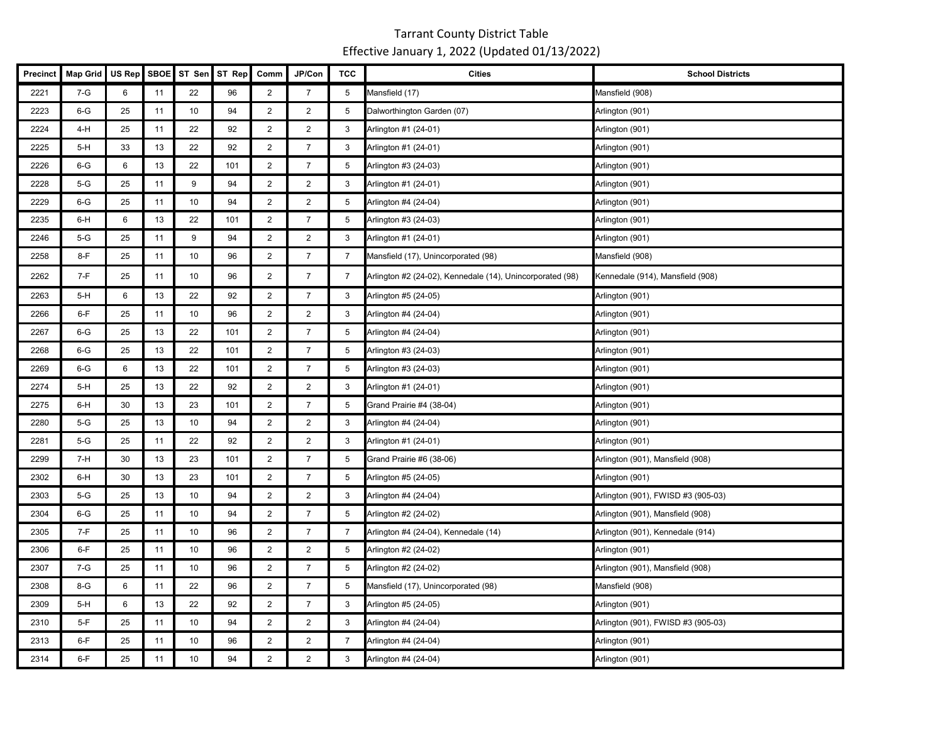| <b>Precinct</b> | <b>Map Grid</b> | US Rep | <b>SBOE</b> | ST Sen | ST Rep | Comm           | JP/Con         | <b>TCC</b>     | <b>Cities</b>                                             | <b>School Districts</b>            |
|-----------------|-----------------|--------|-------------|--------|--------|----------------|----------------|----------------|-----------------------------------------------------------|------------------------------------|
| 2221            | $7-G$           | 6      | 11          | 22     | 96     | $\overline{2}$ | $\overline{7}$ | 5              | Mansfield (17)                                            | Mansfield (908)                    |
| 2223            | $6-G$           | 25     | 11          | 10     | 94     | $\overline{2}$ | $\overline{2}$ | 5              | Dalworthington Garden (07)                                | Arlington (901)                    |
| 2224            | 4-H             | 25     | 11          | 22     | 92     | $\overline{2}$ | $\overline{2}$ | 3              | Arlington #1 (24-01)                                      | Arlington (901)                    |
| 2225            | $5-H$           | 33     | 13          | 22     | 92     | $\overline{2}$ | $\overline{7}$ | 3              | Arlington #1 (24-01)                                      | Arlington (901)                    |
| 2226            | $6-G$           | 6      | 13          | 22     | 101    | $\overline{2}$ | $\overline{7}$ | 5              | Arlington #3 (24-03)                                      | Arlington (901)                    |
| 2228            | $5-G$           | 25     | 11          | 9      | 94     | $\overline{2}$ | $\overline{2}$ | 3              | Arlington #1 (24-01)                                      | Arlington (901)                    |
| 2229            | $6 - G$         | 25     | 11          | 10     | 94     | $\overline{2}$ | $\overline{2}$ | 5              | Arlington #4 (24-04)                                      | Arlington (901)                    |
| 2235            | 6-H             | 6      | 13          | 22     | 101    | $\overline{c}$ | $\overline{7}$ | 5              | Arlington #3 (24-03)                                      | Arlington (901)                    |
| 2246            | $5-G$           | 25     | 11          | 9      | 94     | $\overline{2}$ | $\overline{2}$ | 3              | Arlington #1 (24-01)                                      | Arlington (901)                    |
| 2258            | $8-F$           | 25     | 11          | 10     | 96     | $\overline{2}$ | $\overline{7}$ | $\overline{7}$ | Mansfield (17), Unincorporated (98)                       | Mansfield (908)                    |
| 2262            | 7-F             | 25     | 11          | 10     | 96     | $\overline{2}$ | $\overline{7}$ | $\overline{7}$ | Arlington #2 (24-02), Kennedale (14), Unincorporated (98) | Kennedale (914), Mansfield (908)   |
| 2263            | $5-H$           | 6      | 13          | 22     | 92     | $\overline{2}$ | $\overline{7}$ | 3              | Arlington #5 (24-05)                                      | Arlington (901)                    |
| 2266            | $6-F$           | 25     | 11          | 10     | 96     | $\overline{2}$ | $\overline{2}$ | 3              | Arlington #4 (24-04)                                      | Arlington (901)                    |
| 2267            | $6-G$           | 25     | 13          | 22     | 101    | $\overline{2}$ | $\overline{7}$ | 5              | Arlington #4 (24-04)                                      | Arlington (901)                    |
| 2268            | $6-G$           | 25     | 13          | 22     | 101    | $\overline{2}$ | $\overline{7}$ | 5              | Arlington #3 (24-03)                                      | Arlington (901)                    |
| 2269            | $6-G$           | 6      | 13          | 22     | 101    | $\overline{2}$ | $\overline{7}$ | 5              | Arlington #3 (24-03)                                      | Arlington (901)                    |
| 2274            | $5-H$           | 25     | 13          | 22     | 92     | $\overline{2}$ | $\overline{2}$ | 3              | Arlington #1 (24-01)                                      | Arlington (901)                    |
| 2275            | 6-H             | 30     | 13          | 23     | 101    | $\overline{2}$ | $\overline{7}$ | 5              | Grand Prairie #4 (38-04)                                  | Arlington (901)                    |
| 2280            | $5-G$           | 25     | 13          | 10     | 94     | $\sqrt{2}$     | $\overline{c}$ | 3              | Arlington #4 (24-04)                                      | Arlington (901)                    |
| 2281            | $5-G$           | 25     | 11          | 22     | 92     | $\overline{2}$ | $\overline{2}$ | 3              | Arlington #1 (24-01)                                      | Arlington (901)                    |
| 2299            | $7-H$           | 30     | 13          | 23     | 101    | $\overline{2}$ | $\overline{7}$ | 5              | Grand Prairie #6 (38-06)                                  | Arlington (901), Mansfield (908)   |
| 2302            | 6-H             | 30     | 13          | 23     | 101    | $\overline{2}$ | $\overline{7}$ | 5              | Arlington #5 (24-05)                                      | Arlington (901)                    |
| 2303            | $5-G$           | 25     | 13          | 10     | 94     | $\overline{2}$ | $\overline{2}$ | 3              | Arlington #4 (24-04)                                      | Arlington (901), FWISD #3 (905-03) |
| 2304            | $6-G$           | 25     | 11          | 10     | 94     | $\overline{2}$ | $\overline{7}$ | 5              | Arlington #2 (24-02)                                      | Arlington (901), Mansfield (908)   |
| 2305            | 7-F             | 25     | 11          | 10     | 96     | $\overline{2}$ | $\overline{7}$ | 7              | Arlington #4 (24-04), Kennedale (14)                      | Arlington (901), Kennedale (914)   |
| 2306            | $6-F$           | 25     | 11          | 10     | 96     | $\overline{2}$ | $\overline{2}$ | 5              | Arlington #2 (24-02)                                      | Arlington (901)                    |
| 2307            | 7-G             | 25     | 11          | 10     | 96     | $\overline{2}$ | $\overline{7}$ | 5              | Arlington #2 (24-02)                                      | Arlington (901), Mansfield (908)   |
| 2308            | 8-G             | 6      | 11          | 22     | 96     | $\overline{2}$ | $\overline{7}$ | 5              | Mansfield (17), Unincorporated (98)                       | Mansfield (908)                    |
| 2309            | $5-H$           | 6      | 13          | 22     | 92     | $\overline{2}$ | $\overline{7}$ | 3              | Arlington #5 (24-05)                                      | Arlington (901)                    |
| 2310            | $5-F$           | 25     | 11          | 10     | 94     | $\overline{2}$ | $\overline{2}$ | 3              | Arlington #4 (24-04)                                      | Arlington (901), FWISD #3 (905-03) |
| 2313            | $6-F$           | 25     | 11          | 10     | 96     | $\overline{2}$ | $\overline{2}$ | 7              | Arlington #4 (24-04)                                      | Arlington (901)                    |
| 2314            | 6-F             | 25     | 11          | 10     | 94     | $\overline{2}$ | 2              | 3              | Arlington #4 (24-04)                                      | Arlington (901)                    |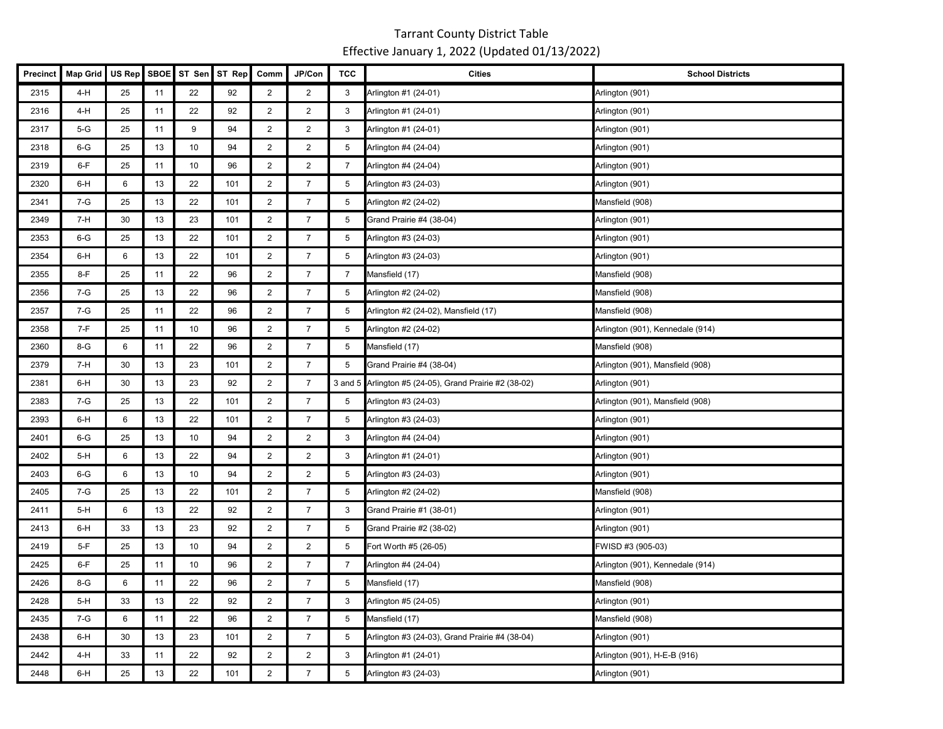| Precinct | <b>Map Grid</b> | US Rep | <b>SBOE</b> | ST Sen | ST Rep | Comm                    | JP/Con         | <b>TCC</b>     | <b>Cities</b>                                          | <b>School Districts</b>          |
|----------|-----------------|--------|-------------|--------|--------|-------------------------|----------------|----------------|--------------------------------------------------------|----------------------------------|
| 2315     | 4-H             | 25     | 11          | 22     | 92     | $\overline{2}$          | $\overline{2}$ | 3              | Arlington #1 (24-01)                                   | Arlington (901)                  |
| 2316     | 4-H             | 25     | 11          | 22     | 92     | $\overline{2}$          | $\overline{2}$ | 3              | Arlington #1 (24-01)                                   | Arlington (901)                  |
| 2317     | $5-G$           | 25     | 11          | 9      | 94     | $\overline{2}$          | $\overline{2}$ | 3              | Arlington #1 (24-01)                                   | Arlington (901)                  |
| 2318     | $6-G$           | 25     | 13          | 10     | 94     | 2                       | 2              | 5              | Arlington #4 (24-04)                                   | Arlington (901)                  |
| 2319     | $6-F$           | 25     | 11          | 10     | 96     | $\overline{2}$          | $\overline{2}$ | $\overline{7}$ | Arlington #4 (24-04)                                   | Arlington (901)                  |
| 2320     | 6-H             | 6      | 13          | 22     | 101    | $\overline{2}$          | $\overline{7}$ | 5              | Arlington #3 (24-03)                                   | Arlington (901)                  |
| 2341     | $7-G$           | 25     | 13          | 22     | 101    | $\overline{2}$          | $\overline{7}$ | 5              | Arlington #2 (24-02)                                   | Mansfield (908)                  |
| 2349     | 7-H             | 30     | 13          | 23     | 101    | $\overline{2}$          | $\overline{7}$ | 5              | Grand Prairie #4 (38-04)                               | Arlington (901)                  |
| 2353     | $6-G$           | 25     | 13          | 22     | 101    | $\overline{2}$          | $\overline{7}$ | 5              | Arlington #3 (24-03)                                   | Arlington (901)                  |
| 2354     | 6-H             | 6      | 13          | 22     | 101    | $\overline{2}$          | $\overline{7}$ | 5              | Arlington #3 (24-03)                                   | Arlington (901)                  |
| 2355     | $8-F$           | 25     | 11          | 22     | 96     | $\overline{2}$          | $\overline{7}$ | $\overline{7}$ | Mansfield (17)                                         | Mansfield (908)                  |
| 2356     | $7-G$           | 25     | 13          | 22     | 96     | $\overline{2}$          | $\overline{7}$ | 5              | Arlington #2 (24-02)                                   | Mansfield (908)                  |
| 2357     | $7-G$           | 25     | 11          | 22     | 96     | 2                       | $\overline{7}$ | 5              | Arlington #2 (24-02), Mansfield (17)                   | Mansfield (908)                  |
| 2358     | $7-F$           | 25     | 11          | 10     | 96     | $\overline{2}$          | $\overline{7}$ | 5              | Arlington #2 (24-02)                                   | Arlington (901), Kennedale (914) |
| 2360     | 8-G             | 6      | 11          | 22     | 96     | $\overline{2}$          | $\overline{7}$ | 5              | Mansfield (17)                                         | Mansfield (908)                  |
| 2379     | 7-H             | 30     | 13          | 23     | 101    | $\overline{\mathbf{c}}$ | $\overline{7}$ | 5              | Grand Prairie #4 (38-04)                               | Arlington (901), Mansfield (908) |
| 2381     | 6-H             | 30     | 13          | 23     | 92     | $\overline{2}$          | $\overline{7}$ |                | 3 and 5 Arlington #5 (24-05), Grand Prairie #2 (38-02) | Arlington (901)                  |
| 2383     | $7-G$           | 25     | 13          | 22     | 101    | $\overline{2}$          | $\overline{7}$ | 5              | Arlington #3 (24-03)                                   | Arlington (901), Mansfield (908) |
| 2393     | 6-H             | 6      | 13          | 22     | 101    | $\overline{2}$          | $\overline{7}$ | 5              | Arlington #3 (24-03)                                   | Arlington (901)                  |
| 2401     | $6 - G$         | 25     | 13          | 10     | 94     | $\overline{2}$          | $\overline{2}$ | 3              | Arlington #4 (24-04)                                   | Arlington (901)                  |
| 2402     | $5-H$           | 6      | 13          | 22     | 94     | $\overline{c}$          | $\overline{2}$ | 3              | Arlington #1 (24-01)                                   | Arlington (901)                  |
| 2403     | $6-G$           | 6      | 13          | 10     | 94     | $\overline{2}$          | $\overline{2}$ | 5              | Arlington #3 (24-03)                                   | Arlington (901)                  |
| 2405     | 7-G             | 25     | 13          | 22     | 101    | $\overline{2}$          | $\overline{7}$ | 5              | Arlington #2 (24-02)                                   | Mansfield (908)                  |
| 2411     | $5-H$           | 6      | 13          | 22     | 92     | $\overline{2}$          | $\overline{7}$ | 3              | Grand Prairie #1 (38-01)                               | Arlington (901)                  |
| 2413     | 6-H             | 33     | 13          | 23     | 92     | $\overline{2}$          | $\overline{7}$ | 5              | Grand Prairie #2 (38-02)                               | Arlington (901)                  |
| 2419     | $5-F$           | 25     | 13          | 10     | 94     | $\overline{2}$          | $\overline{2}$ | 5              | Fort Worth #5 (26-05)                                  | FWISD #3 (905-03)                |
| 2425     | $6-F$           | 25     | 11          | 10     | 96     | $\overline{c}$          | $\overline{7}$ | $\overline{7}$ | Arlington #4 (24-04)                                   | Arlington (901), Kennedale (914) |
| 2426     | 8-G             | 6      | 11          | 22     | 96     | $\overline{2}$          | $\overline{7}$ | 5              | Mansfield (17)                                         | Mansfield (908)                  |
| 2428     | $5-H$           | 33     | 13          | 22     | 92     | $\overline{2}$          | $\overline{7}$ | 3              | Arlington #5 (24-05)                                   | Arlington (901)                  |
| 2435     | $7-G$           | 6      | 11          | 22     | 96     | $\overline{2}$          | $\overline{7}$ | 5              | Mansfield (17)                                         | Mansfield (908)                  |
| 2438     | 6-H             | 30     | 13          | 23     | 101    | $\overline{2}$          | $\overline{7}$ | 5              | Arlington #3 (24-03), Grand Prairie #4 (38-04)         | Arlington (901)                  |
| 2442     | 4-H             | 33     | 11          | 22     | 92     | $\overline{2}$          | 2              | 3              | Arlington #1 (24-01)                                   | Arlington (901), H-E-B (916)     |
| 2448     | 6-H             | 25     | 13          | 22     | 101    | $\overline{2}$          | $\overline{7}$ | 5              | Arlington #3 (24-03)                                   | Arlington (901)                  |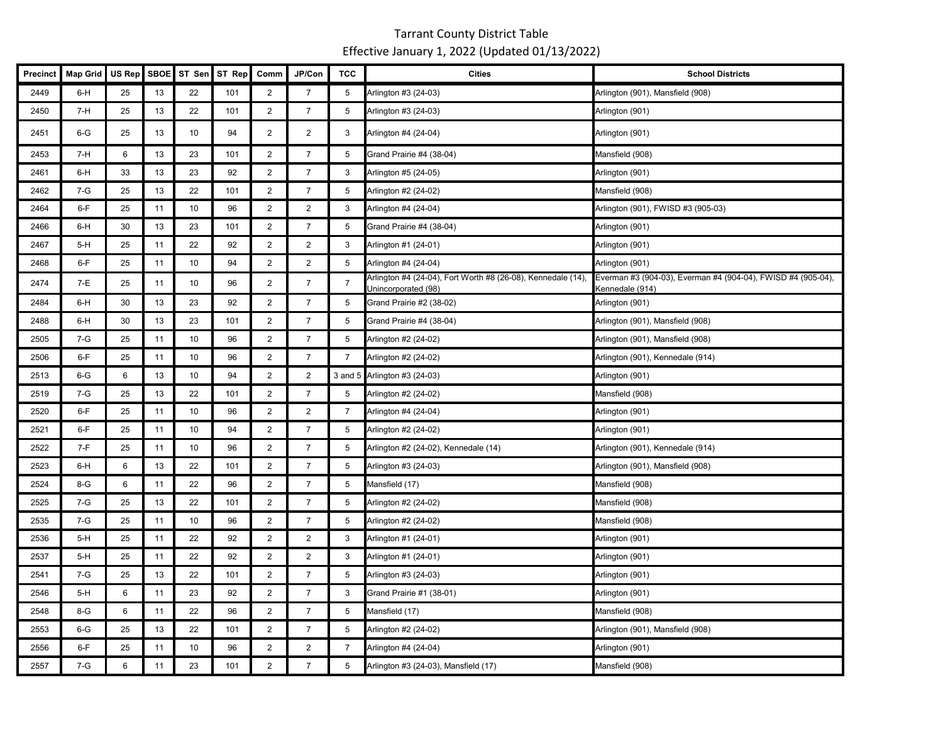| Precinct | <b>Map Grid</b> | US Rep | <b>SBOE</b> | ST Sen          | ST Rep | Comm           | JP/Con         | <b>TCC</b>     | <b>Cities</b>                        | <b>School Districts</b>                                                                                                                      |
|----------|-----------------|--------|-------------|-----------------|--------|----------------|----------------|----------------|--------------------------------------|----------------------------------------------------------------------------------------------------------------------------------------------|
| 2449     | 6-H             | 25     | 13          | 22              | 101    | $\overline{2}$ | $\overline{7}$ | 5              | Arlington #3 (24-03)                 | Arlington (901), Mansfield (908)                                                                                                             |
| 2450     | 7-H             | 25     | 13          | 22              | 101    | $\overline{2}$ | $\overline{7}$ | 5              | Arlington #3 (24-03)                 | Arlington (901)                                                                                                                              |
| 2451     | $6-G$           | 25     | 13          | 10              | 94     | $\overline{2}$ | $\overline{2}$ | 3              | Arlington #4 (24-04)                 | Arlington (901)                                                                                                                              |
| 2453     | $7-H$           | 6      | 13          | 23              | 101    | $\overline{2}$ | $\overline{7}$ | 5              | Grand Prairie #4 (38-04)             | Mansfield (908)                                                                                                                              |
| 2461     | $6-H$           | 33     | 13          | 23              | 92     | $\overline{c}$ | $\overline{7}$ | $\sqrt{3}$     | Arlington #5 (24-05)                 | Arlington (901)                                                                                                                              |
| 2462     | $7-G$           | 25     | 13          | 22              | 101    | $\overline{2}$ | $\overline{7}$ | 5              | Arlington #2 (24-02)                 | Mansfield (908)                                                                                                                              |
| 2464     | $6-F$           | 25     | 11          | 10              | 96     | $\overline{2}$ | 2              | 3              | Arlington #4 (24-04)                 | Arlington (901), FWISD #3 (905-03)                                                                                                           |
| 2466     | $6-H$           | 30     | 13          | 23              | 101    | $\overline{2}$ | $\overline{7}$ | 5              | Grand Prairie #4 (38-04)             | Arlington (901)                                                                                                                              |
| 2467     | $5-H$           | 25     | 11          | 22              | 92     | $\overline{2}$ | $\overline{2}$ | 3              | Arlington #1 (24-01)                 | Arlington (901)                                                                                                                              |
| 2468     | $6-F$           | 25     | 11          | 10              | 94     | $\overline{2}$ | $\overline{2}$ | 5              | Arlington #4 (24-04)                 | Arlington (901)                                                                                                                              |
| 2474     | 7-E             | 25     | 11          | 10              | 96     | $\overline{2}$ | $\overline{7}$ | $\overline{7}$ | Unincorporated (98)                  | Arlington #4 (24-04), Fort Worth #8 (26-08), Kennedale (14), Everman #3 (904-03), Everman #4 (904-04), FWISD #4 (905-04),<br>Kennedale (914) |
| 2484     | $6-H$           | 30     | 13          | 23              | 92     | $\overline{2}$ | $\overline{7}$ | 5              | Grand Prairie #2 (38-02)             | Arlington (901)                                                                                                                              |
| 2488     | $6-H$           | 30     | 13          | 23              | 101    | $\overline{2}$ | $\overline{7}$ | 5              | Grand Prairie #4 (38-04)             | Arlington (901), Mansfield (908)                                                                                                             |
| 2505     | $7-G$           | 25     | 11          | 10              | 96     | $\overline{2}$ | $\overline{7}$ | 5              | Arlington #2 (24-02)                 | Arlington (901), Mansfield (908)                                                                                                             |
| 2506     | $6-F$           | 25     | 11          | 10              | 96     | $\overline{2}$ | $\overline{7}$ | $\overline{7}$ | Arlington #2 (24-02)                 | Arlington (901), Kennedale (914)                                                                                                             |
| 2513     | $6-G$           | 6      | 13          | 10              | 94     | $\overline{2}$ | $\overline{2}$ |                | 3 and 5 Arlington #3 (24-03)         | Arlington (901)                                                                                                                              |
| 2519     | $7-G$           | 25     | 13          | 22              | 101    | $\overline{2}$ | $\overline{7}$ | 5              | Arlington #2 (24-02)                 | Mansfield (908)                                                                                                                              |
| 2520     | $6-F$           | 25     | 11          | 10 <sup>1</sup> | 96     | $\overline{2}$ | $\overline{2}$ | $\overline{7}$ | Arlington #4 (24-04)                 | Arlington (901)                                                                                                                              |
| 2521     | 6-F             | 25     | 11          | 10              | 94     | $\overline{2}$ | $\overline{7}$ | 5              | Arlington #2 (24-02)                 | Arlington (901)                                                                                                                              |
| 2522     | $7-F$           | 25     | 11          | 10              | 96     | $\overline{2}$ | $\overline{7}$ | 5              | Arlington #2 (24-02), Kennedale (14) | Arlington (901), Kennedale (914)                                                                                                             |
| 2523     | $6-H$           | 6      | 13          | 22              | 101    | $\overline{2}$ | $\overline{7}$ | 5              | Arlington #3 (24-03)                 | Arlington (901), Mansfield (908)                                                                                                             |
| 2524     | $8-G$           | 6      | 11          | 22              | 96     | $\overline{2}$ | $\overline{7}$ | 5              | Mansfield (17)                       | Mansfield (908)                                                                                                                              |
| 2525     | $7 - G$         | 25     | 13          | 22              | 101    | $\overline{2}$ | $\overline{7}$ | 5              | Arlington #2 (24-02)                 | Mansfield (908)                                                                                                                              |
| 2535     | 7-G             | 25     | 11          | 10              | 96     | $\overline{2}$ | $\overline{7}$ | 5              | Arlington #2 (24-02)                 | Mansfield (908)                                                                                                                              |
| 2536     | $5-H$           | 25     | 11          | 22              | 92     | $\overline{2}$ | $\overline{2}$ | 3              | Arlington #1 (24-01)                 | Arlington (901)                                                                                                                              |
| 2537     | $5-H$           | 25     | 11          | 22              | 92     | $\overline{2}$ | $\overline{2}$ | 3              | Arlington #1 (24-01)                 | Arlington (901)                                                                                                                              |
| 2541     | $7-G$           | 25     | 13          | 22              | 101    | $\overline{2}$ | $\overline{7}$ | 5              | Arlington #3 (24-03)                 | Arlington (901)                                                                                                                              |
| 2546     | $5-H$           | 6      | 11          | 23              | 92     | $\overline{2}$ | $\overline{7}$ | 3              | Grand Prairie #1 (38-01)             | Arlington (901)                                                                                                                              |
| 2548     | 8-G             | 6      | 11          | 22              | 96     | $\overline{2}$ | $\overline{7}$ | 5              | Mansfield (17)                       | Mansfield (908)                                                                                                                              |
| 2553     | $6-G$           | 25     | 13          | 22              | 101    | $\overline{2}$ | $\overline{7}$ | 5              | Arlington #2 (24-02)                 | Arlington (901), Mansfield (908)                                                                                                             |
| 2556     | $6-F$           | 25     | 11          | 10              | 96     | $\overline{2}$ | $\overline{2}$ | $\overline{7}$ | Arlington #4 (24-04)                 | Arlington (901)                                                                                                                              |
| 2557     | $7-G$           | 6      | 11          | 23              | 101    | $\overline{2}$ | $\overline{7}$ | 5              | Arlington #3 (24-03), Mansfield (17) | Mansfield (908)                                                                                                                              |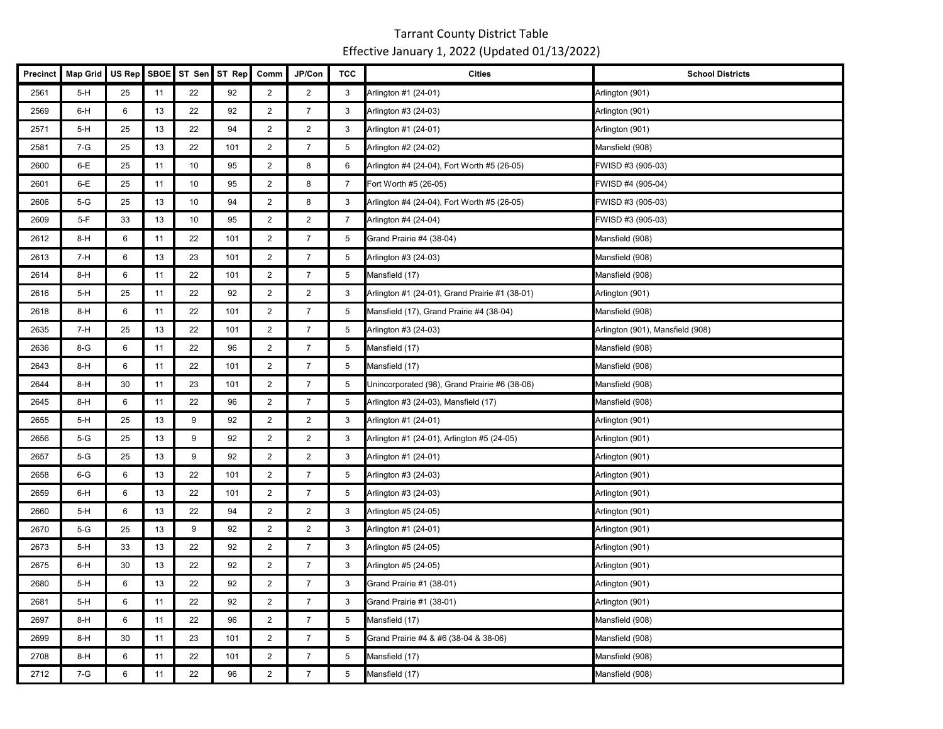| <b>Precinct</b> | <b>Map Grid</b> | US Rep | SBOE |    | ST Sen ST Rep | Comm           | JP/Con         | <b>TCC</b>      | <b>Cities</b>                                  | <b>School Districts</b>          |
|-----------------|-----------------|--------|------|----|---------------|----------------|----------------|-----------------|------------------------------------------------|----------------------------------|
| 2561            | 5-H             | 25     | 11   | 22 | 92            | $\overline{2}$ | $\overline{2}$ | 3               | Arlington #1 (24-01)                           | Arlington (901)                  |
| 2569            | 6-H             | 6      | 13   | 22 | 92            | $\overline{2}$ | $\overline{7}$ | 3               | Arlington #3 (24-03)                           | Arlington (901)                  |
| 2571            | $5-H$           | 25     | 13   | 22 | 94            | $\overline{2}$ | $\overline{2}$ | 3               | Arlington #1 (24-01)                           | Arlington (901)                  |
| 2581            | 7-G             | 25     | 13   | 22 | 101           | $\overline{2}$ | $\overline{7}$ | 5               | Arlington #2 (24-02)                           | Mansfield (908)                  |
| 2600            | 6-E             | 25     | 11   | 10 | 95            | $\overline{2}$ | 8              | 6               | Arlington #4 (24-04), Fort Worth #5 (26-05)    | FWISD #3 (905-03)                |
| 2601            | $6-E$           | 25     | 11   | 10 | 95            | $\overline{2}$ | 8              | $\overline{7}$  | Fort Worth #5 (26-05)                          | FWISD #4 (905-04)                |
| 2606            | $5-G$           | 25     | 13   | 10 | 94            | $\overline{2}$ | 8              | 3               | Arlington #4 (24-04), Fort Worth #5 (26-05)    | FWISD #3 (905-03)                |
| 2609            | 5-F             | 33     | 13   | 10 | 95            | $\overline{2}$ | $\overline{2}$ | $\overline{7}$  | Arlington #4 (24-04)                           | FWISD #3 (905-03)                |
| 2612            | $8-H$           | 6      | 11   | 22 | 101           | $\overline{2}$ | $\overline{7}$ | 5               | Grand Prairie #4 (38-04)                       | Mansfield (908)                  |
| 2613            | 7-H             | 6      | 13   | 23 | 101           | $\overline{2}$ | $\overline{7}$ | 5               | Arlington #3 (24-03)                           | Mansfield (908)                  |
| 2614            | 8-H             | 6      | 11   | 22 | 101           | $\overline{2}$ | $\overline{7}$ | 5               | Mansfield (17)                                 | Mansfield (908)                  |
| 2616            | $5-H$           | 25     | 11   | 22 | 92            | $\overline{2}$ | $\overline{2}$ | 3               | Arlington #1 (24-01), Grand Prairie #1 (38-01) | Arlington (901)                  |
| 2618            | 8-H             | 6      | 11   | 22 | 101           | $\overline{2}$ | $\overline{7}$ | 5               | Mansfield (17), Grand Prairie #4 (38-04)       | Mansfield (908)                  |
| 2635            | 7-H             | 25     | 13   | 22 | 101           | $\overline{2}$ | $\overline{7}$ | $5\phantom{.0}$ | Arlington #3 (24-03)                           | Arlington (901), Mansfield (908) |
| 2636            | 8-G             | 6      | 11   | 22 | 96            | $\overline{2}$ | $\overline{7}$ | $5\phantom{.0}$ | Mansfield (17)                                 | Mansfield (908)                  |
| 2643            | $8-H$           | 6      | 11   | 22 | 101           | $\overline{2}$ | $\overline{7}$ | $5\overline{)}$ | Mansfield (17)                                 | Mansfield (908)                  |
| 2644            | 8-H             | 30     | 11   | 23 | 101           | $\overline{2}$ | $\overline{7}$ | 5               | Unincorporated (98), Grand Prairie #6 (38-06)  | Mansfield (908)                  |
| 2645            | $8-H$           | 6      | 11   | 22 | 96            | $\overline{2}$ | $\overline{7}$ | 5               | Arlington #3 (24-03), Mansfield (17)           | Mansfield (908)                  |
| 2655            | $5-H$           | 25     | 13   | 9  | 92            | $\overline{2}$ | $\overline{2}$ | 3               | Arlington #1 (24-01)                           | Arlington (901)                  |
| 2656            | 5-G             | 25     | 13   | 9  | 92            | $\overline{2}$ | $\overline{2}$ | 3               | Arlington #1 (24-01), Arlington #5 (24-05)     | Arlington (901)                  |
| 2657            | $5-G$           | 25     | 13   | 9  | 92            | $\overline{2}$ | $\overline{2}$ | 3               | Arlington #1 (24-01)                           | Arlington (901)                  |
| 2658            | $6-G$           | 6      | 13   | 22 | 101           | $\overline{2}$ | $\overline{7}$ | 5               | Arlington #3 (24-03)                           | Arlington (901)                  |
| 2659            | 6-H             | 6      | 13   | 22 | 101           | $\overline{2}$ | $\overline{7}$ | 5               | Arlington #3 (24-03)                           | Arlington (901)                  |
| 2660            | $5-H$           | 6      | 13   | 22 | 94            | $\overline{2}$ | $\overline{2}$ | 3               | Arlington #5 (24-05)                           | Arlington (901)                  |
| 2670            | $5-G$           | 25     | 13   | 9  | 92            | $\overline{2}$ | $\overline{2}$ | 3               | Arlington #1 (24-01)                           | Arlington (901)                  |
| 2673            | 5-H             | 33     | 13   | 22 | 92            | $\overline{2}$ | $\overline{7}$ | 3               | Arlington #5 (24-05)                           | Arlington (901)                  |
| 2675            | 6-H             | 30     | 13   | 22 | 92            | $\overline{2}$ | $\overline{7}$ | 3               | Arlington #5 (24-05)                           | Arlington (901)                  |
| 2680            | 5-H             | 6      | 13   | 22 | 92            | $\overline{2}$ | $\overline{7}$ | 3               | Grand Prairie #1 (38-01)                       | Arlington (901)                  |
| 2681            | $5-H$           | 6      | 11   | 22 | 92            | $\overline{2}$ | $\overline{7}$ | 3               | Grand Prairie #1 (38-01)                       | Arlington (901)                  |
| 2697            | $8-H$           | 6      | 11   | 22 | 96            | $\overline{2}$ | $\overline{7}$ | 5               | Mansfield (17)                                 | Mansfield (908)                  |
| 2699            | $8-H$           | 30     | 11   | 23 | 101           | $\overline{2}$ | $\overline{7}$ | 5               | Grand Prairie #4 & #6 (38-04 & 38-06)          | Mansfield (908)                  |
| 2708            | $8-H$           | 6      | 11   | 22 | 101           | $\overline{2}$ | $\overline{7}$ | 5               | Mansfield (17)                                 | Mansfield (908)                  |
| 2712            | 7-G             | 6      | 11   | 22 | 96            | $\overline{2}$ | $\overline{7}$ | 5               | Mansfield (17)                                 | Mansfield (908)                  |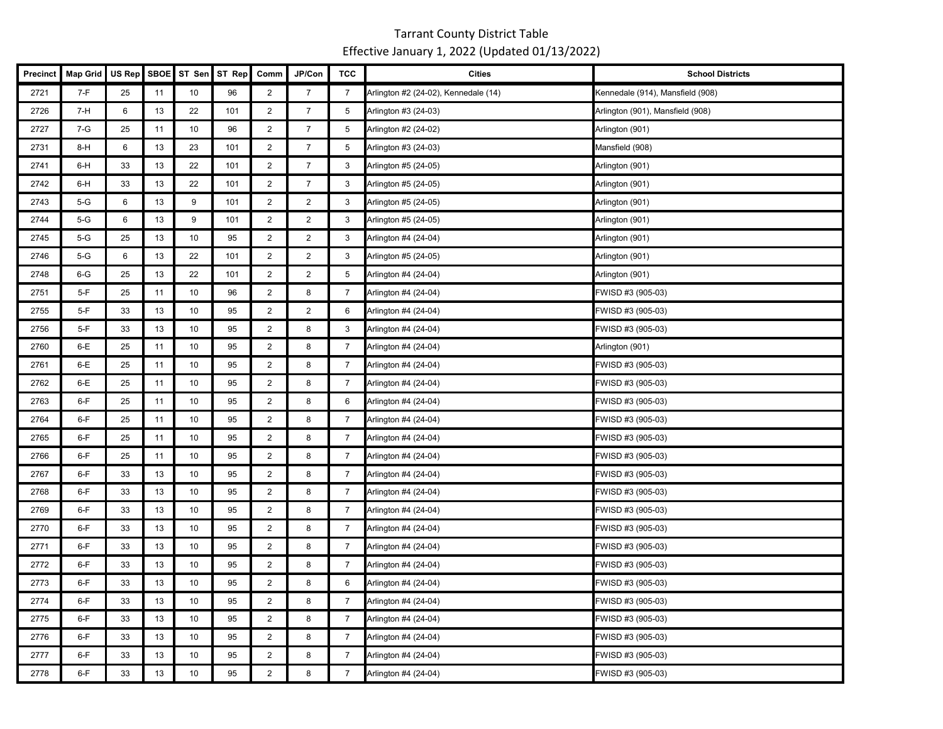| Precinct | <b>Map Grid</b> | US Rep | <b>SBOE</b> | ST Sen | ST Rep | Comm                    | JP/Con         | <b>TCC</b>     | <b>Cities</b>                        | <b>School Districts</b>          |
|----------|-----------------|--------|-------------|--------|--------|-------------------------|----------------|----------------|--------------------------------------|----------------------------------|
| 2721     | $7-F$           | 25     | 11          | 10     | 96     | $\overline{2}$          | $\overline{7}$ | $\overline{7}$ | Arlington #2 (24-02), Kennedale (14) | Kennedale (914), Mansfield (908) |
| 2726     | $7-H$           | 6      | 13          | 22     | 101    | $\overline{2}$          | $\overline{7}$ | 5              | Arlington #3 (24-03)                 | Arlington (901), Mansfield (908) |
| 2727     | 7-G             | 25     | 11          | 10     | 96     | $\overline{2}$          | $\overline{7}$ | 5              | Arlington #2 (24-02)                 | Arlington (901)                  |
| 2731     | $8-H$           | 6      | 13          | 23     | 101    | $\overline{2}$          | $\overline{7}$ | 5              | Arlington #3 (24-03)                 | Mansfield (908)                  |
| 2741     | 6-H             | 33     | 13          | 22     | 101    | $\overline{c}$          | $\overline{7}$ | 3              | Arlington #5 (24-05)                 | Arlington (901)                  |
| 2742     | 6-H             | 33     | 13          | 22     | 101    | $\overline{a}$          | $\overline{7}$ | 3              | Arlington #5 (24-05)                 | Arlington (901)                  |
| 2743     | $5-G$           | 6      | 13          | 9      | 101    | $\overline{2}$          | $\overline{2}$ | 3              | Arlington #5 (24-05)                 | Arlington (901)                  |
| 2744     | $5-G$           | 6      | 13          | 9      | 101    | $\overline{2}$          | $\overline{2}$ | 3              | Arlington #5 (24-05)                 | Arlington (901)                  |
| 2745     | $5-G$           | 25     | 13          | 10     | 95     | $\overline{2}$          | $\overline{2}$ | 3              | Arlington #4 (24-04)                 | Arlington (901)                  |
| 2746     | $5-G$           | 6      | 13          | 22     | 101    | $\overline{2}$          | $\overline{2}$ | $\mathbf{3}$   | Arlington #5 (24-05)                 | Arlington (901)                  |
| 2748     | $6-G$           | 25     | 13          | 22     | 101    | $\overline{2}$          | $\overline{2}$ | 5              | Arlington #4 (24-04)                 | Arlington (901)                  |
| 2751     | $5-F$           | 25     | 11          | 10     | 96     | $\overline{2}$          | 8              | $\overline{7}$ | Arlington #4 (24-04)                 | FWISD #3 (905-03)                |
| 2755     | $5-F$           | 33     | 13          | 10     | 95     | $\overline{2}$          | $\overline{2}$ | 6              | Arlington #4 (24-04)                 | FWISD #3 (905-03)                |
| 2756     | $5-F$           | 33     | 13          | 10     | 95     | $\overline{2}$          | 8              | 3              | Arlington #4 (24-04)                 | FWISD #3 (905-03)                |
| 2760     | $6-E$           | 25     | 11          | 10     | 95     | $\overline{2}$          | 8              | 7              | Arlington #4 (24-04)                 | Arlington (901)                  |
| 2761     | 6-E             | 25     | 11          | 10     | 95     | $\overline{\mathbf{c}}$ | 8              | $\overline{7}$ | Arlington #4 (24-04)                 | FWISD #3 (905-03)                |
| 2762     | $6-E$           | 25     | 11          | 10     | 95     | $\overline{2}$          | 8              | $\overline{7}$ | Arlington #4 (24-04)                 | FWISD #3 (905-03)                |
| 2763     | 6-F             | 25     | 11          | 10     | 95     | $\overline{2}$          | 8              | 6              | Arlington #4 (24-04)                 | FWISD #3 (905-03)                |
| 2764     | $6-F$           | 25     | 11          | 10     | 95     | $\overline{2}$          | 8              | $\overline{7}$ | Arlington #4 (24-04)                 | FWISD #3 (905-03)                |
| 2765     | $6-F$           | 25     | 11          | 10     | 95     | $\overline{2}$          | 8              | $\overline{7}$ | Arlington #4 (24-04)                 | FWISD #3 (905-03)                |
| 2766     | $6-F$           | 25     | 11          | 10     | 95     | $\overline{2}$          | 8              | $\overline{7}$ | Arlington #4 (24-04)                 | FWISD #3 (905-03)                |
| 2767     | $6-F$           | 33     | 13          | 10     | 95     | $\overline{2}$          | 8              | $\overline{7}$ | Arlington #4 (24-04)                 | FWISD #3 (905-03)                |
| 2768     | $6-F$           | 33     | 13          | 10     | 95     | $\overline{2}$          | 8              | $\overline{7}$ | Arlington #4 (24-04)                 | FWISD #3 (905-03)                |
| 2769     | $6-F$           | 33     | $13$        | 10     | 95     | $\overline{2}$          | 8              | 7              | Arlington #4 (24-04)                 | FWISD #3 (905-03)                |
| 2770     | $6-F$           | 33     | 13          | 10     | 95     | $\overline{2}$          | 8              | $\overline{7}$ | Arlington #4 (24-04)                 | FWISD #3 (905-03)                |
| 2771     | $6-F$           | 33     | 13          | 10     | 95     | $\overline{c}$          | 8              | $\overline{7}$ | Arlington #4 (24-04)                 | FWISD #3 (905-03)                |
| 2772     | $6-F$           | 33     | 13          | 10     | 95     | $\overline{2}$          | 8              | $\overline{7}$ | Arlington #4 (24-04)                 | FWISD #3 (905-03)                |
| 2773     | $6-F$           | 33     | 13          | 10     | 95     | $\overline{2}$          | 8              | 6              | Arlington #4 (24-04)                 | FWISD #3 (905-03)                |
| 2774     | $6-F$           | 33     | 13          | 10     | 95     | $\overline{2}$          | 8              | $\overline{7}$ | Arlington #4 (24-04)                 | FWISD #3 (905-03)                |
| 2775     | $6-F$           | 33     | 13          | 10     | 95     | $\overline{c}$          | 8              | $\overline{7}$ | Arlington #4 (24-04)                 | FWISD #3 (905-03)                |
| 2776     | 6-F             | 33     | 13          | 10     | 95     | $\overline{2}$          | 8              | 7              | Arlington #4 (24-04)                 | FWISD #3 (905-03)                |
| 2777     | $6-F$           | 33     | 13          | 10     | 95     | $\overline{2}$          | 8              | $\overline{7}$ | Arlington #4 (24-04)                 | FWISD #3 (905-03)                |
| 2778     | $6-F$           | 33     | 13          | 10     | 95     | $\overline{2}$          | 8              | $\overline{7}$ | Arlington #4 (24-04)                 | FWISD #3 (905-03)                |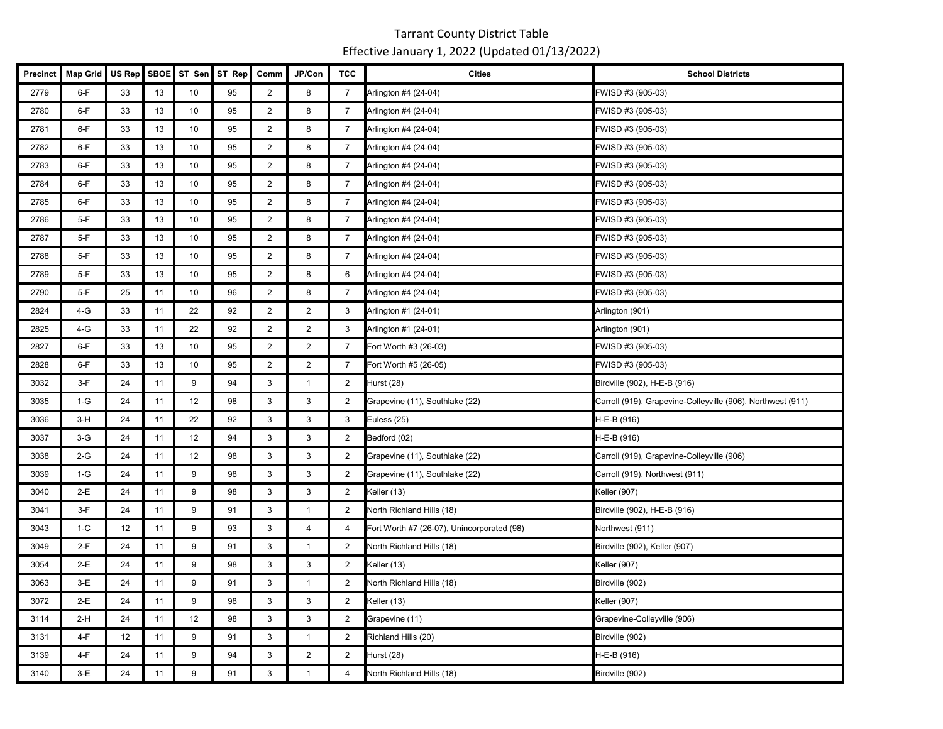| Precinct | <b>Map Grid</b> | US Rep | <b>SBOE</b> | ST Sen | ST Rep | Comm           | JP/Con           | <b>TCC</b>     | <b>Cities</b>                              | <b>School Districts</b>                                     |
|----------|-----------------|--------|-------------|--------|--------|----------------|------------------|----------------|--------------------------------------------|-------------------------------------------------------------|
| 2779     | $6-F$           | 33     | $13$        | 10     | 95     | $\overline{c}$ | 8                | $\overline{7}$ | Arlington #4 (24-04)                       | FWISD #3 (905-03)                                           |
| 2780     | $6-F$           | 33     | 13          | 10     | 95     | $\overline{2}$ | 8                | $\overline{7}$ | Arlington #4 (24-04)                       | FWISD #3 (905-03)                                           |
| 2781     | $6-F$           | 33     | 13          | 10     | 95     | $\overline{2}$ | 8                | 7              | Arlington #4 (24-04)                       | FWISD #3 (905-03)                                           |
| 2782     | $6-F$           | 33     | 13          | 10     | 95     | $\overline{2}$ | 8                | $\overline{7}$ | Arlington #4 (24-04)                       | FWISD #3 (905-03)                                           |
| 2783     | $6-F$           | 33     | 13          | 10     | 95     | $\overline{2}$ | 8                | $\overline{7}$ | Arlington #4 (24-04)                       | FWISD #3 (905-03)                                           |
| 2784     | $6-F$           | 33     | 13          | 10     | 95     | $\overline{a}$ | 8                | $\overline{7}$ | Arlington #4 (24-04)                       | FWISD #3 (905-03)                                           |
| 2785     | $6-F$           | 33     | 13          | 10     | 95     | $\overline{2}$ | 8                | $\overline{7}$ | Arlington #4 (24-04)                       | FWISD #3 (905-03)                                           |
| 2786     | $5-F$           | 33     | 13          | 10     | 95     | $\overline{2}$ | 8                | $\overline{7}$ | Arlington #4 (24-04)                       | FWISD #3 (905-03)                                           |
| 2787     | $5-F$           | 33     | 13          | 10     | 95     | $\overline{2}$ | 8                | 7              | Arlington #4 (24-04)                       | FWISD #3 (905-03)                                           |
| 2788     | $5-F$           | 33     | 13          | 10     | 95     | $\overline{2}$ | 8                | $\overline{7}$ | Arlington #4 (24-04)                       | FWISD #3 (905-03)                                           |
| 2789     | $5-F$           | 33     | 13          | 10     | 95     | $\overline{2}$ | 8                | 6              | Arlington #4 (24-04)                       | FWISD #3 (905-03)                                           |
| 2790     | $5-F$           | 25     | 11          | 10     | 96     | $\overline{2}$ | 8                | $\overline{7}$ | Arlington #4 (24-04)                       | FWISD #3 (905-03)                                           |
| 2824     | $4-G$           | 33     | 11          | 22     | 92     | $\overline{2}$ | $\overline{2}$   | 3              | Arlington #1 (24-01)                       | Arlington (901)                                             |
| 2825     | $4-G$           | 33     | 11          | 22     | 92     | $\overline{2}$ | $\overline{2}$   | 3              | Arlington #1 (24-01)                       | Arlington (901)                                             |
| 2827     | $6-F$           | 33     | 13          | 10     | 95     | $\overline{2}$ | $\overline{2}$   | 7              | Fort Worth #3 (26-03)                      | FWISD #3 (905-03)                                           |
| 2828     | $6-F$           | 33     | 13          | 10     | 95     | $\overline{c}$ | $\boldsymbol{2}$ | $\overline{7}$ | Fort Worth #5 (26-05)                      | FWISD #3 (905-03)                                           |
| 3032     | $3-F$           | 24     | 11          | 9      | 94     | 3              | $\mathbf{1}$     | $\overline{2}$ | Hurst (28)                                 | Birdville (902), H-E-B (916)                                |
| 3035     | $1-G$           | 24     | 11          | 12     | 98     | 3              | 3                | $\overline{2}$ | Grapevine (11), Southlake (22)             | Carroll (919), Grapevine-Colleyville (906), Northwest (911) |
| 3036     | $3-H$           | 24     | 11          | 22     | 92     | $\mathbf{3}$   | $\mathbf{3}$     | 3              | Euless (25)                                | H-E-B (916)                                                 |
| 3037     | $3-G$           | 24     | 11          | 12     | 94     | 3              | 3                | 2              | Bedford (02)                               | H-E-B (916)                                                 |
| 3038     | $2-G$           | 24     | 11          | 12     | 98     | 3              | 3                | $\overline{2}$ | Grapevine (11), Southlake (22)             | Carroll (919), Grapevine-Colleyville (906)                  |
| 3039     | $1-G$           | 24     | 11          | 9      | 98     | 3              | 3                | 2              | Grapevine (11), Southlake (22)             | Carroll (919), Northwest (911)                              |
| 3040     | 2-E             | 24     | 11          | 9      | 98     | $\mathbf{3}$   | 3                | $\overline{2}$ | Keller (13)                                | Keller (907)                                                |
| 3041     | $3-F$           | 24     | 11          | 9      | 91     | 3              | $\mathbf{1}$     | $\overline{2}$ | North Richland Hills (18)                  | Birdville (902), H-E-B (916)                                |
| 3043     | $1-C$           | 12     | 11          | 9      | 93     | 3              | $\overline{4}$   | 4              | Fort Worth #7 (26-07), Unincorporated (98) | Northwest (911)                                             |
| 3049     | $2-F$           | 24     | 11          | 9      | 91     | 3              | $\mathbf{1}$     | 2              | North Richland Hills (18)                  | Birdville (902), Keller (907)                               |
| 3054     | $2-E$           | 24     | 11          | 9      | 98     | 3              | 3                | $\overline{2}$ | Keller (13)                                | Keller (907)                                                |
| 3063     | $3-E$           | 24     | 11          | 9      | 91     | 3              | $\mathbf{1}$     | 2              | North Richland Hills (18)                  | Birdville (902)                                             |
| 3072     | $2-E$           | 24     | 11          | 9      | 98     | 3              | 3                | $\overline{2}$ | Keller (13)                                | Keller (907)                                                |
| 3114     | $2-H$           | 24     | 11          | 12     | 98     | 3              | 3                | $\overline{2}$ | Grapevine (11)                             | Grapevine-Colleyville (906)                                 |
| 3131     | $4-F$           | 12     | 11          | 9      | 91     | 3              | $\overline{1}$   | 2              | Richland Hills (20)                        | Birdville (902)                                             |
| 3139     | 4-F             | 24     | 11          | 9      | 94     | 3              | $\overline{2}$   | 2              | Hurst (28)                                 | H-E-B (916)                                                 |
| 3140     | $3-E$           | 24     | 11          | 9      | 91     | 3              | $\mathbf{1}$     | 4              | North Richland Hills (18)                  | Birdville (902)                                             |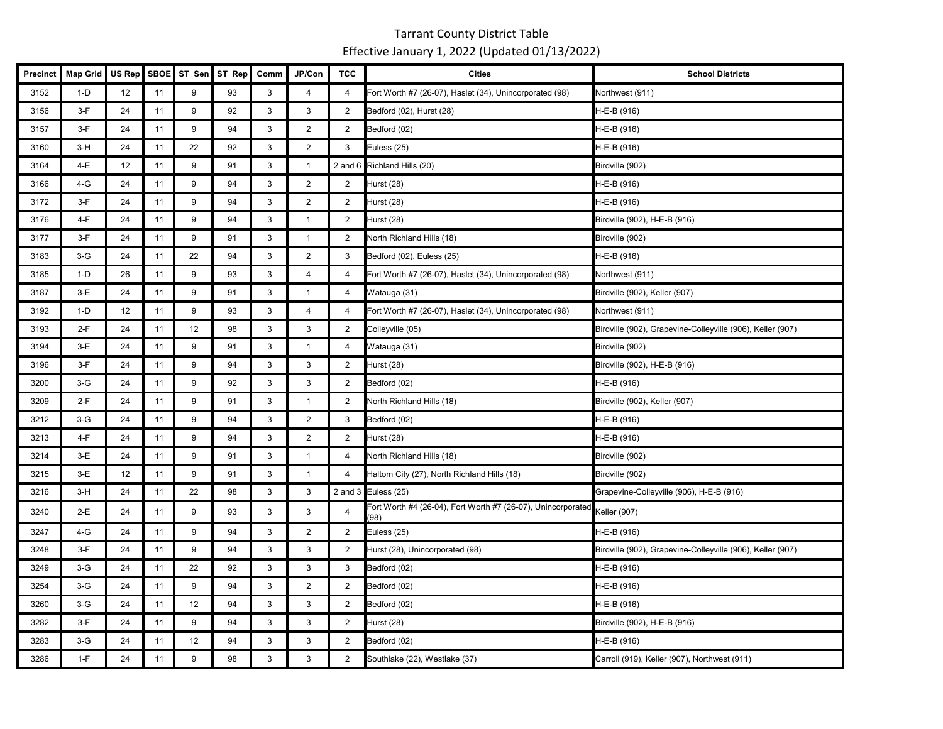| <b>Precinct</b> | <b>Map Grid</b> | US Rep | <b>SBOE</b> | ST Sen | ST Rep | Comm | JP/Con         | <b>TCC</b>     | <b>Cities</b>                                                       | <b>School Districts</b>                                    |
|-----------------|-----------------|--------|-------------|--------|--------|------|----------------|----------------|---------------------------------------------------------------------|------------------------------------------------------------|
| 3152            | $1-D$           | 12     | 11          | 9      | 93     | 3    | $\overline{4}$ | 4              | Fort Worth #7 (26-07), Haslet (34), Unincorporated (98)             | Northwest (911)                                            |
| 3156            | $3-F$           | 24     | 11          | 9      | 92     | 3    | 3              | 2              | Bedford (02), Hurst (28)                                            | H-E-B (916)                                                |
| 3157            | $3-F$           | 24     | 11          | 9      | 94     | 3    | $\overline{2}$ | $\overline{2}$ | Bedford (02)                                                        | H-E-B (916)                                                |
| 3160            | $3-H$           | 24     | 11          | 22     | 92     | 3    | $\overline{2}$ | 3              | Euless (25)                                                         | H-E-B (916)                                                |
| 3164            | 4-E             | 12     | 11          | 9      | 91     | 3    | $\overline{1}$ |                | 2 and 6 Richland Hills (20)                                         | Birdville (902)                                            |
| 3166            | $4-G$           | 24     | 11          | 9      | 94     | 3    | $\overline{2}$ | $\overline{2}$ | Hurst (28)                                                          | H-E-B (916)                                                |
| 3172            | $3-F$           | 24     | 11          | 9      | 94     | 3    | $\overline{2}$ | 2              | Hurst (28)                                                          | H-E-B (916)                                                |
| 3176            | $4-F$           | 24     | 11          | 9      | 94     | 3    | $\mathbf{1}$   | 2              | Hurst (28)                                                          | Birdville (902), H-E-B (916)                               |
| 3177            | $3-F$           | 24     | 11          | 9      | 91     | 3    | $\mathbf{1}$   | $\overline{2}$ | North Richland Hills (18)                                           | Birdville (902)                                            |
| 3183            | $3-G$           | 24     | 11          | 22     | 94     | 3    | $\overline{c}$ | 3              | Bedford (02), Euless (25)                                           | H-E-B (916)                                                |
| 3185            | $1-D$           | 26     | 11          | 9      | 93     | 3    | $\overline{4}$ | $\overline{4}$ | Fort Worth #7 (26-07), Haslet (34), Unincorporated (98)             | Northwest (911)                                            |
| 3187            | $3-E$           | 24     | 11          | 9      | 91     | 3    | $\mathbf{1}$   | 4              | Watauga (31)                                                        | Birdville (902), Keller (907)                              |
| 3192            | $1-D$           | 12     | 11          | 9      | 93     | 3    | $\overline{4}$ | 4              | Fort Worth #7 (26-07), Haslet (34), Unincorporated (98)             | Northwest (911)                                            |
| 3193            | $2-F$           | 24     | 11          | 12     | 98     | 3    | 3              | 2              | Colleyville (05)                                                    | Birdville (902), Grapevine-Colleyville (906), Keller (907) |
| 3194            | $3-E$           | 24     | 11          | 9      | 91     | 3    | $\overline{1}$ | $\overline{4}$ | Watauga (31)                                                        | Birdville (902)                                            |
| 3196            | $3-F$           | 24     | 11          | 9      | 94     | 3    | 3              | 2              | Hurst (28)                                                          | Birdville (902), H-E-B (916)                               |
| 3200            | $3-G$           | 24     | 11          | 9      | 92     | 3    | 3              | $\overline{2}$ | Bedford (02)                                                        | H-E-B (916)                                                |
| 3209            | $2-F$           | 24     | 11          | 9      | 91     | 3    | $\mathbf{1}$   | $\overline{2}$ | North Richland Hills (18)                                           | Birdville (902), Keller (907)                              |
| 3212            | $3-G$           | 24     | 11          | 9      | 94     | 3    | $\overline{2}$ | 3              | Bedford (02)                                                        | H-E-B (916)                                                |
| 3213            | $4-F$           | 24     | 11          | 9      | 94     | 3    | 2              | 2              | Hurst (28)                                                          | H-E-B (916)                                                |
| 3214            | $3-E$           | 24     | 11          | 9      | 91     | 3    | $\mathbf{1}$   | 4              | North Richland Hills (18)                                           | Birdville (902)                                            |
| 3215            | $3-E$           | 12     | 11          | 9      | 91     | 3    | $\mathbf{1}$   | $\overline{4}$ | Haltom City (27), North Richland Hills (18)                         | Birdville (902)                                            |
| 3216            | $3-H$           | 24     | 11          | 22     | 98     | 3    | 3              |                | 2 and 3 Euless (25)                                                 | Grapevine-Colleyville (906), H-E-B (916)                   |
| 3240            | 2-E             | 24     | 11          | 9      | 93     | 3    | 3              | 4              | Fort Worth #4 (26-04), Fort Worth #7 (26-07), Unincorporated<br>(98 | Keller (907)                                               |
| 3247            | $4-G$           | 24     | 11          | 9      | 94     | 3    | $\overline{2}$ | $\overline{2}$ | Euless (25)                                                         | H-E-B (916)                                                |
| 3248            | $3-F$           | 24     | 11          | 9      | 94     | 3    | 3              | $\overline{2}$ | Hurst (28), Unincorporated (98)                                     | Birdville (902), Grapevine-Colleyville (906), Keller (907) |
| 3249            | $3-G$           | 24     | 11          | 22     | 92     | 3    | 3              | 3              | Bedford (02)                                                        | H-E-B (916)                                                |
| 3254            | $3-G$           | 24     | 11          | 9      | 94     | 3    | $\overline{2}$ | 2              | Bedford (02)                                                        | H-E-B (916)                                                |
| 3260            | $3-G$           | 24     | 11          | 12     | 94     | 3    | 3              | $\overline{2}$ | Bedford (02)                                                        | H-E-B (916)                                                |
| 3282            | $3-F$           | 24     | 11          | 9      | 94     | 3    | 3              | 2              | Hurst (28)                                                          | Birdville (902), H-E-B (916)                               |
| 3283            | $3-G$           | 24     | 11          | 12     | 94     | 3    | 3              | 2              | Bedford (02)                                                        | H-E-B (916)                                                |
| 3286            | $1-F$           | 24     | 11          | 9      | 98     | 3    | 3              | 2              | Southlake (22), Westlake (37)                                       | Carroll (919), Keller (907), Northwest (911)               |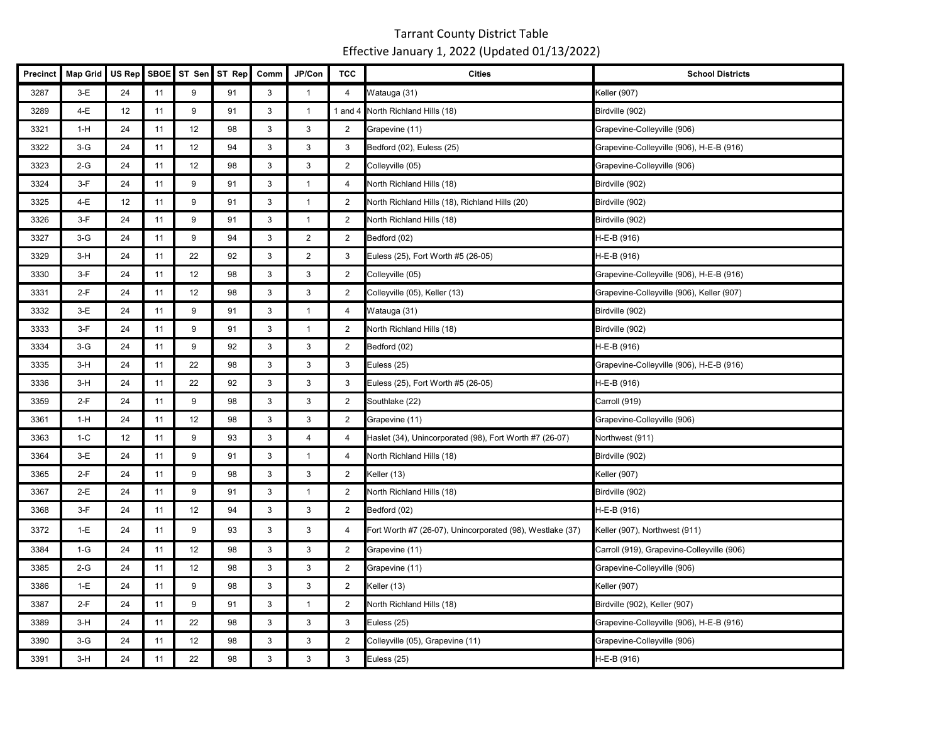| <b>Precinct</b> | <b>Map Grid</b> | US Rep | <b>SBOE</b> | ST Sen | ST Rep | Comm         | JP/Con         | <b>TCC</b>     | <b>Cities</b>                                             | <b>School Districts</b>                    |
|-----------------|-----------------|--------|-------------|--------|--------|--------------|----------------|----------------|-----------------------------------------------------------|--------------------------------------------|
| 3287            | $3-E$           | 24     | 11          | 9      | 91     | 3            | $\mathbf{1}$   | 4              | Watauga (31)                                              | <b>Keller</b> (907)                        |
| 3289            | 4-E             | 12     | 11          | 9      | 91     | 3            | $\overline{1}$ |                | 1 and 4 North Richland Hills (18)                         | Birdville (902)                            |
| 3321            | $1-H$           | 24     | 11          | 12     | 98     | 3            | 3              | $\overline{2}$ | Grapevine (11)                                            | Grapevine-Colleyville (906)                |
| 3322            | $3-G$           | 24     | 11          | 12     | 94     | 3            | 3              | 3              | Bedford (02), Euless (25)                                 | Grapevine-Colleyville (906), H-E-B (916)   |
| 3323            | $2-G$           | 24     | 11          | 12     | 98     | 3            | 3              | $\overline{2}$ | Colleyville (05)                                          | Grapevine-Colleyville (906)                |
| 3324            | $3-F$           | 24     | 11          | 9      | 91     | 3            | $\mathbf{1}$   | $\overline{4}$ | North Richland Hills (18)                                 | Birdville (902)                            |
| 3325            | 4-E             | 12     | 11          | 9      | 91     | 3            | $\mathbf{1}$   | $\overline{2}$ | North Richland Hills (18), Richland Hills (20)            | Birdville (902)                            |
| 3326            | $3-F$           | 24     | 11          | 9      | 91     | 3            | $\mathbf{1}$   | $\overline{2}$ | North Richland Hills (18)                                 | Birdville (902)                            |
| 3327            | $3-G$           | 24     | 11          | 9      | 94     | 3            | $\overline{2}$ | $\overline{2}$ | Bedford (02)                                              | H-E-B (916)                                |
| 3329            | $3-H$           | 24     | 11          | 22     | 92     | 3            | $\overline{2}$ | 3              | Euless (25), Fort Worth #5 (26-05)                        | H-E-B (916)                                |
| 3330            | $3-F$           | 24     | 11          | 12     | 98     | 3            | 3              | $\overline{2}$ | Colleyville (05)                                          | Grapevine-Colleyville (906), H-E-B (916)   |
| 3331            | $2-F$           | 24     | 11          | 12     | 98     | 3            | 3              | $\overline{2}$ | Colleyville (05), Keller (13)                             | Grapevine-Colleyville (906), Keller (907)  |
| 3332            | $3-E$           | 24     | 11          | 9      | 91     | 3            | $\mathbf{1}$   | 4              | Watauga (31)                                              | Birdville (902)                            |
| 3333            | $3-F$           | 24     | 11          | 9      | 91     | 3            | $\mathbf{1}$   | $\overline{2}$ | North Richland Hills (18)                                 | Birdville (902)                            |
| 3334            | $3-G$           | 24     | 11          | 9      | 92     | 3            | 3              | $\overline{2}$ | Bedford (02)                                              | H-E-B (916)                                |
| 3335            | $3-H$           | 24     | 11          | 22     | 98     | 3            | 3              | 3              | Euless (25)                                               | Grapevine-Colleyville (906), H-E-B (916)   |
| 3336            | $3-H$           | 24     | 11          | 22     | 92     | 3            | 3              | 3              | Euless (25), Fort Worth #5 (26-05)                        | H-E-B (916)                                |
| 3359            | $2-F$           | 24     | 11          | 9      | 98     | 3            | 3              | $\overline{2}$ | Southlake (22)                                            | Carroll (919)                              |
| 3361            | 1-H             | 24     | 11          | 12     | 98     | 3            | 3              | $\overline{2}$ | Grapevine (11)                                            | Grapevine-Colleyville (906)                |
| 3363            | $1-C$           | 12     | 11          | 9      | 93     | 3            | $\overline{4}$ | 4              | Haslet (34), Unincorporated (98), Fort Worth #7 (26-07)   | Northwest (911)                            |
| 3364            | $3-E$           | 24     | 11          | 9      | 91     | 3            | $\mathbf{1}$   | 4              | North Richland Hills (18)                                 | Birdville (902)                            |
| 3365            | $2-F$           | 24     | 11          | 9      | 98     | $\mathbf{3}$ | 3              | $\overline{2}$ | Keller (13)                                               | Keller (907)                               |
| 3367            | $2-E$           | 24     | 11          | 9      | 91     | 3            | $\mathbf{1}$   | 2              | North Richland Hills (18)                                 | Birdville (902)                            |
| 3368            | $3-F$           | 24     | 11          | 12     | 94     | 3            | 3              | $\overline{2}$ | Bedford (02)                                              | H-E-B (916)                                |
| 3372            | $1-E$           | 24     | 11          | 9      | 93     | 3            | 3              | 4              | Fort Worth #7 (26-07), Unincorporated (98), Westlake (37) | Keller (907), Northwest (911)              |
| 3384            | $1-G$           | 24     | 11          | 12     | 98     | 3            | 3              | $\overline{2}$ | Grapevine (11)                                            | Carroll (919), Grapevine-Colleyville (906) |
| 3385            | $2-G$           | 24     | 11          | 12     | 98     | 3            | 3              | $\overline{2}$ | Grapevine (11)                                            | Grapevine-Colleyville (906)                |
| 3386            | $1-E$           | 24     | 11          | 9      | 98     | 3            | 3              | $\overline{2}$ | Keller (13)                                               | Keller (907)                               |
| 3387            | $2-F$           | 24     | 11          | 9      | 91     | 3            | $\mathbf{1}$   | $\overline{2}$ | North Richland Hills (18)                                 | Birdville (902), Keller (907)              |
| 3389            | $3-H$           | 24     | 11          | 22     | 98     | 3            | 3              | 3              | Euless (25)                                               | Grapevine-Colleyville (906), H-E-B (916)   |
| 3390            | $3-G$           | 24     | 11          | 12     | 98     | 3            | 3              | $\overline{2}$ | Colleyville (05), Grapevine (11)                          | Grapevine-Colleyville (906)                |
| 3391            | $3-H$           | 24     | 11          | 22     | 98     | 3            | 3              | 3              | Euless (25)                                               | H-E-B (916)                                |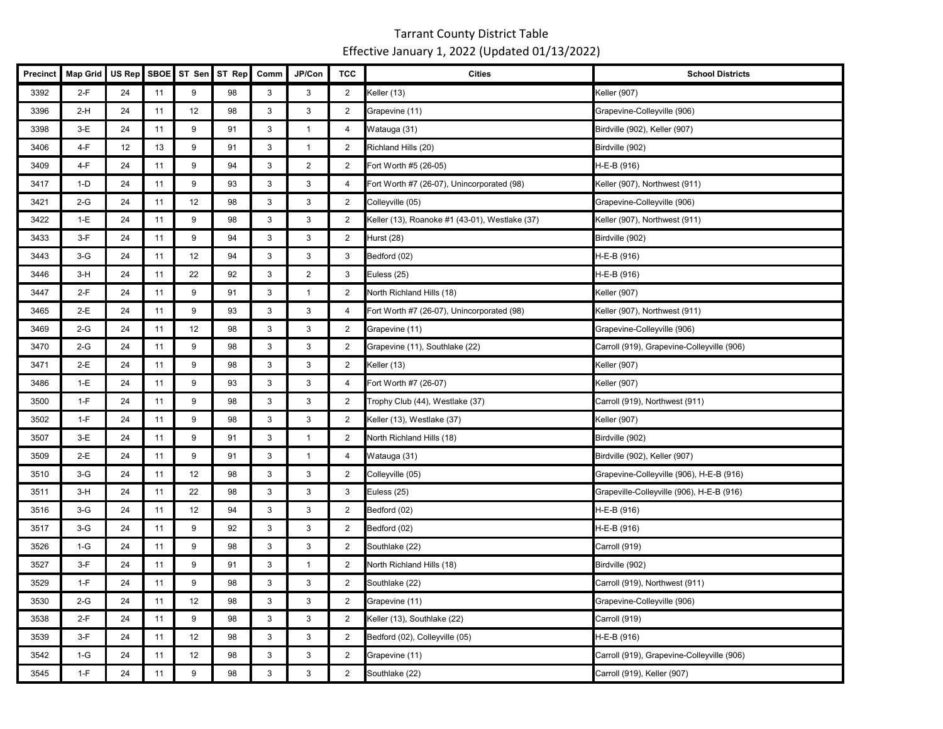| Precinct | Map Grid | US Rep SBOE |      |                 | ST Sen ST Rep | Comm | JP/Con         | <b>TCC</b>              | <b>Cities</b>                                  | <b>School Districts</b>                    |
|----------|----------|-------------|------|-----------------|---------------|------|----------------|-------------------------|------------------------------------------------|--------------------------------------------|
| 3392     | 2-F      | 24          | 11   | 9               | 98            | 3    | 3              | 2                       | Keller (13)                                    | Keller (907)                               |
| 3396     | $2-H$    | 24          | 11   | 12              | 98            | 3    | 3              | 2                       | Grapevine (11)                                 | Grapevine-Colleyville (906)                |
| 3398     | $3-E$    | 24          | 11   | 9               | 91            | 3    | $\mathbf{1}$   | 4                       | Watauga (31)                                   | Birdville (902), Keller (907)              |
| 3406     | 4-F      | 12          | $13$ | 9               | 91            | 3    | $\mathbf{1}$   | $\overline{2}$          | Richland Hills (20)                            | Birdville (902)                            |
| 3409     | 4-F      | 24          | 11   | 9               | 94            | 3    | $\overline{2}$ | 2                       | Fort Worth #5 (26-05)                          | H-E-B (916)                                |
| 3417     | $1-D$    | 24          | 11   | 9               | 93            | 3    | 3              | 4                       | Fort Worth #7 (26-07), Unincorporated (98)     | Keller (907), Northwest (911)              |
| 3421     | $2-G$    | 24          | 11   | 12              | 98            | 3    | $\mathbf{3}$   | 2                       | Colleyville (05)                               | Grapevine-Colleyville (906)                |
| 3422     | $1-E$    | 24          | 11   | 9               | 98            | 3    | 3              | $\overline{2}$          | Keller (13), Roanoke #1 (43-01), Westlake (37) | Keller (907), Northwest (911)              |
| 3433     | $3-F$    | 24          | 11   | 9               | 94            | 3    | 3              | $\overline{2}$          | Hurst (28)                                     | Birdville (902)                            |
| 3443     | $3-G$    | 24          | 11   | 12              | 94            | 3    | 3              | 3                       | Bedford (02)                                   | H-E-B (916)                                |
| 3446     | $3-H$    | 24          | 11   | 22              | 92            | 3    | $\overline{2}$ | 3                       | Euless (25)                                    | H-E-B (916)                                |
| 3447     | 2-F      | 24          | 11   | 9               | 91            | 3    | $\mathbf{1}$   | $\overline{2}$          | North Richland Hills (18)                      | Keller (907)                               |
| 3465     | 2-E      | 24          | 11   | 9               | 93            | 3    | 3              | 4                       | Fort Worth #7 (26-07), Unincorporated (98)     | Keller (907), Northwest (911)              |
| 3469     | $2-G$    | 24          | 11   | 12              | 98            | 3    | 3              | 2                       | Grapevine (11)                                 | Grapevine-Colleyville (906)                |
| 3470     | $2-G$    | 24          | 11   | 9               | 98            | 3    | 3              | $\overline{2}$          | Grapevine (11), Southlake (22)                 | Carroll (919), Grapevine-Colleyville (906) |
| 3471     | 2-E      | 24          | 11   | 9               | 98            | 3    | 3              | $\overline{2}$          | Keller (13)                                    | Keller (907)                               |
| 3486     | 1-E      | 24          | 11   | 9               | 93            | 3    | 3              | 4                       | Fort Worth #7 (26-07)                          | Keller (907)                               |
| 3500     | $1-F$    | 24          | 11   | 9               | 98            | 3    | 3              | 2                       | Trophy Club (44), Westlake (37)                | Carroll (919), Northwest (911)             |
| 3502     | $1-F$    | 24          | 11   | 9               | 98            | 3    | 3              | $\overline{2}$          | Keller (13), Westlake (37)                     | Keller (907)                               |
| 3507     | $3-E$    | 24          | 11   | 9               | 91            | 3    | $\mathbf{1}$   | $\overline{2}$          | North Richland Hills (18)                      | Birdville (902)                            |
| 3509     | $2-E$    | 24          | 11   | 9               | 91            | 3    | $\mathbf{1}$   | 4                       | Watauga (31)                                   | Birdville (902), Keller (907)              |
| 3510     | $3-G$    | 24          | 11   | 12              | 98            | 3    | 3              | $\overline{2}$          | Colleyville (05)                               | Grapevine-Colleyville (906), H-E-B (916)   |
| 3511     | $3-H$    | 24          | 11   | 22              | 98            | 3    | 3              | 3                       | Euless (25)                                    | Grapeville-Colleyville (906), H-E-B (916)  |
| 3516     | $3-G$    | 24          | 11   | 12              | 94            | 3    | 3              | 2                       | Bedford (02)                                   | H-E-B (916)                                |
| 3517     | $3-G$    | 24          | 11   | 9               | 92            | 3    | 3              | 2                       | Bedford (02)                                   | H-E-B (916)                                |
| 3526     | 1-G      | 24          | 11   | 9               | 98            | 3    | 3              | $\overline{2}$          | Southlake (22)                                 | Carroll (919)                              |
| 3527     | $3-F$    | 24          | 11   | 9               | 91            | 3    | $\mathbf{1}$   | $\overline{\mathbf{c}}$ | North Richland Hills (18)                      | Birdville (902)                            |
| 3529     | $1-F$    | 24          | 11   | 9               | 98            | 3    | 3              | 2                       | Southlake (22)                                 | Carroll (919), Northwest (911)             |
| 3530     | $2-G$    | 24          | 11   | 12 <sub>2</sub> | 98            | 3    | $\sqrt{3}$     | 2                       | Grapevine (11)                                 | Grapevine-Colleyville (906)                |
| 3538     | $2-F$    | 24          | 11   | 9               | 98            | 3    | 3              | $\overline{2}$          | Keller (13), Southlake (22)                    | Carroll (919)                              |
| 3539     | $3-F$    | 24          | 11   | 12              | 98            | 3    | 3              | $\overline{2}$          | Bedford (02), Colleyville (05)                 | H-E-B (916)                                |
| 3542     | $1-G$    | 24          | 11   | 12              | 98            | 3    | 3              | $\overline{2}$          | Grapevine (11)                                 | Carroll (919), Grapevine-Colleyville (906) |
| 3545     | $1-F$    | 24          | 11   | 9               | 98            | 3    | $\mathbf{3}$   | $\overline{2}$          | Southlake (22)                                 | Carroll (919), Keller (907)                |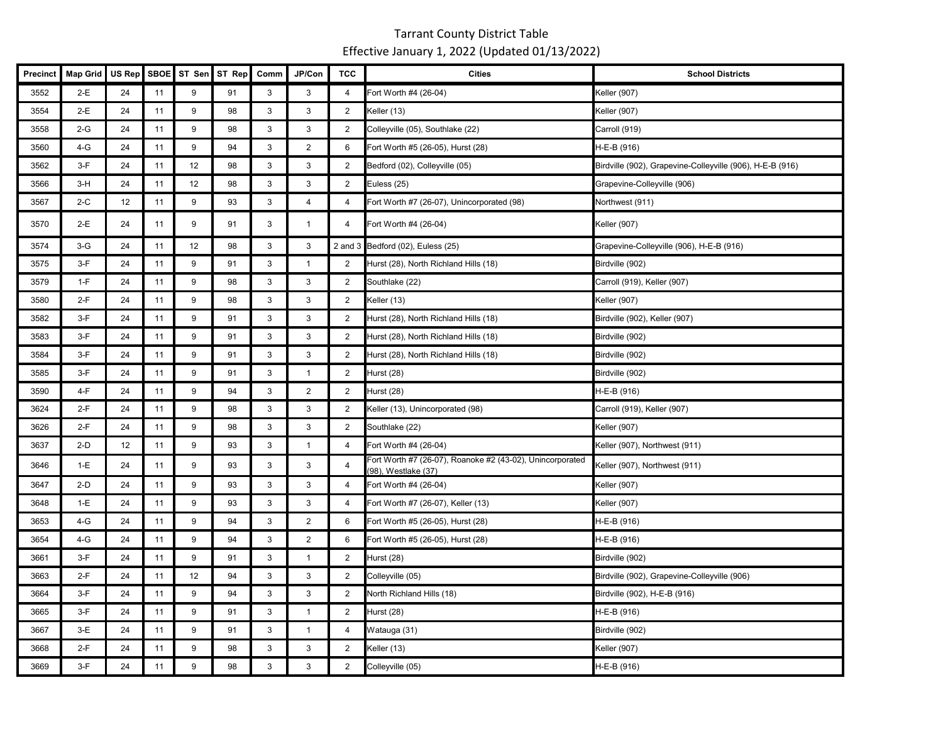| <b>Precinct</b> | <b>Map Grid</b> | US Rep | <b>SBOE</b> | ST Sen | ST Rep | Comm         | JP/Con         | <b>TCC</b>     | <b>Cities</b>                                                                    | <b>School Districts</b>                                   |
|-----------------|-----------------|--------|-------------|--------|--------|--------------|----------------|----------------|----------------------------------------------------------------------------------|-----------------------------------------------------------|
| 3552            | $2-E$           | 24     | 11          | 9      | 91     | 3            | 3              | $\overline{4}$ | Fort Worth #4 (26-04)                                                            | <b>Keller</b> (907)                                       |
| 3554            | $2-E$           | 24     | 11          | 9      | 98     | 3            | 3              | $\overline{2}$ | Keller (13)                                                                      | Keller (907)                                              |
| 3558            | $2-G$           | 24     | 11          | 9      | 98     | 3            | 3              | 2              | Colleyville (05), Southlake (22)                                                 | Carroll (919)                                             |
| 3560            | $4-G$           | 24     | 11          | 9      | 94     | $\mathbf{3}$ | $\overline{2}$ | 6              | Fort Worth #5 (26-05), Hurst (28)                                                | H-E-B (916)                                               |
| 3562            | $3-F$           | 24     | 11          | 12     | 98     | 3            | 3              | $\overline{2}$ | Bedford (02), Colleyville (05)                                                   | Birdville (902), Grapevine-Colleyville (906), H-E-B (916) |
| 3566            | $3-H$           | 24     | 11          | 12     | 98     | 3            | 3              | $\overline{2}$ | Euless (25)                                                                      | Grapevine-Colleyville (906)                               |
| 3567            | $2-C$           | 12     | 11          | 9      | 93     | 3            | $\overline{4}$ | 4              | Fort Worth #7 (26-07), Unincorporated (98)                                       | Northwest (911)                                           |
| 3570            | 2-E             | 24     | 11          | 9      | 91     | 3            | $\overline{1}$ | 4              | Fort Worth #4 (26-04)                                                            | <b>Keller (907)</b>                                       |
| 3574            | $3-G$           | 24     | 11          | 12     | 98     | 3            | 3              |                | 2 and 3 Bedford (02), Euless (25)                                                | Grapevine-Colleyville (906), H-E-B (916)                  |
| 3575            | $3-F$           | 24     | 11          | 9      | 91     | $\mathbf{3}$ | $\mathbf{1}$   | $\overline{2}$ | Hurst (28), North Richland Hills (18)                                            | Birdville (902)                                           |
| 3579            | $1-F$           | 24     | 11          | 9      | 98     | 3            | 3              | $\overline{2}$ | Southlake (22)                                                                   | Carroll (919), Keller (907)                               |
| 3580            | $2-F$           | 24     | 11          | 9      | 98     | 3            | $\mathbf{3}$   | $\overline{2}$ | Keller (13)                                                                      | Keller (907)                                              |
| 3582            | $3-F$           | 24     | 11          | 9      | 91     | 3            | 3              | 2              | Hurst (28), North Richland Hills (18)                                            | Birdville (902), Keller (907)                             |
| 3583            | $3-F$           | 24     | 11          | 9      | 91     | $\mathbf{3}$ | $\mathbf{3}$   | 2              | Hurst (28), North Richland Hills (18)                                            | Birdville (902)                                           |
| 3584            | $3-F$           | 24     | 11          | 9      | 91     | 3            | 3              | $\overline{2}$ | Hurst (28), North Richland Hills (18)                                            | Birdville (902)                                           |
| 3585            | $3-F$           | 24     | 11          | 9      | 91     | 3            | $\mathbf{1}$   | $\overline{2}$ | Hurst (28)                                                                       | Birdville (902)                                           |
| 3590            | 4-F             | 24     | 11          | 9      | 94     | 3            | $\overline{2}$ | $\overline{2}$ | Hurst (28)                                                                       | H-E-B (916)                                               |
| 3624            | $2-F$           | 24     | 11          | 9      | 98     | 3            | 3              | $\overline{2}$ | Keller (13), Unincorporated (98)                                                 | Carroll (919), Keller (907)                               |
| 3626            | $2-F$           | 24     | 11          | 9      | 98     | 3            | 3              | $\overline{2}$ | Southlake (22)                                                                   | Keller (907)                                              |
| 3637            | $2-D$           | 12     | 11          | 9      | 93     | 3            | $\mathbf{1}$   | $\overline{4}$ | Fort Worth #4 (26-04)                                                            | Keller (907), Northwest (911)                             |
| 3646            | $1-E$           | 24     | 11          | 9      | 93     | 3            | 3              | $\overline{4}$ | Fort Worth #7 (26-07), Roanoke #2 (43-02), Unincorporated<br>(98), Westlake (37) | Keller (907), Northwest (911)                             |
| 3647            | $2-D$           | 24     | 11          | 9      | 93     | 3            | 3              | 4              | Fort Worth #4 (26-04)                                                            | Keller (907)                                              |
| 3648            | $1-E$           | 24     | 11          | 9      | 93     | $\mathbf{3}$ | 3              | 4              | Fort Worth #7 (26-07), Keller (13)                                               | Keller (907)                                              |
| 3653            | $4-G$           | 24     | 11          | 9      | 94     | 3            | $\overline{2}$ | 6              | Fort Worth #5 (26-05), Hurst (28)                                                | H-E-B (916)                                               |
| 3654            | $4-G$           | 24     | 11          | 9      | 94     | 3            | $\overline{2}$ | 6              | Fort Worth #5 (26-05), Hurst (28)                                                | H-E-B (916)                                               |
| 3661            | $3-F$           | 24     | 11          | 9      | 91     | 3            | $\mathbf{1}$   | 2              | Hurst (28)                                                                       | Birdville (902)                                           |
| 3663            | $2-F$           | 24     | 11          | 12     | 94     | 3            | 3              | $\overline{2}$ | Colleyville (05)                                                                 | Birdville (902), Grapevine-Colleyville (906)              |
| 3664            | $3-F$           | 24     | 11          | 9      | 94     | 3            | 3              | $\overline{2}$ | North Richland Hills (18)                                                        | Birdville (902), H-E-B (916)                              |
| 3665            | $3-F$           | 24     | 11          | 9      | 91     | 3            | $\mathbf{1}$   | $\overline{2}$ | Hurst (28)                                                                       | H-E-B (916)                                               |
| 3667            | $3-E$           | 24     | 11          | 9      | 91     | 3            | $\mathbf{1}$   | $\overline{4}$ | Watauga (31)                                                                     | Birdville (902)                                           |
| 3668            | $2-F$           | 24     | 11          | 9      | 98     | 3            | 3              | 2              | Keller (13)                                                                      | Keller (907)                                              |
| 3669            | $3-F$           | 24     | 11          | 9      | 98     | 3            | 3              | 2              | Colleyville (05)                                                                 | H-E-B (916)                                               |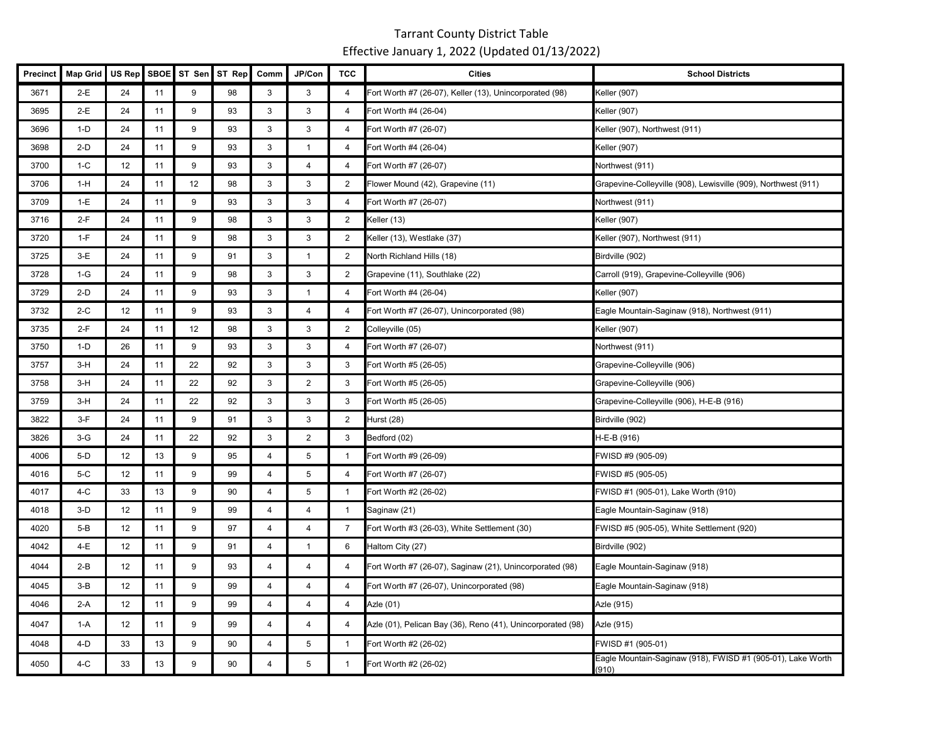| Precinct | <b>Map Grid</b> | US Rep | <b>SBOE</b> | ST Sen | ST Rep | Comm           | JP/Con         | <b>TCC</b>     | <b>Cities</b>                                               | <b>School Districts</b>                                              |
|----------|-----------------|--------|-------------|--------|--------|----------------|----------------|----------------|-------------------------------------------------------------|----------------------------------------------------------------------|
| 3671     | $2-E$           | 24     | 11          | 9      | 98     | 3              | 3              | $\overline{4}$ | Fort Worth #7 (26-07), Keller (13), Unincorporated (98)     | Keller (907)                                                         |
| 3695     | $2-E$           | 24     | 11          | 9      | 93     | 3              | 3              | 4              | Fort Worth #4 (26-04)                                       | Keller (907)                                                         |
| 3696     | $1-D$           | 24     | 11          | 9      | 93     | 3              | 3              | 4              | Fort Worth #7 (26-07)                                       | Keller (907), Northwest (911)                                        |
| 3698     | $2-D$           | 24     | 11          | 9      | 93     | 3              | $\overline{1}$ | 4              | Fort Worth #4 (26-04)                                       | Keller (907)                                                         |
| 3700     | $1-C$           | 12     | 11          | 9      | 93     | 3              | 4              | 4              | Fort Worth #7 (26-07)                                       | Northwest (911)                                                      |
| 3706     | $1-H$           | 24     | 11          | 12     | 98     | 3              | 3              | $\overline{2}$ | Flower Mound (42), Grapevine (11)                           | Grapevine-Colleyville (908), Lewisville (909), Northwest (911)       |
| 3709     | $1-E$           | 24     | 11          | 9      | 93     | 3              | 3              | 4              | Fort Worth #7 (26-07)                                       | Northwest (911)                                                      |
| 3716     | $2-F$           | 24     | 11          | 9      | 98     | 3              | 3              | 2              | Keller (13)                                                 | Keller (907)                                                         |
| 3720     | $1-F$           | 24     | 11          | 9      | 98     | 3              | 3              | $\overline{2}$ | Keller (13), Westlake (37)                                  | Keller (907), Northwest (911)                                        |
| 3725     | 3-E             | 24     | 11          | 9      | 91     | 3              | $\overline{1}$ | $\overline{2}$ | North Richland Hills (18)                                   | Birdville (902)                                                      |
| 3728     | $1-G$           | 24     | 11          | 9      | 98     | 3              | 3              | 2              | Grapevine (11), Southlake (22)                              | Carroll (919), Grapevine-Colleyville (906)                           |
| 3729     | $2-D$           | 24     | 11          | 9      | 93     | 3              | $\mathbf{1}$   | 4              | Fort Worth #4 (26-04)                                       | Keller (907)                                                         |
| 3732     | $2-C$           | 12     | 11          | 9      | 93     | 3              | 4              | 4              | Fort Worth #7 (26-07), Unincorporated (98)                  | Eagle Mountain-Saginaw (918), Northwest (911)                        |
| 3735     | $2-F$           | 24     | 11          | 12     | 98     | 3              | 3              | $\overline{2}$ | Colleyville (05)                                            | Keller (907)                                                         |
| 3750     | $1-D$           | 26     | 11          | 9      | 93     | 3              | 3              | 4              | Fort Worth #7 (26-07)                                       | Northwest (911)                                                      |
| 3757     | $3-H$           | 24     | 11          | 22     | 92     | 3              | 3              | 3              | Fort Worth #5 (26-05)                                       | Grapevine-Colleyville (906)                                          |
| 3758     | $3-H$           | 24     | 11          | 22     | 92     | 3              | $\overline{2}$ | 3              | Fort Worth #5 (26-05)                                       | Grapevine-Colleyville (906)                                          |
| 3759     | $3-H$           | 24     | 11          | 22     | 92     | 3              | 3              | 3              | Fort Worth #5 (26-05)                                       | Grapevine-Colleyville (906), H-E-B (916)                             |
| 3822     | $3-F$           | 24     | 11          | 9      | 91     | 3              | 3              | $\overline{2}$ | Hurst (28)                                                  | Birdville (902)                                                      |
| 3826     | $3-G$           | 24     | 11          | 22     | 92     | 3              | $\overline{2}$ | 3              | Bedford (02)                                                | H-E-B (916)                                                          |
| 4006     | $5-D$           | 12     | 13          | 9      | 95     | $\overline{4}$ | 5              | $\overline{1}$ | Fort Worth #9 (26-09)                                       | FWISD #9 (905-09)                                                    |
| 4016     | $5-C$           | 12     | 11          | 9      | 99     | 4              | 5              | 4              | Fort Worth #7 (26-07)                                       | FWISD #5 (905-05)                                                    |
| 4017     | $4-C$           | 33     | 13          | 9      | 90     | $\overline{4}$ | 5              | $\overline{1}$ | Fort Worth #2 (26-02)                                       | FWISD #1 (905-01), Lake Worth (910)                                  |
| 4018     | $3-D$           | 12     | 11          | 9      | 99     | $\overline{4}$ | $\overline{4}$ | $\overline{1}$ | Saginaw (21)                                                | Eagle Mountain-Saginaw (918)                                         |
| 4020     | $5-B$           | 12     | 11          | 9      | 97     | $\overline{4}$ | 4              | $\overline{7}$ | Fort Worth #3 (26-03), White Settlement (30)                | FWISD #5 (905-05), White Settlement (920)                            |
| 4042     | 4-E             | 12     | 11          | 9      | 91     | 4              | $\mathbf{1}$   | 6              | Haltom City (27)                                            | Birdville (902)                                                      |
| 4044     | $2-B$           | 12     | 11          | 9      | 93     | 4              | 4              | 4              | Fort Worth #7 (26-07), Saginaw (21), Unincorporated (98)    | Eagle Mountain-Saginaw (918)                                         |
| 4045     | $3-B$           | 12     | 11          | 9      | 99     | $\overline{4}$ | 4              | 4              | Fort Worth #7 (26-07), Unincorporated (98)                  | Eagle Mountain-Saginaw (918)                                         |
| 4046     | 2-A             | 12     | 11          | 9      | 99     | $\overline{4}$ | 4              | 4              | Azle (01)                                                   | Azle (915)                                                           |
| 4047     | 1-A             | 12     | 11          | 9      | 99     | $\overline{4}$ | 4              | 4              | Azle (01), Pelican Bay (36), Reno (41), Unincorporated (98) | Azle (915)                                                           |
| 4048     | $4-D$           | 33     | 13          | 9      | 90     | $\overline{4}$ | 5              | $\mathbf{1}$   | Fort Worth #2 (26-02)                                       | FWISD #1 (905-01)                                                    |
| 4050     | $4-C$           | 33     | 13          | 9      | 90     | $\overline{4}$ | 5              | $\overline{1}$ | Fort Worth #2 (26-02)                                       | Eagle Mountain-Saginaw (918), FWISD #1 (905-01), Lake Worth<br>(910) |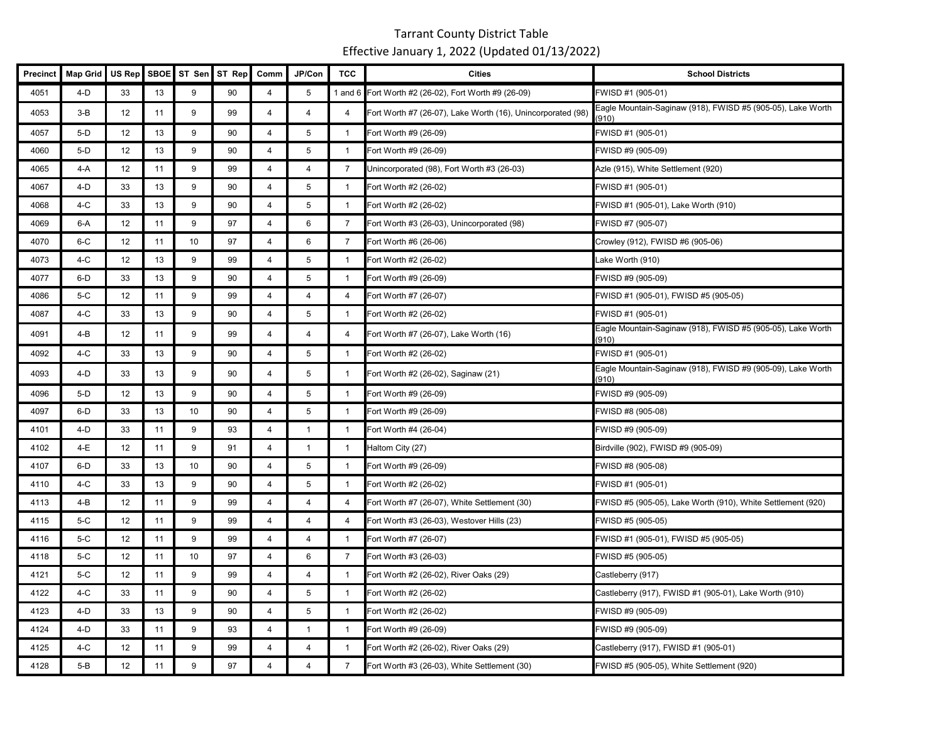| Precinct | <b>Map Grid</b> | US Rep | <b>SBOE</b> | ST Sen | ST Rep | Comm           | JP/Con         | <b>TCC</b>     | <b>Cities</b>                                               | <b>School Districts</b>                                              |
|----------|-----------------|--------|-------------|--------|--------|----------------|----------------|----------------|-------------------------------------------------------------|----------------------------------------------------------------------|
| 4051     | $4-D$           | 33     | 13          | 9      | 90     | $\overline{4}$ | 5              |                | 1 and 6 Fort Worth #2 (26-02), Fort Worth #9 (26-09)        | FWISD #1 (905-01)                                                    |
| 4053     | $3-B$           | 12     | 11          | 9      | 99     | $\overline{4}$ | $\overline{4}$ | $\overline{4}$ | Fort Worth #7 (26-07), Lake Worth (16), Unincorporated (98) | Eagle Mountain-Saginaw (918), FWISD #5 (905-05), Lake Worth<br>910)  |
| 4057     | $5-D$           | 12     | 13          | 9      | 90     | $\overline{4}$ | 5              | $\mathbf{1}$   | Fort Worth #9 (26-09)                                       | FWISD #1 (905-01)                                                    |
| 4060     | $5-D$           | 12     | 13          | 9      | 90     | 4              | 5              | $\mathbf{1}$   | Fort Worth #9 (26-09)                                       | FWISD #9 (905-09)                                                    |
| 4065     | 4-A             | 12     | 11          | 9      | 99     | $\overline{4}$ | $\overline{4}$ | $\overline{7}$ | Unincorporated (98), Fort Worth #3 (26-03)                  | Azle (915), White Settlement (920)                                   |
| 4067     | 4-D             | 33     | 13          | 9      | 90     | $\overline{4}$ | 5              | $\mathbf{1}$   | Fort Worth #2 (26-02)                                       | FWISD #1 (905-01)                                                    |
| 4068     | $4-C$           | 33     | 13          | 9      | 90     | $\overline{4}$ | 5              | $\mathbf{1}$   | Fort Worth #2 (26-02)                                       | FWISD #1 (905-01), Lake Worth (910)                                  |
| 4069     | 6-A             | 12     | 11          | 9      | 97     | $\overline{4}$ | 6              | $\overline{7}$ | Fort Worth #3 (26-03), Unincorporated (98)                  | FWISD #7 (905-07)                                                    |
| 4070     | $6-C$           | 12     | 11          | 10     | 97     | 4              | 6              | $\overline{7}$ | Fort Worth #6 (26-06)                                       | Crowley (912), FWISD #6 (905-06)                                     |
| 4073     | $4-C$           | 12     | 13          | 9      | 99     | $\overline{4}$ | 5              | $\mathbf{1}$   | Fort Worth #2 (26-02)                                       | Lake Worth (910)                                                     |
| 4077     | $6-D$           | 33     | 13          | 9      | 90     | $\overline{4}$ | 5              | $\mathbf{1}$   | Fort Worth #9 (26-09)                                       | FWISD #9 (905-09)                                                    |
| 4086     | $5-C$           | 12     | 11          | 9      | 99     | $\overline{4}$ | $\overline{4}$ | $\overline{4}$ | Fort Worth #7 (26-07)                                       | FWISD #1 (905-01), FWISD #5 (905-05)                                 |
| 4087     | 4-C             | 33     | 13          | 9      | 90     | $\overline{4}$ | 5              | $\mathbf{1}$   | Fort Worth #2 (26-02)                                       | FWISD #1 (905-01)                                                    |
| 4091     | 4-B             | 12     | 11          | 9      | 99     | $\overline{4}$ | $\overline{a}$ | 4              | Fort Worth #7 (26-07), Lake Worth (16)                      | Eagle Mountain-Saginaw (918), FWISD #5 (905-05), Lake Worth<br>(910) |
| 4092     | $4-C$           | 33     | 13          | 9      | 90     | $\overline{4}$ | 5              | $\mathbf{1}$   | Fort Worth #2 (26-02)                                       | FWISD #1 (905-01)                                                    |
| 4093     | 4-D             | 33     | 13          | 9      | 90     | $\overline{4}$ | 5              | $\mathbf{1}$   | Fort Worth #2 (26-02), Saginaw (21)                         | Eagle Mountain-Saginaw (918), FWISD #9 (905-09), Lake Worth<br>910)  |
| 4096     | $5-D$           | 12     | 13          | 9      | 90     | $\overline{4}$ | 5              | $\mathbf{1}$   | Fort Worth #9 (26-09)                                       | FWISD #9 (905-09)                                                    |
| 4097     | 6-D             | 33     | 13          | 10     | 90     | $\overline{4}$ | 5              | $\mathbf{1}$   | Fort Worth #9 (26-09)                                       | FWISD #8 (905-08)                                                    |
| 4101     | $4-D$           | 33     | 11          | 9      | 93     | $\overline{4}$ | $\mathbf{1}$   | $\mathbf{1}$   | Fort Worth #4 (26-04)                                       | FWISD #9 (905-09)                                                    |
| 4102     | 4-E             | 12     | 11          | 9      | 91     | 4              | $\mathbf{1}$   | $\mathbf{1}$   | Haltom City (27)                                            | Birdville (902), FWISD #9 (905-09)                                   |
| 4107     | 6-D             | 33     | 13          | 10     | 90     | 4              | 5              | $\mathbf{1}$   | Fort Worth #9 (26-09)                                       | FWISD #8 (905-08)                                                    |
| 4110     | $4-C$           | 33     | 13          | 9      | 90     | $\overline{4}$ | 5              | $\mathbf{1}$   | Fort Worth #2 (26-02)                                       | FWISD #1 (905-01)                                                    |
| 4113     | 4-B             | 12     | 11          | 9      | 99     | $\overline{4}$ | $\overline{4}$ | 4              | Fort Worth #7 (26-07), White Settlement (30)                | FWISD #5 (905-05), Lake Worth (910), White Settlement (920)          |
| 4115     | $5-C$           | 12     | 11          | 9      | 99     | $\overline{4}$ | $\overline{4}$ | 4              | Fort Worth #3 (26-03), Westover Hills (23)                  | FWISD #5 (905-05)                                                    |
| 4116     | $5-C$           | 12     | 11          | 9      | 99     | 4              | $\overline{4}$ | $\mathbf{1}$   | Fort Worth #7 (26-07)                                       | FWISD #1 (905-01), FWISD #5 (905-05)                                 |
| 4118     | $5-C$           | 12     | 11          | 10     | 97     | 4              | 6              | $\overline{7}$ | Fort Worth #3 (26-03)                                       | FWISD #5 (905-05)                                                    |
| 4121     | $5-C$           | 12     | 11          | 9      | 99     | $\overline{4}$ | $\overline{4}$ | $\mathbf{1}$   | Fort Worth #2 (26-02), River Oaks (29)                      | Castleberry (917)                                                    |
| 4122     | $4-C$           | 33     | 11          | 9      | 90     | $\overline{4}$ | 5              | $\mathbf{1}$   | Fort Worth #2 (26-02)                                       | Castleberry (917), FWISD #1 (905-01), Lake Worth (910)               |
| 4123     | 4-D             | 33     | 13          | 9      | 90     | $\overline{4}$ | 5              | $\mathbf{1}$   | Fort Worth #2 (26-02)                                       | FWISD #9 (905-09)                                                    |
| 4124     | 4-D             | 33     | 11          | 9      | 93     | 4              | $\mathbf{1}$   | $\mathbf{1}$   | Fort Worth #9 (26-09)                                       | FWISD #9 (905-09)                                                    |
| 4125     | 4-C             | 12     | 11          | 9      | 99     | 4              | 4              | $\mathbf{1}$   | Fort Worth #2 (26-02), River Oaks (29)                      | Castleberry (917), FWISD #1 (905-01)                                 |
| 4128     | $5-B$           | 12     | 11          | 9      | 97     | $\overline{4}$ | $\overline{4}$ | $\overline{7}$ | Fort Worth #3 (26-03), White Settlement (30)                | FWISD #5 (905-05), White Settlement (920)                            |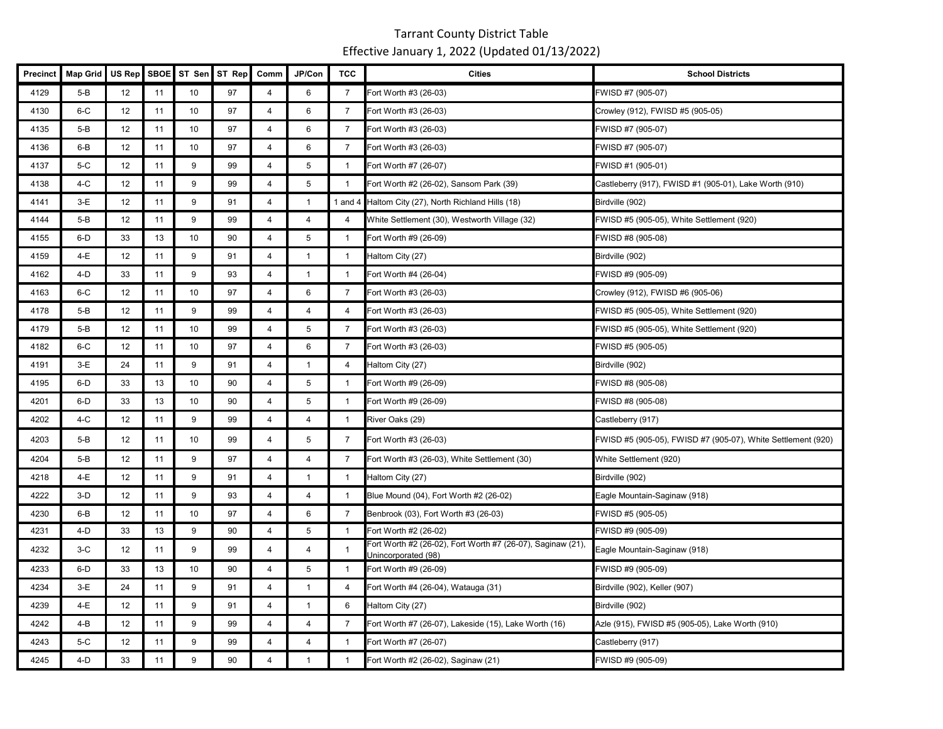| <b>Precinct</b> | <b>Map Grid</b> | US Rep | <b>SBOE</b> |    | ST Sen ST Rep | Comm           | JP/Con         | <b>TCC</b>     | <b>Cities</b>                                                                      | <b>School Districts</b>                                      |
|-----------------|-----------------|--------|-------------|----|---------------|----------------|----------------|----------------|------------------------------------------------------------------------------------|--------------------------------------------------------------|
| 4129            | $5-B$           | 12     | 11          | 10 | 97            | 4              | 6              | $\overline{7}$ | Fort Worth #3 (26-03)                                                              | FWISD #7 (905-07)                                            |
| 4130            | $6-C$           | 12     | 11          | 10 | 97            | 4              | 6              | 7              | Fort Worth #3 (26-03)                                                              | Crowley (912), FWISD #5 (905-05)                             |
| 4135            | 5-B             | 12     | 11          | 10 | 97            | $\overline{4}$ | 6              | $\overline{7}$ | Fort Worth #3 (26-03)                                                              | FWISD #7 (905-07)                                            |
| 4136            | $6 - B$         | 12     | 11          | 10 | 97            | $\overline{4}$ | 6              | 7              | Fort Worth #3 (26-03)                                                              | FWISD #7 (905-07)                                            |
| 4137            | $5-C$           | 12     | 11          | 9  | 99            | $\overline{4}$ | 5              | $\mathbf{1}$   | Fort Worth #7 (26-07)                                                              | FWISD #1 (905-01)                                            |
| 4138            | $4-C$           | 12     | 11          | 9  | 99            | $\overline{4}$ | 5              | $\overline{1}$ | Fort Worth #2 (26-02), Sansom Park (39)                                            | Castleberry (917), FWISD #1 (905-01), Lake Worth (910)       |
| 4141            | $3-E$           | 12     | 11          | 9  | 91            | $\overline{4}$ | $\mathbf{1}$   |                | 1 and 4 Haltom City (27), North Richland Hills (18)                                | Birdville (902)                                              |
| 4144            | $5-B$           | 12     | 11          | 9  | 99            | 4              | $\pmb{4}$      | 4              | White Settlement (30), Westworth Village (32)                                      | FWISD #5 (905-05), White Settlement (920)                    |
| 4155            | $6-D$           | 33     | 13          | 10 | 90            | 4              | 5              | $\overline{1}$ | Fort Worth #9 (26-09)                                                              | FWISD #8 (905-08)                                            |
| 4159            | 4-E             | 12     | 11          | 9  | 91            | $\overline{4}$ | $\mathbf{1}$   | $\mathbf{1}$   | Haltom City (27)                                                                   | Birdville (902)                                              |
| 4162            | $4-D$           | 33     | 11          | 9  | 93            | $\overline{4}$ | $\mathbf{1}$   | -1             | Fort Worth #4 (26-04)                                                              | FWISD #9 (905-09)                                            |
| 4163            | $6-C$           | 12     | 11          | 10 | 97            | $\overline{4}$ | 6              | $\overline{7}$ | Fort Worth #3 (26-03)                                                              | Crowley (912), FWISD #6 (905-06)                             |
| 4178            | $5-B$           | 12     | 11          | 9  | 99            | $\overline{4}$ | $\overline{4}$ | 4              | Fort Worth #3 (26-03)                                                              | FWISD #5 (905-05), White Settlement (920)                    |
| 4179            | $5-B$           | 12     | 11          | 10 | 99            | $\overline{4}$ | 5              | $\overline{7}$ | Fort Worth #3 (26-03)                                                              | FWISD #5 (905-05), White Settlement (920)                    |
| 4182            | $6-C$           | 12     | 11          | 10 | 97            | $\overline{4}$ | 6              | 7              | Fort Worth #3 (26-03)                                                              | FWISD #5 (905-05)                                            |
| 4191            | $3-E$           | 24     | 11          | 9  | 91            | $\overline{4}$ | $\mathbf{1}$   | 4              | Haltom City (27)                                                                   | Birdville (902)                                              |
| 4195            | $6-D$           | 33     | 13          | 10 | 90            | 4              | 5              | $\mathbf{1}$   | Fort Worth #9 (26-09)                                                              | FWISD #8 (905-08)                                            |
| 4201            | 6-D             | 33     | 13          | 10 | 90            | $\overline{4}$ | 5              | $\overline{1}$ | Fort Worth #9 (26-09)                                                              | FWISD #8 (905-08)                                            |
| 4202            | $4-C$           | 12     | 11          | 9  | 99            | $\overline{4}$ | $\overline{4}$ | $\mathbf{1}$   | River Oaks (29)                                                                    | Castleberry (917)                                            |
| 4203            | 5-B             | 12     | 11          | 10 | 99            | 4              | 5              | $\overline{7}$ | Fort Worth #3 (26-03)                                                              | FWISD #5 (905-05), FWISD #7 (905-07), White Settlement (920) |
| 4204            | $5-B$           | 12     | 11          | 9  | 97            | $\overline{4}$ | $\overline{4}$ | $\overline{7}$ | Fort Worth #3 (26-03), White Settlement (30)                                       | White Settlement (920)                                       |
| 4218            | 4-E             | 12     | 11          | 9  | 91            | $\overline{4}$ | $\mathbf{1}$   | $\mathbf{1}$   | Haltom City (27)                                                                   | Birdville (902)                                              |
| 4222            | $3-D$           | 12     | 11          | 9  | 93            | $\overline{4}$ | 4              | -1             | Blue Mound (04), Fort Worth #2 (26-02)                                             | Eagle Mountain-Saginaw (918)                                 |
| 4230            | $6 - B$         | 12     | 11          | 10 | 97            | $\overline{4}$ | 6              | 7              | Benbrook (03), Fort Worth #3 (26-03)                                               | FWISD #5 (905-05)                                            |
| 4231            | $4-D$           | 33     | 13          | 9  | 90            | $\overline{4}$ | 5              | $\overline{1}$ | Fort Worth #2 (26-02)                                                              | FWISD #9 (905-09)                                            |
| 4232            | $3-C$           | 12     | 11          | 9  | 99            | 4              | 4              | -1             | Fort Worth #2 (26-02), Fort Worth #7 (26-07), Saginaw (21),<br>Jnincorporated (98) | Eagle Mountain-Saginaw (918)                                 |
| 4233            | 6-D             | 33     | 13          | 10 | 90            | $\overline{4}$ | 5              | $\overline{1}$ | Fort Worth #9 (26-09)                                                              | FWISD #9 (905-09)                                            |
| 4234            | $3-E$           | 24     | 11          | 9  | 91            | 4              | $\mathbf{1}$   | $\overline{4}$ | Fort Worth #4 (26-04), Watauga (31)                                                | Birdville (902), Keller (907)                                |
| 4239            | 4-E             | 12     | 11          | 9  | 91            | $\overline{4}$ | $\mathbf{1}$   | 6              | Haltom City (27)                                                                   | Birdville (902)                                              |
| 4242            | 4-B             | 12     | 11          | 9  | 99            | $\overline{4}$ | 4              | $\overline{7}$ | Fort Worth #7 (26-07), Lakeside (15), Lake Worth (16)                              | Azle (915), FWISD #5 (905-05), Lake Worth (910)              |
| 4243            | $5-C$           | 12     | 11          | 9  | 99            | 4              | $\overline{4}$ | -1             | Fort Worth #7 (26-07)                                                              | Castleberry (917)                                            |
| 4245            | $4-D$           | 33     | 11          | 9  | 90            | $\overline{4}$ | $\mathbf{1}$   | $\mathbf{1}$   | Fort Worth #2 (26-02), Saginaw (21)                                                | FWISD #9 (905-09)                                            |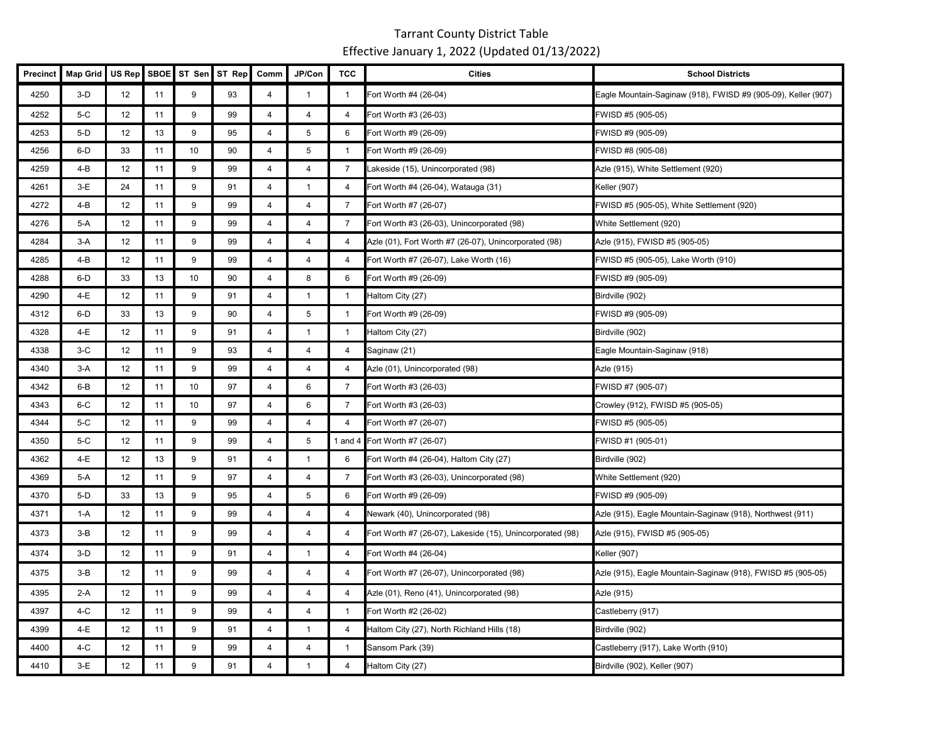| Precinct | <b>Map Grid</b> | US Rep | SBOE | ST Sen | ST Rep | Comm           | JP/Con                  | <b>TCC</b>     | <b>Cities</b>                                             | <b>School Districts</b>                                       |
|----------|-----------------|--------|------|--------|--------|----------------|-------------------------|----------------|-----------------------------------------------------------|---------------------------------------------------------------|
| 4250     | $3-D$           | 12     | 11   | 9      | 93     | 4              | $\mathbf{1}$            | $\mathbf{1}$   | Fort Worth #4 (26-04)                                     | Eagle Mountain-Saginaw (918), FWISD #9 (905-09), Keller (907) |
| 4252     | $5-C$           | 12     | 11   | 9      | 99     | $\overline{4}$ | $\overline{4}$          | 4              | Fort Worth #3 (26-03)                                     | FWISD #5 (905-05)                                             |
| 4253     | $5-D$           | 12     | 13   | 9      | 95     | $\overline{4}$ | 5                       | 6              | Fort Worth #9 (26-09)                                     | FWISD #9 (905-09)                                             |
| 4256     | 6-D             | 33     | 11   | 10     | 90     | $\overline{4}$ | 5                       | $\mathbf{1}$   | Fort Worth #9 (26-09)                                     | FWISD #8 (905-08)                                             |
| 4259     | 4-B             | 12     | 11   | 9      | 99     | $\overline{4}$ | $\overline{4}$          | $\overline{7}$ | Lakeside (15), Unincorporated (98)                        | Azle (915), White Settlement (920)                            |
| 4261     | $3-E$           | 24     | 11   | 9      | 91     | $\overline{4}$ | $\mathbf{1}$            | $\overline{4}$ | Fort Worth #4 (26-04), Watauga (31)                       | Keller (907)                                                  |
| 4272     | 4-B             | 12     | 11   | 9      | 99     | $\overline{4}$ | $\overline{4}$          | $\overline{7}$ | Fort Worth #7 (26-07)                                     | FWISD #5 (905-05), White Settlement (920)                     |
| 4276     | 5-A             | 12     | 11   | 9      | 99     | $\overline{4}$ | $\overline{4}$          | $\overline{7}$ | Fort Worth #3 (26-03), Unincorporated (98)                | White Settlement (920)                                        |
| 4284     | $3-A$           | 12     | 11   | 9      | 99     | $\overline{4}$ | $\overline{4}$          | $\overline{4}$ | Azle (01), Fort Worth #7 (26-07), Unincorporated (98)     | Azle (915), FWISD #5 (905-05)                                 |
| 4285     | 4-B             | 12     | 11   | 9      | 99     | 4              | $\overline{\mathbf{4}}$ | 4              | Fort Worth #7 (26-07), Lake Worth (16)                    | FWISD #5 (905-05), Lake Worth (910)                           |
| 4288     | 6-D             | 33     | 13   | 10     | 90     | $\overline{4}$ | 8                       | 6              | Fort Worth #9 (26-09)                                     | FWISD #9 (905-09)                                             |
| 4290     | 4-E             | 12     | 11   | 9      | 91     | $\overline{4}$ | $\mathbf{1}$            | $\mathbf{1}$   | Haltom City (27)                                          | Birdville (902)                                               |
| 4312     | $6-D$           | 33     | 13   | 9      | 90     | $\overline{4}$ | $5\phantom{.0}$         | $\mathbf{1}$   | Fort Worth #9 (26-09)                                     | FWISD #9 (905-09)                                             |
| 4328     | 4-E             | 12     | 11   | 9      | 91     | 4              | $\mathbf{1}$            | $\mathbf{1}$   | Haltom City (27)                                          | Birdville (902)                                               |
| 4338     | $3-C$           | 12     | 11   | 9      | 93     | $\overline{4}$ | $\overline{4}$          | $\overline{a}$ | Saginaw (21)                                              | Eagle Mountain-Saginaw (918)                                  |
| 4340     | $3-A$           | 12     | 11   | 9      | 99     | 4              | 4                       | 4              | Azle (01), Unincorporated (98)                            | Azle (915)                                                    |
| 4342     | 6-B             | 12     | 11   | 10     | 97     | $\overline{4}$ | 6                       | $\overline{7}$ | Fort Worth #3 (26-03)                                     | FWISD #7 (905-07)                                             |
| 4343     | $6-C$           | 12     | 11   | 10     | 97     | 4              | 6                       | $\overline{7}$ | Fort Worth #3 (26-03)                                     | Crowley (912), FWISD #5 (905-05)                              |
| 4344     | 5-C             | 12     | 11   | 9      | 99     | 4              | $\overline{4}$          | $\overline{4}$ | Fort Worth #7 (26-07)                                     | FWISD #5 (905-05)                                             |
| 4350     | $5-C$           | 12     | 11   | 9      | 99     | $\overline{4}$ | $\overline{5}$          |                | 1 and 4 Fort Worth #7 (26-07)                             | FWISD #1 (905-01)                                             |
| 4362     | 4-E             | 12     | 13   | 9      | 91     | $\overline{4}$ | $\mathbf{1}$            | 6              | Fort Worth #4 (26-04), Haltom City (27)                   | Birdville (902)                                               |
| 4369     | 5-A             | 12     | 11   | 9      | 97     | $\overline{4}$ | $\overline{4}$          | $\overline{7}$ | Fort Worth #3 (26-03), Unincorporated (98)                | White Settlement (920)                                        |
| 4370     | $5-D$           | 33     | 13   | 9      | 95     | $\overline{4}$ | 5                       | 6              | Fort Worth #9 (26-09)                                     | FWISD #9 (905-09)                                             |
| 4371     | 1-A             | 12     | 11   | 9      | 99     | 4              | $\overline{4}$          | 4              | Newark (40), Unincorporated (98)                          | Azle (915), Eagle Mountain-Saginaw (918), Northwest (911)     |
| 4373     | $3-B$           | 12     | 11   | 9      | 99     | $\overline{4}$ | $\overline{a}$          | 4              | Fort Worth #7 (26-07), Lakeside (15), Unincorporated (98) | Azle (915), FWISD #5 (905-05)                                 |
| 4374     | $3-D$           | 12     | 11   | 9      | 91     | $\overline{4}$ | $\mathbf{1}$            | 4              | Fort Worth #4 (26-04)                                     | Keller (907)                                                  |
| 4375     | $3-B$           | 12     | 11   | 9      | 99     | $\overline{4}$ | $\overline{4}$          | 4              | Fort Worth #7 (26-07), Unincorporated (98)                | Azle (915), Eagle Mountain-Saginaw (918), FWISD #5 (905-05)   |
| 4395     | $2-A$           | 12     | 11   | 9      | 99     | $\overline{4}$ | $\overline{4}$          | $\overline{4}$ | Azle (01), Reno (41), Unincorporated (98)                 | Azle (915)                                                    |
| 4397     | $4-C$           | 12     | 11   | 9      | 99     | $\overline{4}$ | 4                       | $\mathbf{1}$   | Fort Worth #2 (26-02)                                     | Castleberry (917)                                             |
| 4399     | 4-E             | 12     | 11   | 9      | 91     | $\overline{4}$ | $\mathbf{1}$            | $\overline{4}$ | Haltom City (27), North Richland Hills (18)               | Birdville (902)                                               |
| 4400     | $4-C$           | 12     | 11   | 9      | 99     | $\overline{4}$ | $\overline{4}$          | $\mathbf{1}$   | Sansom Park (39)                                          | Castleberry (917), Lake Worth (910)                           |
| 4410     | $3-E$           | 12     | 11   | 9      | 91     | 4              | $\mathbf{1}$            | 4              | Haltom City (27)                                          | Birdville (902), Keller (907)                                 |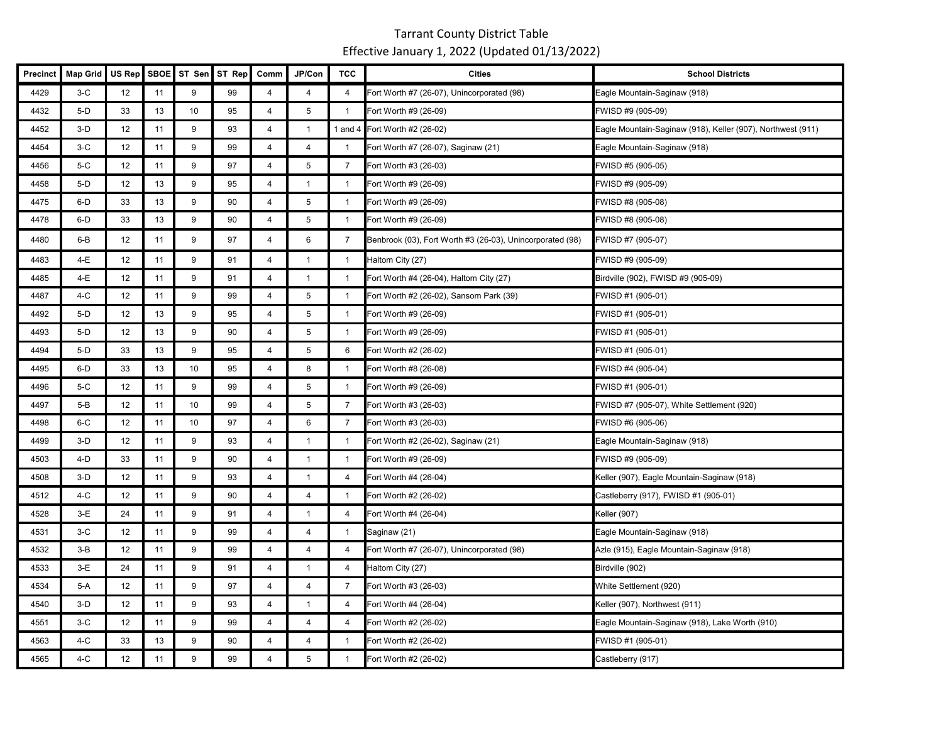| <b>Precinct</b> | <b>Map Grid</b> | US Rep | <b>SBOE</b> | ST Sen | ST Rep | Comm           | JP/Con         | <b>TCC</b>     | <b>Cities</b>                                             | <b>School Districts</b>                                     |
|-----------------|-----------------|--------|-------------|--------|--------|----------------|----------------|----------------|-----------------------------------------------------------|-------------------------------------------------------------|
| 4429            | $3-C$           | 12     | 11          | 9      | 99     | 4              | $\overline{4}$ | 4              | Fort Worth #7 (26-07), Unincorporated (98)                | Eagle Mountain-Saginaw (918)                                |
| 4432            | $5-D$           | 33     | 13          | 10     | 95     | 4              | 5              | $\mathbf{1}$   | Fort Worth #9 (26-09)                                     | FWISD #9 (905-09)                                           |
| 4452            | $3-D$           | 12     | 11          | 9      | 93     | $\overline{4}$ | $\mathbf{1}$   |                | 1 and 4 Fort Worth #2 (26-02)                             | Eagle Mountain-Saginaw (918), Keller (907), Northwest (911) |
| 4454            | $3-C$           | 12     | 11          | 9      | 99     | 4              | $\overline{4}$ | $\overline{1}$ | Fort Worth #7 (26-07), Saginaw (21)                       | Eagle Mountain-Saginaw (918)                                |
| 4456            | $5-C$           | 12     | 11          | 9      | 97     | 4              | 5              | $\overline{7}$ | Fort Worth #3 (26-03)                                     | FWISD #5 (905-05)                                           |
| 4458            | $5-D$           | 12     | 13          | 9      | 95     | $\overline{4}$ | $\mathbf{1}$   | $\mathbf{1}$   | Fort Worth #9 (26-09)                                     | FWISD #9 (905-09)                                           |
| 4475            | 6-D             | 33     | 13          | 9      | 90     | 4              | 5              | $\overline{1}$ | Fort Worth #9 (26-09)                                     | FWISD #8 (905-08)                                           |
| 4478            | $6-D$           | 33     | 13          | 9      | 90     | $\overline{4}$ | 5              | $\overline{1}$ | Fort Worth #9 (26-09)                                     | FWISD #8 (905-08)                                           |
| 4480            | $6 - B$         | 12     | 11          | 9      | 97     | 4              | 6              | 7              | Benbrook (03), Fort Worth #3 (26-03), Unincorporated (98) | FWISD #7 (905-07)                                           |
| 4483            | 4-E             | 12     | 11          | 9      | 91     | 4              | $\mathbf{1}$   | $\mathbf{1}$   | Haltom City (27)                                          | FWISD #9 (905-09)                                           |
| 4485            | 4-E             | 12     | 11          | 9      | 91     | $\overline{4}$ | $\mathbf{1}$   | $\overline{1}$ | Fort Worth #4 (26-04), Haltom City (27)                   | Birdville (902), FWISD #9 (905-09)                          |
| 4487            | 4-C             | 12     | 11          | 9      | 99     | $\overline{4}$ | 5              | $\overline{1}$ | Fort Worth #2 (26-02), Sansom Park (39)                   | FWISD #1 (905-01)                                           |
| 4492            | $5-D$           | 12     | 13          | 9      | 95     | $\overline{4}$ | 5              | $\mathbf{1}$   | Fort Worth #9 (26-09)                                     | FWISD #1 (905-01)                                           |
| 4493            | $5-D$           | 12     | 13          | 9      | 90     | 4              | 5              | $\overline{1}$ | Fort Worth #9 (26-09)                                     | FWISD #1 (905-01)                                           |
| 4494            | $5-D$           | 33     | 13          | 9      | 95     | 4              | 5              | 6              | Fort Worth #2 (26-02)                                     | FWISD #1 (905-01)                                           |
| 4495            | $6-D$           | 33     | 13          | 10     | 95     | 4              | 8              | $\overline{1}$ | Fort Worth #8 (26-08)                                     | FWISD #4 (905-04)                                           |
| 4496            | 5-C             | 12     | 11          | 9      | 99     | $\overline{4}$ | 5              | $\mathbf{1}$   | Fort Worth #9 (26-09)                                     | FWISD #1 (905-01)                                           |
| 4497            | $5-B$           | 12     | 11          | 10     | 99     | 4              | 5              | $\overline{7}$ | Fort Worth #3 (26-03)                                     | FWISD #7 (905-07), White Settlement (920)                   |
| 4498            | $6-C$           | 12     | 11          | 10     | 97     | 4              | $\,6$          | $\overline{7}$ | Fort Worth #3 (26-03)                                     | FWISD #6 (905-06)                                           |
| 4499            | $3-D$           | 12     | 11          | 9      | 93     | $\overline{4}$ | $\mathbf{1}$   | -1             | Fort Worth #2 (26-02), Saginaw (21)                       | Eagle Mountain-Saginaw (918)                                |
| 4503            | 4-D             | 33     | 11          | 9      | 90     | $\overline{4}$ | $\mathbf{1}$   | $\mathbf{1}$   | Fort Worth #9 (26-09)                                     | FWISD #9 (905-09)                                           |
| 4508            | $3-D$           | 12     | 11          | 9      | 93     | 4              | $\mathbf{1}$   | 4              | Fort Worth #4 (26-04)                                     | Keller (907), Eagle Mountain-Saginaw (918)                  |
| 4512            | 4-C             | 12     | 11          | 9      | 90     | 4              | $\overline{4}$ | $\mathbf{1}$   | Fort Worth #2 (26-02)                                     | Castleberry (917), FWISD #1 (905-01)                        |
| 4528            | $3-E$           | 24     | 11          | 9      | 91     | $\overline{4}$ | $\mathbf{1}$   | 4              | Fort Worth #4 (26-04)                                     | Keller (907)                                                |
| 4531            | $3-C$           | 12     | 11          | 9      | 99     | 4              | $\overline{4}$ | $\overline{1}$ | Saginaw (21)                                              | Eagle Mountain-Saginaw (918)                                |
| 4532            | $3-B$           | 12     | 11          | 9      | 99     | $\overline{4}$ | 4              | 4              | Fort Worth #7 (26-07), Unincorporated (98)                | Azle (915), Eagle Mountain-Saginaw (918)                    |
| 4533            | $3-E$           | 24     | 11          | 9      | 91     | $\overline{4}$ | $\mathbf{1}$   | 4              | Haltom City (27)                                          | Birdville (902)                                             |
| 4534            | 5-A             | 12     | 11          | 9      | 97     | $\overline{4}$ | 4              | $\overline{7}$ | Fort Worth #3 (26-03)                                     | White Settlement (920)                                      |
| 4540            | $3-D$           | 12     | 11          | 9      | 93     | 4              | $\mathbf{1}$   | 4              | Fort Worth #4 (26-04)                                     | Keller (907), Northwest (911)                               |
| 4551            | $3-C$           | 12     | 11          | 9      | 99     | $\overline{4}$ | $\overline{4}$ | 4              | Fort Worth #2 (26-02)                                     | Eagle Mountain-Saginaw (918), Lake Worth (910)              |
| 4563            | 4-C             | 33     | 13          | 9      | 90     | 4              | 4              | $\mathbf{1}$   | Fort Worth #2 (26-02)                                     | FWISD #1 (905-01)                                           |
| 4565            | $4-C$           | 12     | 11          | 9      | 99     | 4              | 5              |                | Fort Worth #2 (26-02)                                     | Castleberry (917)                                           |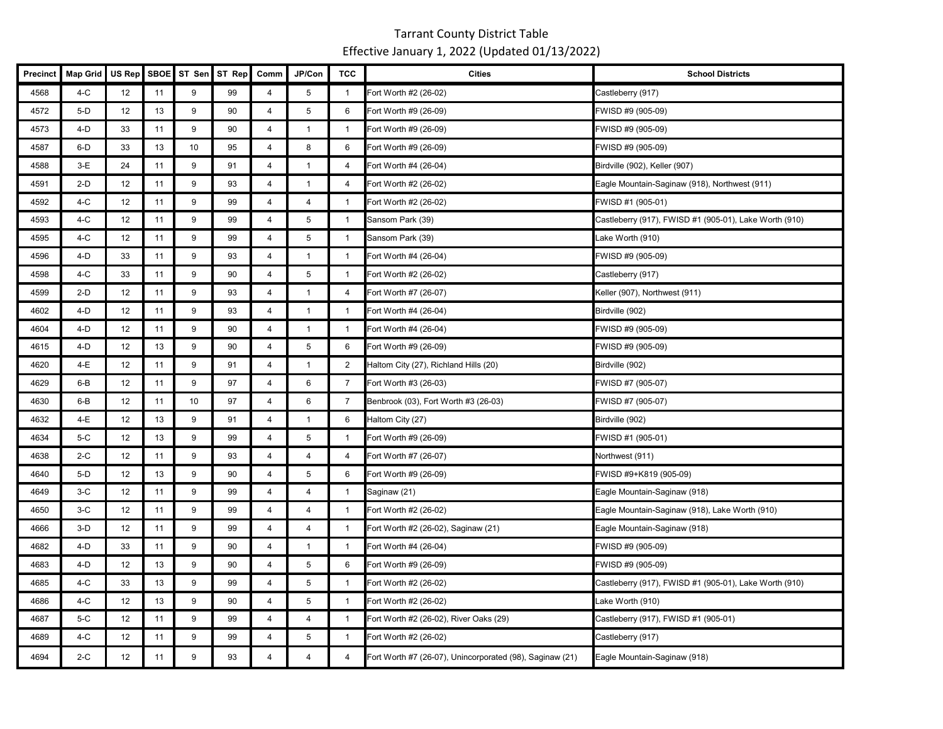| Precinct | <b>Map Grid</b> | US Rep | <b>SBOE</b> | ST Sen | ST Rep | Comm           | JP/Con         | <b>TCC</b>     | <b>Cities</b>                                            | <b>School Districts</b>                                |
|----------|-----------------|--------|-------------|--------|--------|----------------|----------------|----------------|----------------------------------------------------------|--------------------------------------------------------|
| 4568     | $4-C$           | 12     | 11          | 9      | 99     | $\overline{4}$ | 5              | $\overline{1}$ | Fort Worth #2 (26-02)                                    | Castleberry (917)                                      |
| 4572     | $5-D$           | 12     | 13          | 9      | 90     | $\overline{4}$ | 5              | 6              | Fort Worth #9 (26-09)                                    | FWISD #9 (905-09)                                      |
| 4573     | $4-D$           | 33     | 11          | 9      | 90     | $\overline{4}$ | $\overline{1}$ | $\overline{1}$ | Fort Worth #9 (26-09)                                    | FWISD #9 (905-09)                                      |
| 4587     | 6-D             | 33     | 13          | 10     | 95     | $\overline{4}$ | 8              | 6              | Fort Worth #9 (26-09)                                    | FWISD #9 (905-09)                                      |
| 4588     | $3-E$           | 24     | 11          | 9      | 91     | $\overline{4}$ | $\overline{1}$ | 4              | Fort Worth #4 (26-04)                                    | Birdville (902), Keller (907)                          |
| 4591     | $2-D$           | 12     | 11          | 9      | 93     | $\overline{4}$ | $\overline{1}$ | 4              | Fort Worth #2 (26-02)                                    | Eagle Mountain-Saginaw (918), Northwest (911)          |
| 4592     | 4-C             | 12     | 11          | 9      | 99     | $\overline{4}$ | 4              | $\overline{1}$ | Fort Worth #2 (26-02)                                    | FWISD #1 (905-01)                                      |
| 4593     | 4-C             | 12     | 11          | 9      | 99     | $\overline{4}$ | 5              | $\overline{1}$ | Sansom Park (39)                                         | Castleberry (917), FWISD #1 (905-01), Lake Worth (910) |
| 4595     | 4-C             | 12     | 11          | 9      | 99     | $\overline{4}$ | 5              | $\overline{1}$ | Sansom Park (39)                                         | Lake Worth (910)                                       |
| 4596     | $4-D$           | 33     | 11          | 9      | 93     | 4              | $\mathbf{1}$   | $\overline{1}$ | Fort Worth #4 (26-04)                                    | FWISD #9 (905-09)                                      |
| 4598     | 4-C             | 33     | 11          | 9      | 90     | 4              | 5              | $\overline{1}$ | Fort Worth #2 (26-02)                                    | Castleberry (917)                                      |
| 4599     | $2-D$           | 12     | 11          | 9      | 93     | 4              | $\overline{1}$ | 4              | Fort Worth #7 (26-07)                                    | Keller (907), Northwest (911)                          |
| 4602     | 4-D             | 12     | 11          | 9      | 93     | $\overline{4}$ | $\mathbf{1}$   | $\overline{1}$ | Fort Worth #4 (26-04)                                    | Birdville (902)                                        |
| 4604     | 4-D             | 12     | 11          | 9      | 90     | $\overline{4}$ | $\mathbf{1}$   | $\overline{1}$ | Fort Worth #4 (26-04)                                    | FWISD #9 (905-09)                                      |
| 4615     | 4-D             | 12     | 13          | 9      | 90     | $\overline{4}$ | 5              | 6              | Fort Worth #9 (26-09)                                    | FWISD #9 (905-09)                                      |
| 4620     | 4-E             | 12     | 11          | 9      | 91     | $\overline{4}$ | $\mathbf{1}$   | 2              | Haltom City (27), Richland Hills (20)                    | Birdville (902)                                        |
| 4629     | $6 - B$         | 12     | 11          | 9      | 97     | $\overline{4}$ | 6              | 7              | Fort Worth #3 (26-03)                                    | FWISD #7 (905-07)                                      |
| 4630     | 6-B             | 12     | 11          | 10     | 97     | $\overline{4}$ | 6              | $\overline{7}$ | Benbrook (03), Fort Worth #3 (26-03)                     | FWISD #7 (905-07)                                      |
| 4632     | 4-E             | 12     | 13          | 9      | 91     | $\overline{4}$ | $\mathbf{1}$   | 6              | Haltom City (27)                                         | Birdville (902)                                        |
| 4634     | 5-C             | 12     | 13          | 9      | 99     | $\overline{4}$ | 5              | $\overline{1}$ | Fort Worth #9 (26-09)                                    | FWISD #1 (905-01)                                      |
| 4638     | $2-C$           | 12     | 11          | 9      | 93     | $\overline{4}$ | 4              | 4              | Fort Worth #7 (26-07)                                    | Northwest (911)                                        |
| 4640     | 5-D             | 12     | 13          | 9      | 90     | $\overline{4}$ | 5              | 6              | Fort Worth #9 (26-09)                                    | FWISD #9+K819 (905-09)                                 |
| 4649     | $3-C$           | 12     | 11          | 9      | 99     | 4              | 4              | $\overline{1}$ | Saginaw (21)                                             | Eagle Mountain-Saginaw (918)                           |
| 4650     | $3-C$           | 12     | 11          | 9      | 99     | 4              | 4              | $\overline{1}$ | Fort Worth #2 (26-02)                                    | Eagle Mountain-Saginaw (918), Lake Worth (910)         |
| 4666     | $3-D$           | 12     | 11          | 9      | 99     | 4              | 4              | $\overline{1}$ | Fort Worth #2 (26-02), Saginaw (21)                      | Eagle Mountain-Saginaw (918)                           |
| 4682     | 4-D             | 33     | 11          | 9      | 90     | $\overline{4}$ | $\overline{1}$ | $\overline{1}$ | Fort Worth #4 (26-04)                                    | FWISD #9 (905-09)                                      |
| 4683     | 4-D             | 12     | 13          | 9      | 90     | $\overline{4}$ | 5              | 6              | Fort Worth #9 (26-09)                                    | FWISD #9 (905-09)                                      |
| 4685     | $4-C$           | 33     | 13          | 9      | 99     | $\overline{4}$ | 5              | $\overline{1}$ | Fort Worth #2 (26-02)                                    | Castleberry (917), FWISD #1 (905-01), Lake Worth (910) |
| 4686     | $4-C$           | 12     | 13          | 9      | 90     | $\overline{4}$ | 5              | $\overline{1}$ | Fort Worth #2 (26-02)                                    | Lake Worth (910)                                       |
| 4687     | $5-C$           | 12     | 11          | 9      | 99     | $\overline{4}$ | $\overline{4}$ | $\overline{1}$ | Fort Worth #2 (26-02), River Oaks (29)                   | Castleberry (917), FWISD #1 (905-01)                   |
| 4689     | 4-C             | 12     | 11          | 9      | 99     | $\overline{4}$ | 5              | $\overline{1}$ | Fort Worth #2 (26-02)                                    | Castleberry (917)                                      |
| 4694     | 2-C             | 12     | 11          | 9      | 93     | 4              | 4              | 4              | Fort Worth #7 (26-07), Unincorporated (98), Saginaw (21) | Eagle Mountain-Saginaw (918)                           |